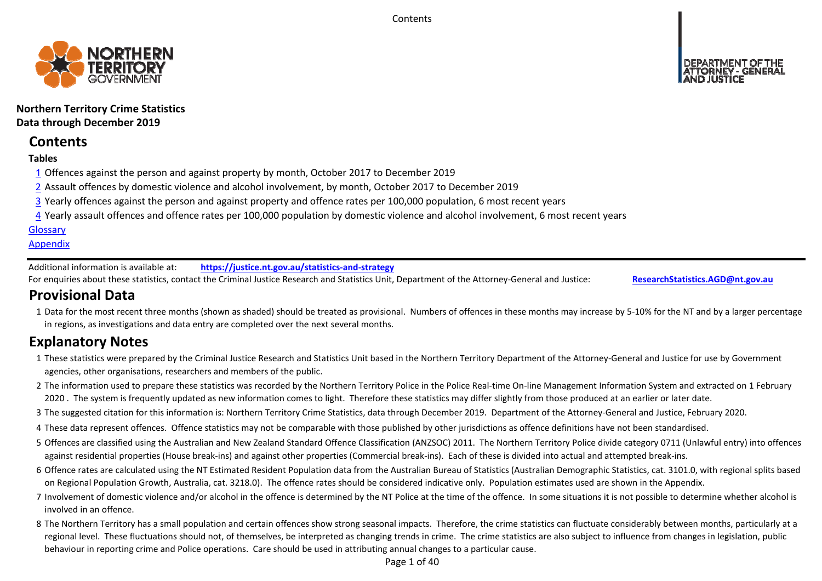**Contents** 



**Northern Territory Crime Statistics Data through December 2019**

# **Contents**

# **Tables**

- 1 Offences against the person and against property by month, October 2017 to December 2019
- 2 Assault offences by domestic violence and alcohol involvement, by month, October 2017 to December 2019
- 3 Yearly offences against the person and against property and offence rates per 100,000 population, 6 most recent years
- 4 Yearly assault offences and offence rates per 100,000 population by domestic violence and alcohol involvement, 6 most recent years

# **Glossary**

# **Appendix**

Additional information is available at:**https://justice.nt.gov.au/statistics‐and‐strategy**

For enquiries about these statistics, contact the Criminal Justice Research and Statistics Unit, Department of the Attorney‐General and Justice: **ResearchStatistics.AGD@nt.gov.au**

# **Provisional Data**

1 Data for the most recent three months (shown as shaded) should be treated as provisional. Numbers of offences in these months may increase by 5‐10% for the NT and by a larger percentage in regions, as investigations and data entry are completed over the next several months.

# **Explanatory Notes**

- 1These statistics were prepared by the Criminal Justice Research and Statistics Unit based in the Northern Territory Department of the Attorney‐General and Justice for use by Government agencies, other organisations, researchers and members of the public.
- 2 The information used to prepare these statistics was recorded by the Northern Territory Police in the Police Real-time On-line Management Information System and extracted on 1 February 2020. The system is frequently updated as new information comes to light. Therefore these statistics may differ slightly from those produced at an earlier or later date.
- 3 The suggested citation for this information is: Northern Territory Crime Statistics, data through December 2019. Department of the Attorney‐General and Justice, February 2020.
- 4These data represent offences. Offence statistics may not be comparable with those published by other jurisdictions as offence definitions have not been standardised.
- 5 Offences are classified using the Australian and New Zealand Standard Offence Classification (ANZSOC) 2011. The Northern Territory Police divide category 0711 (Unlawful entry) into offences against residential properties (House break‐ins) and against other properties (Commercial break‐ins). Each of these is divided into actual and attempted break‐ins.
- 6 Offence rates are calculated using the NT Estimated Resident Population data from the Australian Bureau of Statistics (Australian Demographic Statistics, cat. 3101.0, with regional splits based on Regional Population Growth, Australia, cat. 3218.0). The offence rates should be considered indicative only. Population estimates used are shown in the Appendix.
- 7 Involvement of domestic violence and/or alcohol in the offence is determined by the NT Police at the time of the offence. In some situations it is not possible to determine whether alcohol is involved in an offence.
- 8 The Northern Territory has a small population and certain offences show strong seasonal impacts. Therefore, the crime statistics can fluctuate considerably between months, particularly at a regional level. These fluctuations should not, of themselves, be interpreted as changing trends in crime. The crime statistics are also subject to influence from changes in legislation, public behaviour in reporting crime and Police operations. Care should be used in attributing annual changes to a particular cause.

Page 1 of 40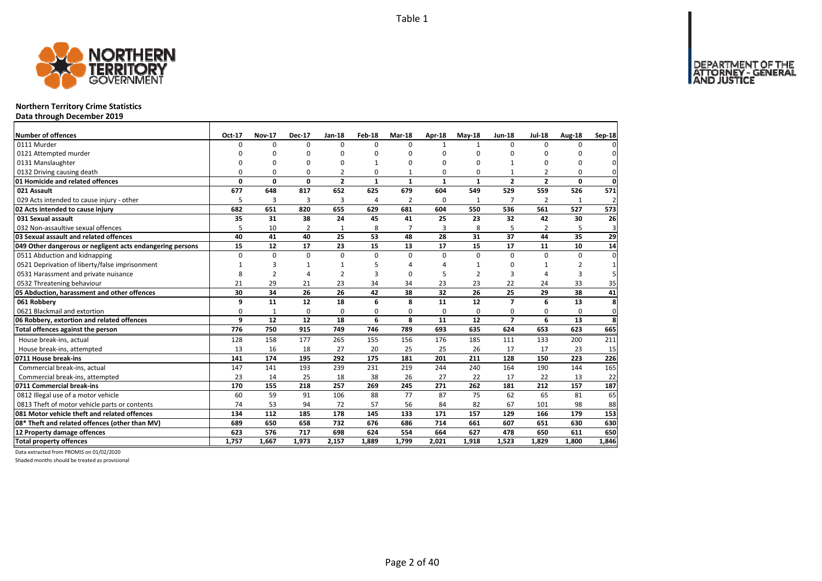DEPARTMENT OF THE<br>ATTORNEY - GENERAL



# **Northern Territory Crime Statistics**

**Data through December 2019**

| Number of offences                                        | Oct-17 | <b>Nov-17</b>  | <b>Dec-17</b>  | <b>Jan-18</b>            | Feb-18         | Mar-18         | Apr-18       | $May-18$       | <b>Jun-18</b>  | <b>Jul-18</b>  | <b>Aug-18</b> | Sep-18   |
|-----------------------------------------------------------|--------|----------------|----------------|--------------------------|----------------|----------------|--------------|----------------|----------------|----------------|---------------|----------|
| 0111 Murder                                               | 0      | $\Omega$       | $\Omega$       | $\Omega$                 | $\Omega$       | $\Omega$       | $\mathbf{1}$ | $\mathbf{1}$   | $\Omega$       | $\Omega$       | $\Omega$      |          |
| 0121 Attempted murder                                     | n      | $\Omega$       | $\Omega$       | $\Omega$                 | $\Omega$       | O              | $\Omega$     |                | $\Omega$       | ŋ              | $\Omega$      |          |
| 0131 Manslaughter                                         | O      | $\Omega$       | $\Omega$       | $\Omega$                 | 1              | O              | $\Omega$     |                | 1              | $\Omega$       | $\Omega$      |          |
| 0132 Driving causing death                                | O      | $\Omega$       | $\Omega$       | $\overline{\phantom{a}}$ | 0              |                | $\Omega$     | $\Omega$       |                | $\overline{2}$ | $\Omega$      |          |
| 01 Homicide and related offences                          | 0      | 0              | $\mathbf 0$    | $\overline{2}$           | $\mathbf{1}$   | 1              | $\mathbf{1}$ | $\mathbf{1}$   | $\overline{2}$ | $\overline{2}$ | 0             | $\Omega$ |
| 021 Assault                                               | 677    | 648            | 817            | 652                      | 625            | 679            | 604          | 549            | 529            | 559            | 526           | 571      |
| 029 Acts intended to cause injury - other                 | 5      | 3              | 3              | 3                        | $\overline{a}$ | $\overline{2}$ | $\Omega$     | 1              | 7              | $\overline{2}$ | 1             |          |
| 02 Acts intended to cause injury                          | 682    | 651            | 820            | 655                      | 629            | 681            | 604          | 550            | 536            | 561            | 527           | 573      |
| 031 Sexual assault                                        | 35     | 31             | 38             | 24                       | 45             | 41             | 25           | 23             | 32             | 42             | 30            | 26       |
| 032 Non-assaultive sexual offences                        | 5      | 10             | $\overline{2}$ | $\mathbf{1}$             | 8              | $\overline{7}$ | 3            | 8              | 5              | 2              |               | 3        |
| 03 Sexual assault and related offences                    | 40     | 41             | 40             | 25                       | 53             | 48             | 28           | 31             | 37             | 44             | 35            | 29       |
| 049 Other dangerous or negligent acts endangering persons | 15     | 12             | 17             | 23                       | 15             | 13             | 17           | 15             | 17             | 11             | 10            | 14       |
| 0511 Abduction and kidnapping                             | 0      | $\Omega$       | $\Omega$       | $\Omega$                 | $\Omega$       | 0              | $\Omega$     | $\Omega$       | $\Omega$       | $\Omega$       | $\Omega$      |          |
| 0521 Deprivation of liberty/false imprisonment            | 1      | 3              | $\mathbf{1}$   | 1                        | 5              | Δ              |              |                | O              |                | 2             |          |
| 0531 Harassment and private nuisance                      | 8      | $\overline{2}$ | $\Delta$       | $\overline{2}$           | 3              | O              |              | $\overline{2}$ | 3              |                | 3             |          |
| 0532 Threatening behaviour                                | 21     | 29             | 21             | 23                       | 34             | 34             | 23           | 23             | 22             | 24             | 33            | 35       |
| 05 Abduction, harassment and other offences               | 30     | 34             | 26             | 26                       | 42             | 38             | 32           | 26             | 25             | 29             | 38            | 41       |
| 061 Robbery                                               | 9      | 11             | 12             | 18                       | 6              | 8              | 11           | 12             | $\overline{7}$ | 6              | 13            | 8        |
| 0621 Blackmail and extortion                              | 0      | $\mathbf{1}$   | $\mathbf 0$    | $\Omega$                 | 0              | 0              | $\mathbf 0$  | 0              | 0              | 0              | 0             | 0        |
| 06 Robbery, extortion and related offences                | 9      | 12             | 12             | 18                       | 6              | 8              | 11           | 12             | $\overline{z}$ | 6              | 13            | 8        |
| Total offences against the person                         | 776    | 750            | 915            | 749                      | 746            | 789            | 693          | 635            | 624            | 653            | 623           | 665      |
| House break-ins, actual                                   | 128    | 158            | 177            | 265                      | 155            | 156            | 176          | 185            | 111            | 133            | 200           | 211      |
| House break-ins, attempted                                | 13     | 16             | 18             | 27                       | 20             | 25             | 25           | 26             | 17             | 17             | 23            | 15       |
| 0711 House break-ins                                      | 141    | 174            | 195            | 292                      | 175            | 181            | 201          | 211            | 128            | 150            | 223           | 226      |
| Commercial break-ins, actual                              | 147    | 141            | 193            | 239                      | 231            | 219            | 244          | 240            | 164            | 190            | 144           | 165      |
| Commercial break-ins, attempted                           | 23     | 14             | 25             | 18                       | 38             | 26             | 27           | 22             | 17             | 22             | 13            | 22       |
| 0711 Commercial break-ins                                 | 170    | 155            | 218            | 257                      | 269            | 245            | 271          | 262            | 181            | 212            | 157           | 187      |
| 0812 Illegal use of a motor vehicle                       | 60     | 59             | 91             | 106                      | 88             | 77             | 87           | 75             | 62             | 65             | 81            | 65       |
| 0813 Theft of motor vehicle parts or contents             | 74     | 53             | 94             | 72                       | 57             | 56             | 84           | 82             | 67             | 101            | 98            | 88       |
| 081 Motor vehicle theft and related offences              | 134    | 112            | 185            | 178                      | 145            | 133            | 171          | 157            | 129            | 166            | 179           | 153      |
| 08* Theft and related offences (other than MV)            | 689    | 650            | 658            | 732                      | 676            | 686            | 714          | 661            | 607            | 651            | 630           | 630      |
| 12 Property damage offences                               | 623    | 576            | 717            | 698                      | 624            | 554            | 664          | 627            | 478            | 650            | 611           | 650      |
| <b>Total property offences</b>                            | 1.757  | 1.667          | 1.973          | 2.157                    | 1.889          | 1,799          | 2,021        | 1,918          | 1.523          | 1.829          | 1.800         | 1.846    |

Data extracted from PROMIS on 01/02/2020

Shaded months should be treated as provisional

Page 2 of 40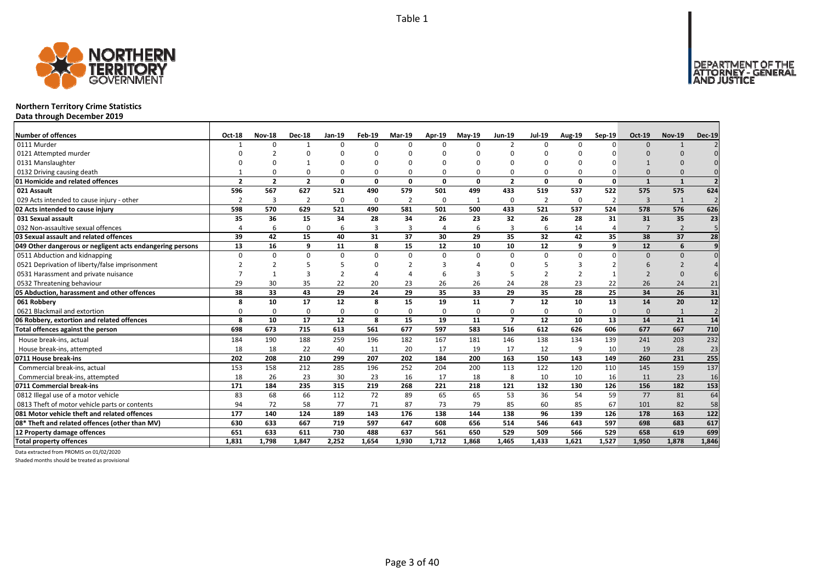

# **Northern Territory Crime Statistics**

**Data through December 2019**

| <b>Number of offences</b>                                 | Oct-18         | <b>Nov-18</b>  | <b>Dec-18</b>  | Jan-19       | Feb-19       | <b>Mar-19</b>  | Apr-19   | $May-19$     | <b>Jun-19</b>  | <b>Jul-19</b>  | <b>Aug-19</b> | $Sep-19$       | <b>Oct-19</b> | <b>Nov-19</b>  | <b>Dec-19</b>    |
|-----------------------------------------------------------|----------------|----------------|----------------|--------------|--------------|----------------|----------|--------------|----------------|----------------|---------------|----------------|---------------|----------------|------------------|
| 0111 Murder                                               |                | $\Omega$       |                | $\Omega$     | $\Omega$     | $\Omega$       | $\Omega$ | $\Omega$     | $\overline{2}$ | $\Omega$       | $\Omega$      | $\Omega$       | $\Omega$      | $\mathbf{1}$   |                  |
| 0121 Attempted murder                                     |                |                |                |              | n            |                |          |              |                |                |               |                |               |                |                  |
| 0131 Manslaughter                                         |                |                |                |              | ŋ            |                |          | n            |                | U              |               |                |               |                |                  |
| 0132 Driving causing death                                |                |                | $\Omega$       | $\Omega$     | 0            |                |          | $\Omega$     | $\Omega$       | 0              |               |                |               |                |                  |
| 01 Homicide and related offences                          | $\overline{2}$ | $\overline{2}$ | $\overline{2}$ | $\mathbf{0}$ | $\mathbf{0}$ | $\Omega$       | $\Omega$ | 0            | $\overline{2}$ | 0              | $\Omega$      | $\mathbf{0}$   | $\mathbf{1}$  | $\mathbf{1}$   |                  |
| 021 Assault                                               | 596            | 567            | 627            | 521          | 490          | 579            | 501      | 499          | 433            | 519            | 537           | 522            | 575           | 575            | 624              |
| 029 Acts intended to cause injury - other                 | $\mathcal{P}$  | 3              | $\overline{2}$ | $\mathbf 0$  | 0            | $\overline{2}$ | 0        | $\mathbf{1}$ | 0              | $\overline{2}$ | $\Omega$      | $\overline{2}$ | 3             | $\mathbf{1}$   | $\overline{2}$   |
| 02 Acts intended to cause injury                          | 598            | 570            | 629            | 521          | 490          | 581            | 501      | 500          | 433            | 521            | 537           | 524            | 578           | 576            | 626              |
| 031 Sexual assault                                        | 35             | 36             | 15             | 34           | 28           | 34             | 26       | 23           | 32             | 26             | 28            | 31             | 31            | 35             | 23               |
| 032 Non-assaultive sexual offences                        |                | 6              | $\Omega$       | 6            | 3            |                | 4        | 6            | $\overline{3}$ | 6              | 14            |                |               | $\overline{2}$ | 5                |
| 03 Sexual assault and related offences                    | 39             | 42             | 15             | 40           | 31           | 37             | 30       | 29           | 35             | 32             | 42            | 35             | 38            | 37             | 28               |
| 049 Other dangerous or negligent acts endangering persons | 13             | 16             | 9              | 11           | 8            | 15             | 12       | 10           | 10             | 12             | 9             | 9              | 12            | 6              | $\overline{9}$   |
| 0511 Abduction and kidnapping                             | $\Omega$       | <sup>n</sup>   | $\Omega$       | $\mathbf 0$  | 0            | $\Omega$       | $\Omega$ | $\Omega$     | $\Omega$       | 0              | $\Omega$      | $\Omega$       | $\Omega$      | $\Omega$       |                  |
| 0521 Deprivation of liberty/false imprisonment            |                |                |                | 5            | O            |                |          |              | ∩              |                |               |                | 6             |                |                  |
| 0531 Harassment and private nuisance                      |                |                | 3              |              |              |                |          |              |                |                |               |                |               | $\Omega$       |                  |
| 0532 Threatening behaviour                                | 29             | 30             | 35             | 22           | 20           | 23             | 26       | 26           | 24             | 28             | 23            | 22             | 26            | 24             | 21               |
| 05 Abduction, harassment and other offences               | 38             | 33             | 43             | 29           | 24           | 29             | 35       | 33           | 29             | 35             | 28            | 25             | 34            | 26             | 31               |
| 061 Robbery                                               | 8              | 10             | 17             | 12           | 8            | 15             | 19       | 11           | $\overline{7}$ | 12             | 10            | 13             | 14            | 20             | $\overline{12}$  |
| 0621 Blackmail and extortion                              |                | <sup>0</sup>   | $\Omega$       | $\Omega$     | 0            |                | $\Omega$ | $\Omega$     | $\Omega$       | 0              | $\Omega$      | $\Omega$       | $\Omega$      | $\mathbf{1}$   | $\overline{2}$   |
| 06 Robbery, extortion and related offences                | 8              | 10             | 17             | 12           | 8            | 15             | 19       | 11           | $\overline{7}$ | 12             | 10            | 13             | 14            | 21             | 14               |
| Total offences against the person                         | 698            | 673            | 715            | 613          | 561          | 677            | 597      | 583          | 516            | 612            | 626           | 606            | 677           | 667            | 710              |
| House break-ins, actual                                   | 184            | 190            | 188            | 259          | 196          | 182            | 167      | 181          | 146            | 138            | 134           | 139            | 241           | 203            | 232              |
| House break-ins, attempted                                | 18             | 18             | 22             | 40           | 11           | 20             | 17       | 19           | 17             | 12             | 9             | 10             | 19            | 28             | 23               |
| 0711 House break-ins                                      | 202            | 208            | 210            | 299          | 207          | 202            | 184      | 200          | 163            | 150            | 143           | 149            | 260           | 231            | 255              |
| Commercial break-ins, actual                              | 153            | 158            | 212            | 285          | 196          | 252            | 204      | 200          | 113            | 122            | 120           | 110            | 145           | 159            | 137              |
| Commercial break-ins, attempted                           | 18             | 26             | 23             | 30           | 23           | 16             | 17       | 18           | 8              | 10             | 10            | 16             | 11            | 23             | 16               |
| 0711 Commercial break-ins                                 | 171            | 184            | 235            | 315          | 219          | 268            | 221      | 218          | 121            | 132            | 130           | 126            | 156           | 182            | 153              |
| 0812 Illegal use of a motor vehicle                       | 83             | 68             | 66             | 112          | 72           | 89             | 65       | 65           | 53             | 36             | 54            | 59             | 77            | 81             | 64               |
| 0813 Theft of motor vehicle parts or contents             | 94             | 72             | 58             | 77           | 71           | 87             | 73       | 79           | 85             | 60             | 85            | 67             | 101           | 82             | 58               |
| 081 Motor vehicle theft and related offences              | 177            | 140            | 124            | 189          | 143          | 176            | 138      | 144          | 138            | 96             | 139           | 126            | 178           | 163            | $\overline{122}$ |
| 08* Theft and related offences (other than MV)            | 630            | 633            | 667            | 719          | 597          | 647            | 608      | 656          | 514            | 546            | 643           | 597            | 698           | 683            | 617              |
| 12 Property damage offences                               | 651            | 633            | 611            | 730          | 488          | 637            | 561      | 650          | 529            | 509            | 566           | 529            | 658           | 619            | 699              |
| <b>Total property offences</b>                            | 1.831          | 1.798          | 1.847          | 2,252        | 1,654        | 1.930          | 1.712    | 1,868        | 1.465          | 1.433          | 1.621         | 1.527          | 1,950         | 1.878          | 1,846            |

Data extracted from PROMIS on 01/02/2020

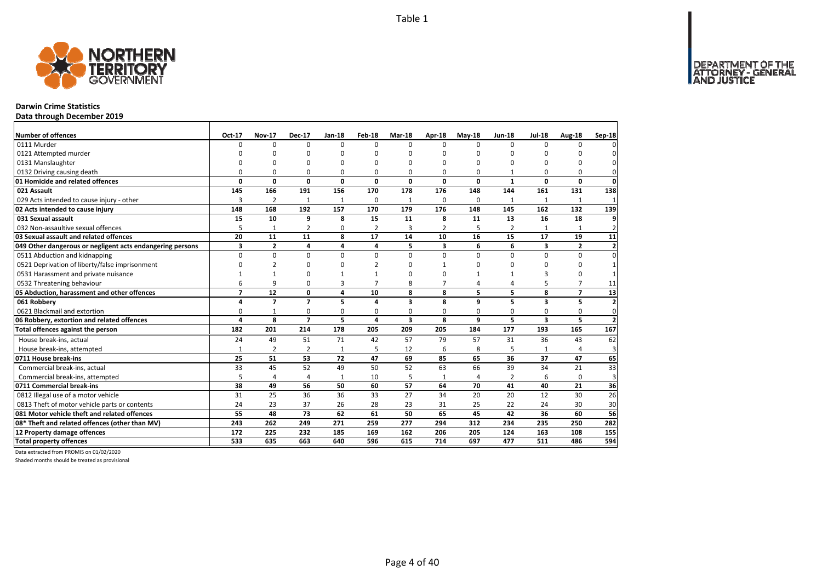

# **Darwin Crime Statistics**

**Data through December 2019**

| Number of offences                                        | Oct-17         | <b>Nov-17</b>  | <b>Dec-17</b>  | Jan-18         | Feb-18         | Mar-18                  | Apr-18         | $May-18$     | <b>Jun-18</b>  | <b>Jul-18</b>           | Aug-18         | Sep-18                   |
|-----------------------------------------------------------|----------------|----------------|----------------|----------------|----------------|-------------------------|----------------|--------------|----------------|-------------------------|----------------|--------------------------|
| 0111 Murder                                               | O              | 0              | $\Omega$       | $\Omega$       | $\Omega$       | 0                       | $\Omega$       | <sup>n</sup> | $\Omega$       | $\Omega$                | $\Omega$       |                          |
| 0121 Attempted murder                                     | n              | n              | ŋ              | $\Omega$       |                | O                       | C              | n            | $\Omega$       |                         | ŋ              |                          |
| 0131 Manslaughter                                         | O              | $\Omega$       | 0              | $\Omega$       |                | O                       | $\Omega$       | O            | $\Omega$       |                         | 0              |                          |
| 0132 Driving causing death                                | O              | $\Omega$       | 0              | $\Omega$       | $\Omega$       | O                       | $\Omega$       | $\Omega$     |                |                         | $\Omega$       | $\Omega$                 |
| 01 Homicide and related offences                          | 0              | 0              | $\mathbf 0$    | $\mathbf 0$    | 0              | 0                       | 0              | 0            | $\mathbf{1}$   | $\Omega$                | $\mathbf{0}$   | $\mathbf 0$              |
| 021 Assault                                               | 145            | 166            | 191            | 156            | 170            | 178                     | 176            | 148          | 144            | 161                     | 131            | 138                      |
| 029 Acts intended to cause injury - other                 | 3              | $\overline{2}$ | 1              | $\mathbf{1}$   | $\Omega$       | $\mathbf{1}$            | 0              | $\Omega$     | $\mathbf{1}$   | 1                       | $\mathbf{1}$   | $\mathbf{1}$             |
| 02 Acts intended to cause injury                          | 148            | 168            | 192            | 157            | 170            | 179                     | 176            | 148          | 145            | 162                     | 132            | 139                      |
| 031 Sexual assault                                        | 15             | 10             | 9              | 8              | 15             | 11                      | 8              | 11           | 13             | 16                      | 18             | q                        |
| 032 Non-assaultive sexual offences                        | 5              | $\mathbf{1}$   | $\overline{2}$ | 0              | $\overline{2}$ | 3                       | $\overline{2}$ | 5            | $\overline{2}$ | $\mathbf{1}$            | 1              | $\overline{2}$           |
| 03 Sexual assault and related offences                    | 20             | 11             | 11             | 8              | 17             | 14                      | 10             | 16           | 15             | 17                      | 19             | 11                       |
| 049 Other dangerous or negligent acts endangering persons | 3              | $\overline{2}$ | 4              | 4              | 4              | 5                       | 3              | 6            | 6              | 3                       | $\overline{2}$ | $\overline{2}$           |
| 0511 Abduction and kidnapping                             | $\Omega$       | $\Omega$       | 0              | $\Omega$       | 0              | $\Omega$                | $\Omega$       | $\Omega$     | $\Omega$       | $\Omega$                | $\Omega$       | $\Omega$                 |
| 0521 Deprivation of liberty/false imprisonment            | O              | $\overline{2}$ | 0              | $\Omega$       |                | O                       | 1              | ŋ            | $\Omega$       | O                       | 0              |                          |
| 0531 Harassment and private nuisance                      |                | 1              | 0              |                |                | O                       | n              |              |                | 3                       | $\Omega$       |                          |
| 0532 Threatening behaviour                                | 6              | 9              | 0              | $\overline{3}$ |                | 8                       | $\overline{7}$ | 4            | 4              |                         | $\overline{7}$ | 11                       |
| 05 Abduction, harassment and other offences               | $\overline{7}$ | 12             | 0              | 4              | 10             | 8                       | 8              | 5            | 5              | 8                       | $\overline{7}$ | 13                       |
| 061 Robbery                                               | 4              | $\overline{7}$ | $\overline{7}$ | 5              | 4              | 3                       | 8              | 9            | 5              | 3                       | 5              | $\overline{2}$           |
| 0621 Blackmail and extortion                              | 0              | $\mathbf{1}$   | 0              | $\mathbf 0$    | 0              | 0                       | 0              | 0            | $\mathbf 0$    | 0                       | 0              | 0                        |
| 06 Robbery, extortion and related offences                | 4              | 8              | $\overline{7}$ | 5              | 4              | $\overline{\mathbf{3}}$ | 8              | 9            | 5              | $\overline{\mathbf{3}}$ | 5              | $\overline{\phantom{a}}$ |
| Total offences against the person                         | 182            | 201            | 214            | 178            | 205            | 209                     | 205            | 184          | 177            | 193                     | 165            | 167                      |
| House break-ins, actual                                   | 24             | 49             | 51             | 71             | 42             | 57                      | 79             | 57           | 31             | 36                      | 43             | 62                       |
| House break-ins, attempted                                | $\mathbf{1}$   | $\overline{2}$ | $\overline{2}$ | $\mathbf{1}$   | 5              | 12                      | 6              | 8            | 5              |                         | 4              | 3                        |
| 0711 House break-ins                                      | 25             | 51             | 53             | 72             | 47             | 69                      | 85             | 65           | 36             | 37                      | 47             | 65                       |
| Commercial break-ins, actual                              | 33             | 45             | 52             | 49             | 50             | 52                      | 63             | 66           | 39             | 34                      | 21             | 33                       |
| Commercial break-ins, attempted                           | 5              | 4              | 4              | 1              | 10             | 5                       | 1              | 4            | $\overline{2}$ | 6                       | $\mathbf 0$    | 3                        |
| 0711 Commercial break-ins                                 | 38             | 49             | 56             | 50             | 60             | 57                      | 64             | 70           | 41             | 40                      | 21             | 36                       |
| 0812 Illegal use of a motor vehicle                       | 31             | 25             | 36             | 36             | 33             | 27                      | 34             | 20           | 20             | 12                      | 30             | 26                       |
| 0813 Theft of motor vehicle parts or contents             | 24             | 23             | 37             | 26             | 28             | 23                      | 31             | 25           | 22             | 24                      | 30             | 30                       |
| 081 Motor vehicle theft and related offences              | 55             | 48             | 73             | 62             | 61             | 50                      | 65             | 45           | 42             | 36                      | 60             | 56                       |
| 08* Theft and related offences (other than MV)            | 243            | 262            | 249            | 271            | 259            | 277                     | 294            | 312          | 234            | 235                     | 250            | 282                      |
| 12 Property damage offences                               | 172            | 225            | 232            | 185            | 169            | 162                     | 206            | 205          | 124            | 163                     | 108            | 155                      |
| <b>Total property offences</b>                            | 533            | 635            | 663            | 640            | 596            | 615                     | 714            | 697          | 477            | 511                     | 486            | 594                      |

Data extracted from PROMIS on 01/02/2020

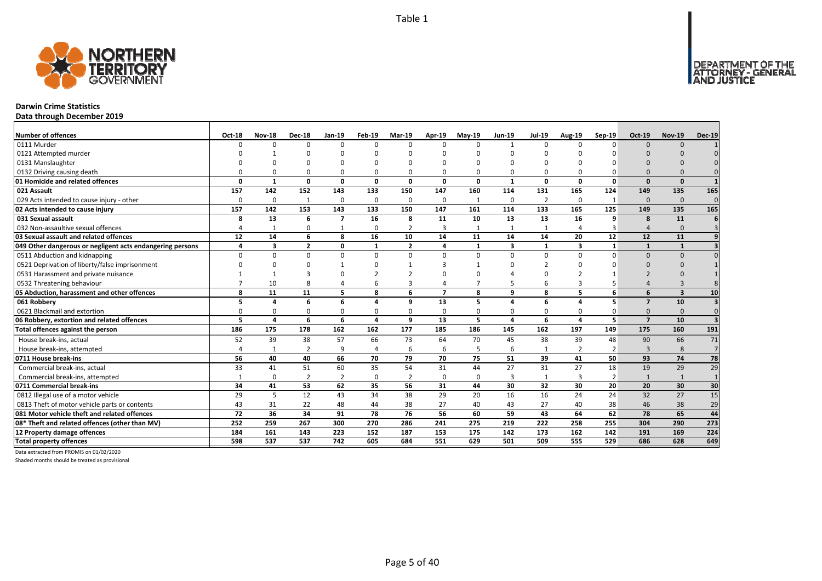DEPARTMENT OF THE<br>ATTORNEY - GENERAL



# **Darwin Crime Statistics**

**Data through December 2019**

| <b>Number of offences</b>                                 | Oct-18 | <b>Nov-18</b>           | <b>Dec-18</b>  | Jan-19         | Feb-19         | <b>Mar-19</b>           | Apr-19         | <b>Mav-19</b> | <b>Jun-19</b>           | <b>Jul-19</b>  | <b>Aug-19</b>           | Sep-19         | Oct-19         | <b>Nov-19</b>           | <b>Dec-19</b>  |
|-----------------------------------------------------------|--------|-------------------------|----------------|----------------|----------------|-------------------------|----------------|---------------|-------------------------|----------------|-------------------------|----------------|----------------|-------------------------|----------------|
| 0111 Murder                                               | n      | $\Omega$                | $\Omega$       | $\Omega$       | $\Omega$       | n                       | $\Omega$       | $\Omega$      | $\mathbf{1}$            | $\Omega$       | $\Omega$                | $\Omega$       | $\Omega$       | $\Omega$                |                |
| 0121 Attempted murder                                     |        |                         | $\Omega$       |                | ŋ              |                         |                | n             |                         | U              |                         |                |                |                         |                |
| 0131 Manslaughter                                         |        |                         |                |                |                |                         |                |               |                         |                |                         |                |                |                         |                |
| 0132 Driving causing death                                |        |                         | $\Omega$       | $\Omega$       | $\Omega$       |                         |                | O             | $\Omega$                | 0              |                         |                |                |                         |                |
| 01 Homicide and related offences                          | O      | $\mathbf 1$             | $\Omega$       | $\mathbf{0}$   | $\mathbf{0}$   | $\Omega$                | 0              | $\Omega$      | $\mathbf{1}$            | $\Omega$       | $\Omega$                | $\Omega$       | $\Omega$       | $\Omega$                |                |
| 021 Assault                                               | 157    | 142                     | 152            | 143            | 133            | 150                     | 147            | 160           | 114                     | 131            | 165                     | 124            | 149            | 135                     | 165            |
| 029 Acts intended to cause injury - other                 | O      | 0                       | $\mathbf{1}$   | $\Omega$       | 0              | $\Omega$                | $\Omega$       | $\mathbf{1}$  | $\Omega$                | $\overline{2}$ | $\Omega$                | -1             | $\Omega$       | $\Omega$                | $\Omega$       |
| 02 Acts intended to cause injury                          | 157    | 142                     | 153            | 143            | 133            | 150                     | 147            | 161           | 114                     | 133            | 165                     | 125            | 149            | 135                     | 165            |
| 031 Sexual assault                                        | 8      | 13                      | 6              | $\overline{7}$ | 16             | 8                       | 11             | 10            | 13                      | 13             | 16                      | 9              | 8              | 11                      |                |
| 032 Non-assaultive sexual offences                        |        |                         | $\Omega$       | $\mathbf{1}$   | 0              | $\overline{2}$          | 3              | $\mathbf{1}$  | $\mathbf{1}$            | $\mathbf{1}$   |                         |                |                | $\Omega$                | $\mathbf{R}$   |
| 03 Sexual assault and related offences                    | 12     | 14                      | 6              | 8              | 16             | 10                      | 14             | 11            | 14                      | 14             | 20                      | 12             | 12             | 11                      |                |
| 049 Other dangerous or negligent acts endangering persons |        | $\overline{\mathbf{3}}$ | $\overline{2}$ | $\mathbf 0$    | $\mathbf{1}$   | $\overline{\mathbf{z}}$ | 4              | $\mathbf{1}$  | $\overline{\mathbf{3}}$ | $\mathbf{1}$   | $\overline{\mathbf{z}}$ | $\mathbf{1}$   |                | $\mathbf{1}$            |                |
| 0511 Abduction and kidnapping                             |        | n                       | $\Omega$       | $\Omega$       | $\Omega$       | $\Omega$                | $\Omega$       | $\Omega$      | $\Omega$                | $\Omega$       | $\Omega$                | $\Omega$       | $\Omega$       | $\Omega$                |                |
| 0521 Deprivation of liberty/false imprisonment            |        |                         | $\Omega$       |                | ŋ              |                         |                |               | ∩                       |                |                         |                | n              |                         |                |
| 0531 Harassment and private nuisance                      |        |                         |                |                |                |                         |                |               |                         |                |                         |                |                |                         |                |
| 0532 Threatening behaviour                                |        | 10                      | 8              |                | 6              |                         |                |               |                         | 6              |                         |                |                |                         |                |
| 05 Abduction, harassment and other offences               | 8      | 11                      | 11             | 5              | 8              | 6                       | $\overline{7}$ | 8             | $\mathbf{q}$            | 8              | 5                       | 6              | 6              | $\overline{\mathbf{3}}$ | 10             |
| 061 Robbery                                               |        |                         | 6              | 6              | 4              | q                       | 13             | 5             | $\Delta$                | 6              |                         | 5              | $\mathbf{z}$   | 10                      |                |
| 0621 Blackmail and extortion                              |        |                         | $\Omega$       | $\Omega$       | 0              |                         | O              | O             | $\Omega$                | 0              |                         |                | $\Omega$       | $\Omega$                | $\Omega$       |
| 06 Robbery, extortion and related offences                | 5      | 4                       | 6              | 6              | 4              | 9                       | 13             | 5             | $\Delta$                | 6              | 4                       | 5              | $\overline{7}$ | 10                      | 3              |
| Total offences against the person                         | 186    | 175                     | 178            | 162            | 162            | 177                     | 185            | 186           | 145                     | 162            | 197                     | 149            | 175            | 160                     | 191            |
| House break-ins, actual                                   | 52     | 39                      | 38             | 57             | 66             | 73                      | 64             | 70            | 45                      | 38             | 39                      | 48             | 90             | 66                      | 71             |
| House break-ins, attempted                                |        |                         | $\overline{2}$ | 9              | $\overline{4}$ | 6                       | 6              | 5             | 6                       | $\mathbf{1}$   | $\mathcal{P}$           | $\overline{2}$ | $\mathbf{3}$   | 8                       | $\overline{7}$ |
| 0711 House break-ins                                      | 56     | 40                      | 40             | 66             | 70             | 79                      | 70             | 75            | 51                      | 39             | 41                      | 50             | 93             | 74                      | 78             |
| Commercial break-ins, actual                              | 33     | 41                      | 51             | 60             | 35             | 54                      | 31             | 44            | 27                      | 31             | 27                      | 18             | 19             | 29                      | 29             |
| Commercial break-ins, attempted                           |        | <sup>0</sup>            | $\overline{2}$ | $\overline{2}$ | 0              |                         | $\Omega$       | $\Omega$      | 3                       | 1              | 3                       | $\overline{2}$ | $\mathbf{1}$   | $\mathbf{1}$            |                |
| 0711 Commercial break-ins                                 | 34     | 41                      | 53             | 62             | 35             | 56                      | 31             | 44            | 30                      | 32             | 30                      | 20             | 20             | 30                      | 30             |
| 0812 Illegal use of a motor vehicle                       | 29     | 5                       | 12             | 43             | 34             | 38                      | 29             | 20            | 16                      | 16             | 24                      | 24             | 32             | 27                      | 15             |
| 0813 Theft of motor vehicle parts or contents             | 43     | 31                      | 22             | 48             | 44             | 38                      | 27             | 40            | 43                      | 27             | 40                      | 38             | 46             | 38                      | 29             |
| 081 Motor vehicle theft and related offences              | 72     | 36                      | 34             | 91             | 78             | 76                      | 56             | 60            | 59                      | 43             | 64                      | 62             | 78             | 65                      | 44             |
| 08* Theft and related offences (other than MV)            | 252    | 259                     | 267            | 300            | 270            | 286                     | 241            | 275           | 219                     | 222            | 258                     | 255            | 304            | 290                     | 273            |
| 12 Property damage offences                               | 184    | 161                     | 143            | 223            | 152            | 187                     | 153            | 175           | 142                     | 173            | 162                     | 142            | 191            | 169                     | 224            |
| <b>Total property offences</b>                            | 598    | 537                     | 537            | 742            | 605            | 684                     | 551            | 629           | 501                     | 509            | 555                     | 529            | 686            | 628                     | 649            |

Data extracted from PROMIS on 01/02/2020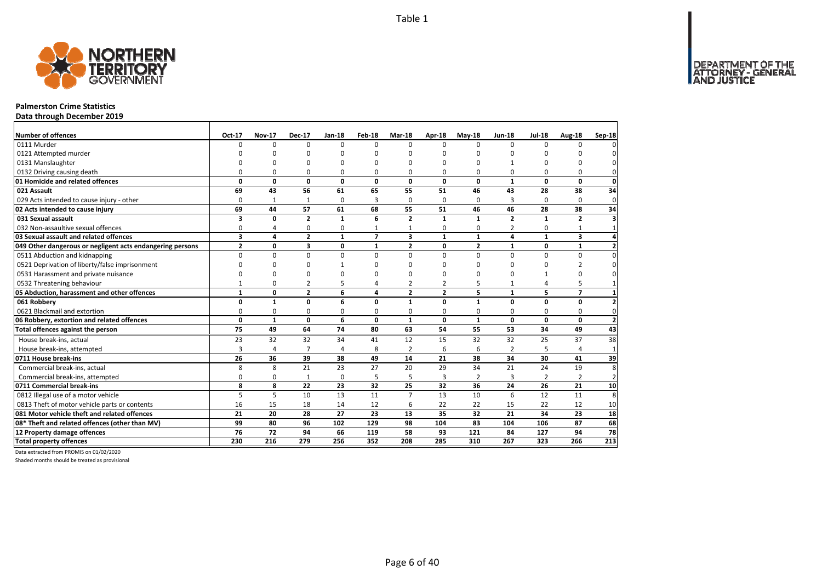

### **Palmerston Crime Statistics**

**Data through December 2019**

| <b>Number of offences</b>                                 | Oct-17                  | <b>Nov-17</b>  | <b>Dec-17</b>  | Jan-18          | Feb-18         | Mar-18         | Apr-18         | $May-18$       | <b>Jun-18</b>   | <b>Jul-18</b>   | Aug-18                  | Sep-18           |
|-----------------------------------------------------------|-------------------------|----------------|----------------|-----------------|----------------|----------------|----------------|----------------|-----------------|-----------------|-------------------------|------------------|
| 0111 Murder                                               | 0                       | $\Omega$       | $\Omega$       | $\Omega$        | $\Omega$       | 0              | 0              | $\Omega$       | $\Omega$        | $\Omega$        | 0                       |                  |
| 0121 Attempted murder                                     | n                       | n              | O              | n               | ŋ              | n              | n              |                | $\Omega$        | U               | U                       |                  |
| 0131 Manslaughter                                         |                         | n              | O              | n               | ŋ              | n              | ∩              |                |                 | $\Omega$        | O                       |                  |
| 0132 Driving causing death                                | O                       | $\Omega$       | 0              | $\Omega$        | O              | 0              | $\Omega$       | $\Omega$       | $\Omega$        | $\Omega$        | 0                       | $\Omega$         |
| 01 Homicide and related offences                          | $\Omega$                | 0              | $\mathbf 0$    | $\Omega$        | $\Omega$       | $\Omega$       | $\Omega$       | $\Omega$       | $\mathbf{1}$    | $\Omega$        | $\Omega$                | $\mathbf 0$      |
| 021 Assault                                               | 69                      | 43             | 56             | 61              | 65             | 55             | 51             | 46             | 43              | 28              | 38                      | 34               |
| 029 Acts intended to cause injury - other                 | 0                       | 1              | 1              | 0               | 3              | 0              | $\Omega$       | $\Omega$       | 3               | 0               | 0                       | 0                |
| 02 Acts intended to cause injury                          | 69                      | 44             | 57             | 61              | 68             | 55             | 51             | 46             | 46              | 28              | 38                      | 34               |
| 031 Sexual assault                                        | 3                       | 0              | $\overline{2}$ | $\mathbf{1}$    | 6              | $\overline{2}$ | $\mathbf{1}$   | $\mathbf{1}$   | $\overline{2}$  | $\mathbf{1}$    | $\overline{2}$          |                  |
| 032 Non-assaultive sexual offences                        | 0                       | 4              | 0              | 0               | 1              | $\mathbf{1}$   | 0              | 0              | $\overline{2}$  | 0               | $\mathbf{1}$            |                  |
| 03 Sexual assault and related offences                    | $\overline{\mathbf{3}}$ | 4              | $\overline{2}$ | $\mathbf{1}$    | $\overline{7}$ | 3              | $\mathbf{1}$   | $\mathbf{1}$   | 4               | $\mathbf{1}$    | $\overline{\mathbf{3}}$ |                  |
| 049 Other dangerous or negligent acts endangering persons | $\overline{2}$          | 0              | 3              | 0               | $\mathbf{1}$   | $\overline{2}$ | 0              | $\overline{2}$ | 1               | 0               | $\mathbf{1}$            |                  |
| 0511 Abduction and kidnapping                             | 0                       | $\Omega$       | $\mathbf 0$    | $\Omega$        | $\Omega$       | $\Omega$       | 0              | $\Omega$       | $\Omega$        | 0               | 0                       |                  |
| 0521 Deprivation of liberty/false imprisonment            | n                       | ŋ              | <sup>0</sup>   |                 | ŋ              | n              | O              | ŋ              | $\Omega$        | 0               | 2                       |                  |
| 0531 Harassment and private nuisance                      | n                       | $\Omega$       | $\Omega$       | C               | ŋ              | U              | ∩              | ŋ              | $\Omega$        | $\mathbf{1}$    | $\Omega$                |                  |
| 0532 Threatening behaviour                                | 1                       | 0              | 2              | 5               | 4              | 2              | $\overline{2}$ | 5              | $\mathbf{1}$    | 4               | 5                       |                  |
| 05 Abduction, harassment and other offences               | $\mathbf{1}$            | 0              | $\overline{2}$ | 6               | 4              | $\overline{2}$ | $\overline{2}$ | 5              | $\mathbf{1}$    | 5               | $\overline{7}$          |                  |
| 061 Robbery                                               | 0                       | $\mathbf{1}$   | 0              | 6               | 0              | 1              | $\Omega$       | $\mathbf{1}$   | $\Omega$        | $\Omega$        | 0                       |                  |
| 0621 Blackmail and extortion                              | O                       | 0              | 0              | 0               | 0              | 0              | 0              | $\Omega$       | $\Omega$        | $\Omega$        | 0                       | 0                |
| 06 Robbery, extortion and related offences                | 0                       | $\mathbf{1}$   | 0              | 6               | 0              | 1              | $\mathbf{0}$   | $\mathbf{1}$   | 0               | $\mathbf 0$     | 0                       | $\overline{2}$   |
| Total offences against the person                         | 75                      | 49             | 64             | $\overline{74}$ | 80             | 63             | 54             | 55             | $\overline{53}$ | $\overline{34}$ | 49                      | 43               |
| House break-ins, actual                                   | 23                      | 32             | 32             | 34              | 41             | 12             | 15             | 32             | 32              | 25              | 37                      | 38               |
| House break-ins, attempted                                | 3                       | $\overline{4}$ | $\overline{7}$ | $\overline{4}$  | 8              | $\overline{2}$ | 6              | 6              | $\overline{2}$  | 5               |                         | $\mathbf{1}$     |
| 0711 House break-ins                                      | 26                      | 36             | 39             | 38              | 49             | 14             | 21             | 38             | 34              | 30              | 41                      | 39               |
| Commercial break-ins, actual                              | 8                       | 8              | 21             | 23              | 27             | 20             | 29             | 34             | 21              | 24              | 19                      | 8                |
| Commercial break-ins, attempted                           | $\Omega$                | 0              | $\mathbf{1}$   | 0               | 5              | 5              | 3              | 2              | 3               | 2               | $\overline{2}$          | $\overline{2}$   |
| 0711 Commercial break-ins                                 | 8                       | 8              | 22             | 23              | 32             | 25             | 32             | 36             | 24              | 26              | 21                      | 10               |
| 0812 Illegal use of a motor vehicle                       | 5                       | 5              | 10             | 13              | 11             | $\overline{7}$ | 13             | 10             | 6               | 12              | 11                      | 8                |
| 0813 Theft of motor vehicle parts or contents             | 16                      | 15             | 18             | 14              | 12             | 6              | 22             | 22             | 15              | 22              | 12                      | 10               |
| 081 Motor vehicle theft and related offences              | 21                      | 20             | 28             | 27              | 23             | 13             | 35             | 32             | 21              | 34              | 23                      | 18               |
| 08* Theft and related offences (other than MV)            | 99                      | 80             | 96             | 102             | 129            | 98             | 104            | 83             | 104             | 106             | 87                      | 68               |
| 12 Property damage offences                               | 76                      | 72             | 94             | 66              | 119            | 58             | 93             | 121            | 84              | 127             | 94                      | $\overline{78}$  |
| <b>Total property offences</b>                            | 230                     | 216            | 279            | 256             | 352            | 208            | 285            | 310            | 267             | 323             | 266                     | $\overline{213}$ |

Data extracted from PROMIS on 01/02/2020

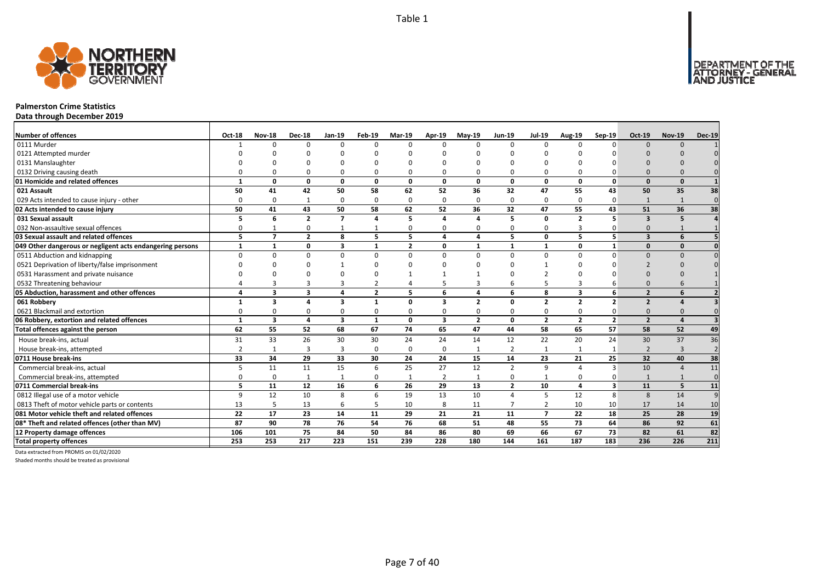

### **Palmerston Crime Statistics**

**Data through December 2019**

| <b>Number of offences</b>                                 | <b>Oct-18</b>  | <b>Nov-18</b>  | <b>Dec-18</b>           | Jan-19                  | Feb-19         | <b>Mar-19</b>  | Apr-19       | $May-19$       | <b>Jun-19</b>  | <b>Jul-19</b>  | Aug-19                  | $Sep-19$                | <b>Oct-19</b>           | <b>Nov-19</b>  | <b>Dec-19</b>   |
|-----------------------------------------------------------|----------------|----------------|-------------------------|-------------------------|----------------|----------------|--------------|----------------|----------------|----------------|-------------------------|-------------------------|-------------------------|----------------|-----------------|
| 0111 Murder                                               |                | <sup>n</sup>   | $\Omega$                | $\Omega$                | $\Omega$       | n              | $\Omega$     | $\Omega$       | $\Omega$       | $\Omega$       | $\Omega$                | $\Omega$                | $\Omega$                | $\Omega$       |                 |
| 0121 Attempted murder                                     |                |                |                         |                         |                |                |              |                |                |                |                         |                         |                         |                |                 |
| 0131 Manslaughter                                         |                |                |                         |                         | n              |                |              | n              |                |                |                         |                         |                         |                |                 |
| 0132 Driving causing death                                |                |                | $\Omega$                | 0                       | 0              |                |              | $\Omega$       | $\Omega$       | 0              |                         |                         | $\Omega$                |                |                 |
| 01 Homicide and related offences                          |                | n              | $\Omega$                | $\mathbf{0}$            | $\mathbf{0}$   | $\Omega$       | 0            | $\Omega$       | $\mathbf{0}$   | 0              | 0                       | $\mathbf{0}$            | $\Omega$                | $\Omega$       |                 |
| 021 Assault                                               | 50             | 41             | 42                      | 50                      | 58             | 62             | 52           | 36             | 32             | 47             | 55                      | 43                      | 50                      | 35             | 38              |
| 029 Acts intended to cause injury - other                 | n              | $\Omega$       | 1                       | $\mathbf 0$             | 0              | $\Omega$       | $\Omega$     | $\Omega$       | $\Omega$       | 0              | $\Omega$                | $\Omega$                | $\mathbf{1}$            | $\mathbf{1}$   | $\mathbf 0$     |
| 02 Acts intended to cause injury                          | 50             | 41             | 43                      | 50                      | 58             | 62             | 52           | 36             | 32             | 47             | 55                      | 43                      | 51                      | 36             | 38              |
| 031 Sexual assault                                        | 5              | 6              | $\overline{2}$          | $\overline{7}$          | 4              | 5              | Δ            | $\mathbf{A}$   | 5              | 0              | $\overline{2}$          | 5                       | $\overline{\mathbf{z}}$ | 5              |                 |
| 032 Non-assaultive sexual offences                        | $\Omega$       |                | 0                       | $\overline{1}$          | $\mathbf{1}$   | 0              | O            | $\Omega$       | $\Omega$       | 0              | 3                       |                         | $\Omega$                |                |                 |
| 03 Sexual assault and related offences                    | 5              | $\overline{7}$ | $\overline{2}$          | 8                       | 5              | 5              | 4            | 4              | 5              | 0              | 5.                      | 5                       | $\overline{\mathbf{3}}$ | 6              |                 |
| 049 Other dangerous or negligent acts endangering persons |                | $\mathbf{1}$   | 0                       | $\overline{\mathbf{3}}$ | 1              | $\overline{2}$ | 0            | $\mathbf{1}$   | $\mathbf{1}$   | 1              | 0                       | $\mathbf{1}$            | $\Omega$                | $\mathbf{0}$   |                 |
| 0511 Abduction and kidnapping                             | ŋ              |                | $\Omega$                | $\Omega$                | $\Omega$       | $\Omega$       | $\Omega$     | $\Omega$       | $\Omega$       | $\Omega$       | $\Omega$                | $\Omega$                | $\Omega$                | $\Omega$       |                 |
| 0521 Deprivation of liberty/false imprisonment            |                |                |                         |                         | n              |                |              |                |                |                |                         |                         |                         |                |                 |
| 0531 Harassment and private nuisance                      |                |                |                         |                         | ŋ              |                |              |                |                |                |                         |                         |                         |                |                 |
| 0532 Threatening behaviour                                |                |                |                         | 3                       | 2              |                |              |                | 6              | 5              |                         |                         |                         |                |                 |
| 05 Abduction, harassment and other offences               | $\mathbf{A}$   | 3              | $\overline{\mathbf{3}}$ | $\overline{a}$          | $\overline{2}$ | 5              | 6            | 4              | 6              | 8              | $\overline{\mathbf{3}}$ | 6                       | $\overline{2}$          |                |                 |
| 061 Robbery                                               | 1              | 3              | $\mathbf{A}$            | $\overline{\mathbf{3}}$ | $\mathbf{1}$   | <sup>0</sup>   | $\mathbf{3}$ | $\overline{2}$ | 0              | $\mathbf{2}$   | $\overline{2}$          | $\overline{2}$          | $\overline{2}$          |                |                 |
| 0621 Blackmail and extortion                              |                | n              | $\Omega$                | $\Omega$                | 0              |                | O            | $\Omega$       | $\Omega$       | 0              | $\Omega$                |                         | $\Omega$                |                |                 |
| 06 Robbery, extortion and related offences                | $\mathbf{1}$   | 3              | 4                       | $\overline{\mathbf{3}}$ | $\mathbf{1}$   | 0              | 3            | $\overline{2}$ | $\mathbf{0}$   | $\overline{2}$ | $\overline{2}$          | $\overline{2}$          | $\overline{2}$          |                |                 |
| Total offences against the person                         | 62             | 55             | 52                      | 68                      | 67             | 74             | 65           | 47             | 44             | 58             | 65                      | 57                      | 58                      | 52             | 49              |
| House break-ins, actual                                   | 31             | 33             | 26                      | 30                      | 30             | 24             | 24           | 14             | 12             | 22             | 20                      | 24                      | 30                      | 37             | 36              |
| House break-ins, attempted                                | $\overline{2}$ | $\mathbf{1}$   | 3                       | $\overline{3}$          | 0              | $\Omega$       | $\Omega$     | $\mathbf{1}$   | $\overline{2}$ | 1              | $\mathbf{1}$            |                         | $\mathcal{P}$           | $\mathbf{B}$   | $\overline{2}$  |
| 0711 House break-ins                                      | 33             | 34             | 29                      | 33                      | 30             | 24             | 24           | 15             | 14             | 23             | 21                      | 25                      | 32                      | 40             | 38              |
| Commercial break-ins, actual                              |                | 11             | 11                      | 15                      | 6              | 25             | 27           | 12             | $\overline{2}$ | 9              |                         | 3                       | 10                      | $\overline{4}$ | 11              |
| Commercial break-ins, attempted                           |                | 0              | $\mathbf{1}$            | $\mathbf{1}$            | 0              | $\mathbf{1}$   | 2            | $\mathbf{1}$   | 0              | $\mathbf{1}$   | $\Omega$                |                         |                         |                | $\Omega$        |
| 0711 Commercial break-ins                                 | 5              | 11             | 12                      | 16                      | 6              | 26             | 29           | 13             | $\overline{2}$ | 10             | 4                       | $\overline{\mathbf{3}}$ | 11                      | 5              | 11              |
| 0812 Illegal use of a motor vehicle                       | q              | 12             | 10                      | 8                       | 6              | 19             | 13           | 10             | $\overline{4}$ | 5              | 12                      | 8                       | 8                       | 14             | 9               |
| 0813 Theft of motor vehicle parts or contents             | 13             | 5              | 13                      | 6                       | 5              | 10             | 8            | 11             | $\overline{7}$ | $\overline{2}$ | 10                      | 10                      | 17                      | 14             | 10              |
| 081 Motor vehicle theft and related offences              | 22             | 17             | 23                      | 14                      | 11             | 29             | 21           | 21             | 11             | $\overline{7}$ | 22                      | 18                      | 25                      | 28             | 19              |
| 08* Theft and related offences (other than MV)            | 87             | 90             | 78                      | 76                      | 54             | 76             | 68           | 51             | 48             | 55             | 73                      | 64                      | 86                      | 92             | 61              |
| 12 Property damage offences                               | 106            | 101            | 75                      | 84                      | 50             | 84             | 86           | 80             | 69             | 66             | 67                      | 73                      | 82                      | 61             | $\overline{82}$ |
| <b>Total property offences</b>                            | 253            | 253            | 217                     | $\overline{223}$        | 151            | 239            | 228          | 180            | 144            | 161            | 187                     | 183                     | 236                     | 226            | 211             |

Data extracted from PROMIS on 01/02/2020

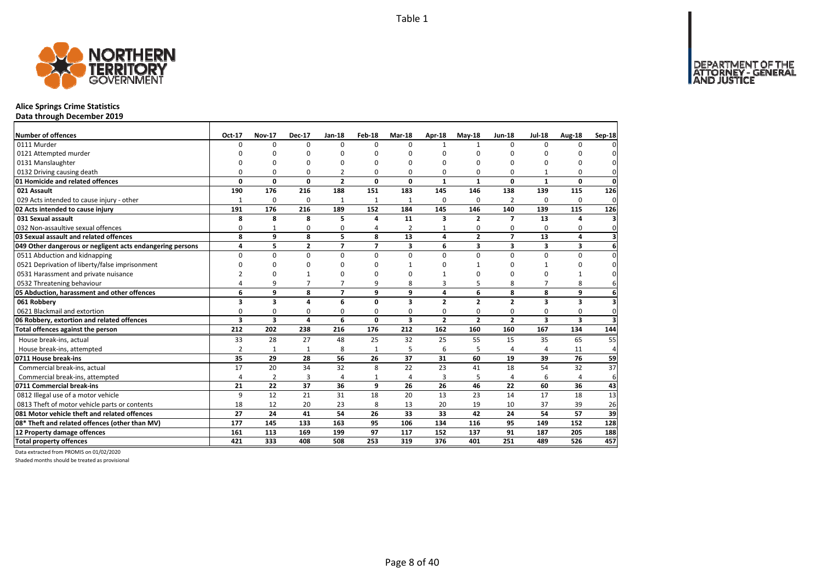

# **Alice Springs Crime Statistics**

**Data through December 2019**

| Number of offences                                        | Oct-17         | <b>Nov-17</b>  | <b>Dec-17</b>           | <b>Jan-18</b>  | Feb-18                   | <b>Mar-18</b> | Apr-18         | $May-18$       | <b>Jun-18</b>           | <b>Jul-18</b>           | Aug-18       | Sep-18                  |
|-----------------------------------------------------------|----------------|----------------|-------------------------|----------------|--------------------------|---------------|----------------|----------------|-------------------------|-------------------------|--------------|-------------------------|
| 0111 Murder                                               | $\Omega$       | 0              | 0                       | $\Omega$       | $\Omega$                 | $\Omega$      | $\mathbf{1}$   | 1              | $\Omega$                | $\Omega$                | $\Omega$     |                         |
| 0121 Attempted murder                                     |                | O              | 0                       | O              |                          | O             | 0              | 0              | 0                       |                         | O            |                         |
| 0131 Manslaughter                                         |                | O              | 0                       | O              |                          | O             | 0              | 0              | $\Omega$                |                         | $\Omega$     | 0                       |
| 0132 Driving causing death                                | O              | 0              | 0                       | $\overline{2}$ | O                        | 0             | 0              | 0              | 0                       |                         | 0            | 0                       |
| 01 Homicide and related offences                          | $\Omega$       | 0              | $\mathbf 0$             | $\overline{2}$ | 0                        | 0             | $\mathbf{1}$   | $\mathbf{1}$   | $\mathbf 0$             | $\mathbf{1}$            | $\mathbf{0}$ | $\mathbf 0$             |
| 021 Assault                                               | 190            | 176            | 216                     | 188            | 151                      | 183           | 145            | 146            | 138                     | 139                     | 115          | 126                     |
| 029 Acts intended to cause injury - other                 | $\mathbf{1}$   | 0              | 0                       | 1              | 1                        | $\mathbf{1}$  | $\Omega$       | $\Omega$       | $\overline{2}$          | $\Omega$                | $\Omega$     | 0                       |
| 02 Acts intended to cause injury                          | 191            | 176            | 216                     | 189            | 152                      | 184           | 145            | 146            | 140                     | 139                     | 115          | 126                     |
| 031 Sexual assault                                        | 8              | 8              | 8                       | 5              | 4                        | 11            | 3              | $\overline{2}$ | $\overline{ }$          | 13                      | 4            | 3                       |
| 032 Non-assaultive sexual offences                        | 0              | $\mathbf{1}$   | 0                       | $\Omega$       | Δ                        | 2             | $\mathbf{1}$   | 0              | $\Omega$                | $\Omega$                | 0            | $\mathbf{0}$            |
| 03 Sexual assault and related offences                    | 8              | 9              | 8                       | 5              | 8                        | 13            | 4              | $\overline{2}$ | $\overline{7}$          | 13                      | 4            | $\overline{\mathbf{3}}$ |
| 049 Other dangerous or negligent acts endangering persons | 4              | 5              | $\overline{\mathbf{2}}$ | $\overline{ }$ | $\overline{\phantom{a}}$ | 3             | 6              | 3              | $\overline{\mathbf{3}}$ | 3                       | 3            | 6                       |
| 0511 Abduction and kidnapping                             | $\Omega$       | $\Omega$       | $\Omega$                | $\Omega$       | $\Omega$                 | 0             | $\Omega$       | $\Omega$       | $\Omega$                | $\Omega$                | $\Omega$     | $\overline{0}$          |
| 0521 Deprivation of liberty/false imprisonment            | $\Omega$       | 0              | 0                       | $\Omega$       |                          |               | O              |                | 0                       |                         | $\Omega$     | $\overline{0}$          |
| 0531 Harassment and private nuisance                      | $\mathcal{P}$  | $\Omega$       |                         | $\Omega$       |                          | $\Omega$      | $\mathbf{1}$   | 0              | $\Omega$                | $\Omega$                | 1            | $\Omega$                |
| 0532 Threatening behaviour                                | 4              | 9              | 7                       | $\overline{7}$ | q                        | 8             | 3              | 5              | 8                       | $\overline{7}$          | 8            | 6                       |
| 05 Abduction, harassment and other offences               | 6              | 9              | 8                       | $\overline{7}$ | q                        | 9             | 4              | 6              | 8                       | 8                       | 9            | 6                       |
| 061 Robbery                                               | 3              | 3              | 4                       | 6              | 0                        | 3             | $\overline{2}$ | $\overline{2}$ | $\overline{2}$          | $\overline{\mathbf{3}}$ | 3            | 3                       |
| 0621 Blackmail and extortion                              | $\Omega$       | 0              | 0                       | $\Omega$       | $\Omega$                 | 0             | $\Omega$       | 0              | 0                       | 0                       | 0            | $\Omega$                |
| 06 Robbery, extortion and related offences                | 3              | 3              | 4                       | 6              | 0                        | 3             | $\overline{2}$ | $\overline{2}$ | $\overline{2}$          | $\overline{\mathbf{3}}$ | 3            | з                       |
| Total offences against the person                         | 212            | 202            | 238                     | 216            | 176                      | 212           | 162            | 160            | 160                     | 167                     | 134          | 144                     |
| House break-ins, actual                                   | 33             | 28             | 27                      | 48             | 25                       | 32            | 25             | 55             | 15                      | 35                      | 65           | 55                      |
| House break-ins, attempted                                | $\overline{2}$ | $\mathbf{1}$   | $\mathbf{1}$            | 8              | $\mathbf{1}$             | 5             | 6              | 5              | $\overline{4}$          | $\Delta$                | 11           | 4                       |
| 0711 House break-ins                                      | 35             | 29             | 28                      | 56             | 26                       | 37            | 31             | 60             | 19                      | 39                      | 76           | 59                      |
| Commercial break-ins, actual                              | 17             | 20             | 34                      | 32             | 8                        | 22            | 23             | 41             | 18                      | 54                      | 32           | 37                      |
| Commercial break-ins, attempted                           | 4              | $\overline{2}$ | 3                       | 4              | 1                        | 4             | 3              | 5              | $\overline{4}$          | 6                       | 4            | 6                       |
| 0711 Commercial break-ins                                 | 21             | 22             | 37                      | 36             | 9                        | 26            | 26             | 46             | 22                      | 60                      | 36           | 43                      |
| 0812 Illegal use of a motor vehicle                       | 9              | 12             | 21                      | 31             | 18                       | 20            | 13             | 23             | 14                      | 17                      | 18           | 13                      |
| 0813 Theft of motor vehicle parts or contents             | 18             | 12             | 20                      | 23             | 8                        | 13            | 20             | 19             | 10                      | 37                      | 39           | 26                      |
| 081 Motor vehicle theft and related offences              | 27             | 24             | 41                      | 54             | 26                       | 33            | 33             | 42             | 24                      | 54                      | 57           | 39                      |
| 08* Theft and related offences (other than MV)            | 177            | 145            | 133                     | 163            | 95                       | 106           | 134            | 116            | 95                      | 149                     | 152          | 128                     |
| 12 Property damage offences                               | 161            | 113            | 169                     | 199            | 97                       | 117           | 152            | 137            | 91                      | 187                     | 205          | 188                     |
| <b>Total property offences</b>                            | 421            | 333            | 408                     | 508            | 253                      | 319           | 376            | 401            | 251                     | 489                     | 526          | 457                     |

Data extracted from PROMIS on 01/02/2020

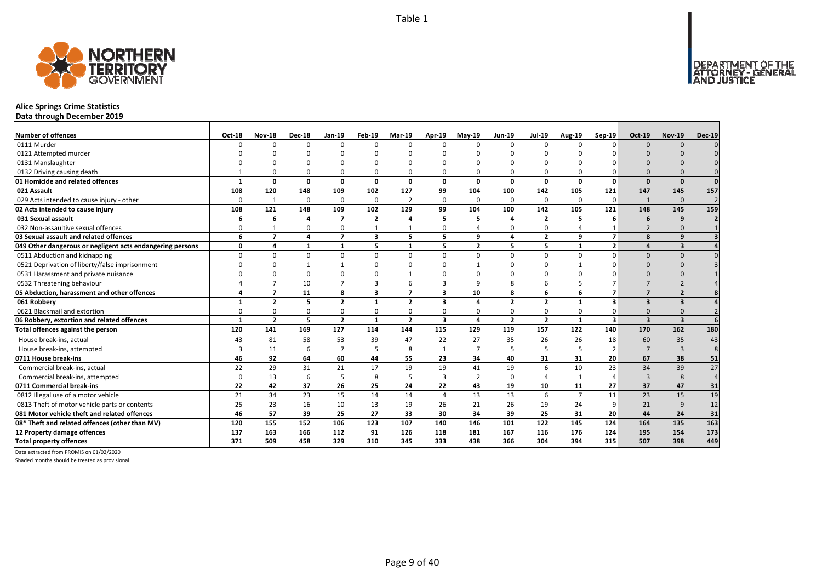

# **Alice Springs Crime Statistics**

**Data through December 2019**

| Number of offences                                        | <b>Oct-18</b> | <b>Nov-18</b>            | <b>Dec-18</b> | <b>Jan-19</b>  | Feb-19         | <b>Mar-19</b>            | Apr-19   | $May-19$       | <b>Jun-19</b>  | <b>Jul-19</b>  | Aug-19         | Sep-19         | Oct-19                   | <b>Nov-19</b>           | <b>Dec-19</b>  |
|-----------------------------------------------------------|---------------|--------------------------|---------------|----------------|----------------|--------------------------|----------|----------------|----------------|----------------|----------------|----------------|--------------------------|-------------------------|----------------|
| 0111 Murder                                               | n             | ŋ                        | $\Omega$      | $\Omega$       | $\Omega$       |                          | $\Omega$ | $\Omega$       | $\Omega$       | $\Omega$       |                | $\Omega$       | $\Omega$                 | $\Omega$                |                |
| 0121 Attempted murder                                     |               |                          |               |                |                |                          |          |                |                |                |                |                |                          |                         |                |
| 0131 Manslaughter                                         |               |                          |               |                |                |                          |          | $\Omega$       |                |                |                |                |                          |                         |                |
| 0132 Driving causing death                                |               |                          |               | $\Omega$       | O              |                          |          | $\Omega$       | $\Omega$       | O              |                |                |                          |                         |                |
| 01 Homicide and related offences                          |               | $\Omega$                 | 0             | $\mathbf{0}$   | $\mathbf{0}$   | $\Omega$                 | 0        | O              | $\Omega$       | 0              | 0              | $\Omega$       | $\Omega$                 | $\Omega$                | $\Omega$       |
| 021 Assault                                               | 108           | 120                      | 148           | 109            | 102            | 127                      | 99       | 104            | 100            | 142            | 105            | 121            | 147                      | 145                     | 157            |
| 029 Acts intended to cause injury - other                 | $\Omega$      | -1                       | $\Omega$      | $\mathbf 0$    | 0              |                          | $\Omega$ | $\Omega$       | $\Omega$       | 0              | $\Omega$       | $\Omega$       | $\mathbf 1$              | $\Omega$                | $\overline{2}$ |
| 02 Acts intended to cause injury                          | 108           | 121                      | 148           | 109            | 102            | 129                      | 99       | 104            | 100            | 142            | 105            | 121            | 148                      | 145                     | 159            |
| 031 Sexual assault                                        | 6             | 6                        | $\Delta$      | $\overline{7}$ | $\overline{2}$ |                          | 5        | 5              | $\Delta$       | $\overline{2}$ | 5              | 6              | 6                        | 9                       |                |
| 032 Non-assaultive sexual offences                        | 0             |                          | $\Omega$      | 0              | $\mathbf{1}$   |                          | 0        | Δ              | $\Omega$       | 0              |                |                |                          |                         |                |
| 03 Sexual assault and related offences                    | 6             | $\overline{\phantom{a}}$ | 4             | $\overline{7}$ | 3              | 5                        | 5.       | 9              | $\overline{a}$ | $\overline{2}$ | 9              | $\overline{ }$ | 8                        | q                       |                |
| 049 Other dangerous or negligent acts endangering persons | $\Omega$      | 4                        | 1             | $\mathbf{1}$   | 5              | $\mathbf{1}$             | 5        | $\overline{2}$ | 5              | 5              | $\mathbf{1}$   | $\overline{2}$ |                          | $\overline{\mathbf{3}}$ |                |
| 0511 Abduction and kidnapping                             | $\Omega$      | O                        | $\Omega$      | $\Omega$       | $\Omega$       | $\Omega$                 | $\Omega$ | $\Omega$       | $\Omega$       | $\Omega$       | 0              | $\Omega$       | $\Omega$                 | $\Omega$                |                |
| 0521 Deprivation of liberty/false imprisonment            |               |                          |               |                | ŋ              |                          |          |                |                | C              |                |                | n                        |                         |                |
| 0531 Harassment and private nuisance                      |               |                          | $\Omega$      |                |                |                          |          | n              |                |                |                |                |                          |                         |                |
| 0532 Threatening behaviour                                |               |                          | 10            |                | 3              |                          |          | q              | 8              | 6              |                |                |                          |                         |                |
| 05 Abduction, harassment and other offences               |               | $\overline{\phantom{a}}$ | 11            | 8              | 3              | $\overline{\phantom{a}}$ | 3        | 10             | 8              | 6              | 6              | $\overline{ }$ | $\overline{\phantom{a}}$ | $\overline{2}$          |                |
| 061 Robbery                                               |               | $\overline{2}$           | 5             | $\overline{2}$ | 1              | $\overline{2}$           | 3        | Δ              | $\overline{2}$ | $\overline{2}$ | $\mathbf{1}$   | 3              | 3                        | $\overline{\mathbf{3}}$ |                |
| 0621 Blackmail and extortion                              |               |                          | $\Omega$      | 0              | 0              | $\Omega$                 | 0        | $\Omega$       | $\Omega$       | 0              | $\Omega$       |                | <sup>0</sup>             |                         |                |
| 06 Robbery, extortion and related offences                | $\mathbf{1}$  | $\overline{2}$           | 5             | $\overline{2}$ | 1              | $\overline{2}$           | 3        | 4              | $\overline{2}$ | $\overline{2}$ | $\mathbf{1}$   | 3              | $\overline{\mathbf{3}}$  | $\overline{\mathbf{3}}$ |                |
| Total offences against the person                         | 120           | 141                      | 169           | 127            | 114            | 144                      | 115      | 129            | 119            | 157            | 122            | 140            | 170                      | 162                     | 180            |
| House break-ins, actual                                   | 43            | 81                       | 58            | 53             | 39             | 47                       | 22       | 27             | 35             | 26             | 26             | 18             | 60                       | 35                      | 43             |
| House break-ins, attempted                                | 3             | 11                       | 6             | $\overline{7}$ | 5              | 8                        |          | $\overline{7}$ | 5              | 5              | 5              | $\overline{2}$ | $\overline{7}$           | $\overline{3}$          | 8              |
| 0711 House break-ins                                      | 46            | 92                       | 64            | 60             | 44             | 55                       | 23       | 34             | 40             | 31             | 31             | 20             | 67                       | 38                      | 51             |
| Commercial break-ins, actual                              | 22            | 29                       | 31            | 21             | 17             | 19                       | 19       | 41             | 19             | 6              | 10             | 23             | 34                       | 39                      | 27             |
| Commercial break-ins, attempted                           | $\Omega$      | 13                       | 6             | 5              | 8              |                          | 3        | $\overline{2}$ | $\Omega$       | 4              | 1              |                | 3                        | 8                       | $\overline{4}$ |
| 0711 Commercial break-ins                                 | 22            | 42                       | 37            | 26             | 25             | 24                       | 22       | 43             | 19             | 10             | 11             | 27             | 37                       | 47                      | 31             |
| 0812 Illegal use of a motor vehicle                       | 21            | 34                       | 23            | 15             | 14             | 14                       | $\Delta$ | 13             | 13             | 6              | $\overline{7}$ | 11             | 23                       | 15                      | 19             |
| 0813 Theft of motor vehicle parts or contents             | 25            | 23                       | 16            | 10             | 13             | 19                       | 26       | 21             | 26             | 19             | 24             | 9              | 21                       | 9                       | 12             |
| 081 Motor vehicle theft and related offences              | 46            | 57                       | 39            | 25             | 27             | 33                       | 30       | 34             | 39             | 25             | 31             | 20             | 44                       | 24                      | 31             |
| 08* Theft and related offences (other than MV)            | 120           | 155                      | 152           | 106            | 123            | 107                      | 140      | 146            | 101            | 122            | 145            | 124            | 164                      | 135                     | 163            |
| 12 Property damage offences                               | 137           | 163                      | 166           | 112            | 91             | 126                      | 118      | 181            | 167            | 116            | 176            | 124            | 195                      | 154                     | 173            |
| <b>Total property offences</b>                            | 371           | 509                      | 458           | 329            | 310            | 345                      | 333      | 438            | 366            | 304            | 394            | 315            | 507                      | 398                     | 449            |

Data extracted from PROMIS on 01/02/2020

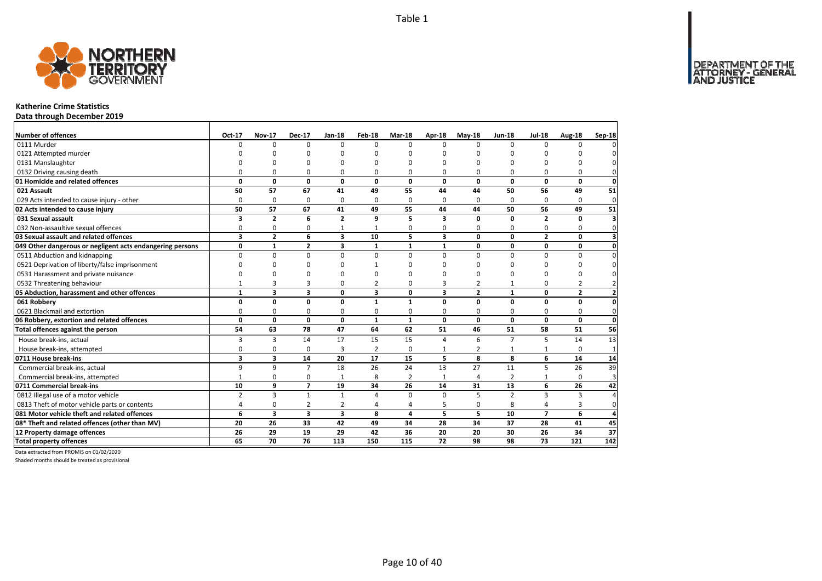

# **Katherine Crime Statistics**

**Data through December 2019**

| Number of offences                                        | Oct-17                  | <b>Nov-17</b>  | <b>Dec-17</b>   | <b>Jan-18</b>           | Feb-18                  | <b>Mar-18</b>  | Apr-18                  | $May-18$       | <b>Jun-18</b>  | <b>Jul-18</b>   | Aug-18         | Sep-18         |
|-----------------------------------------------------------|-------------------------|----------------|-----------------|-------------------------|-------------------------|----------------|-------------------------|----------------|----------------|-----------------|----------------|----------------|
| 0111 Murder                                               | $\Omega$                | 0              | $\Omega$        | $\Omega$                | $\Omega$                | $\Omega$       | $\Omega$                | $\Omega$       | $\Omega$       | $\Omega$        | $\Omega$       |                |
| 0121 Attempted murder                                     |                         | n              | n               | n                       |                         | n              | n                       | n              | n              |                 |                |                |
| 0131 Manslaughter                                         |                         | O              | O               | $\Omega$                |                         | $\Omega$       | O                       | O              | O              |                 | O              |                |
| 0132 Driving causing death                                | $\Omega$                | 0              | 0               | $\Omega$                | $\Omega$                | $\Omega$       | 0                       | O              | $\Omega$       |                 | $\Omega$       |                |
| 01 Homicide and related offences                          | 0                       | 0              | $\mathbf 0$     | $\mathbf{0}$            | 0                       | 0              | 0                       | 0              | $\mathbf 0$    | 0               | 0              | $\mathbf{0}$   |
| 021 Assault                                               | 50                      | 57             | 67              | 41                      | 49                      | 55             | 44                      | 44             | 50             | 56              | 49             | 51             |
| 029 Acts intended to cause injury - other                 | $\Omega$                | $\mathbf 0$    | 0               | 0                       | $\Omega$                | $\Omega$       | 0                       | $\Omega$       | $\Omega$       | $\Omega$        | $\Omega$       | $\mathbf{0}$   |
| 02 Acts intended to cause injury                          | 50                      | 57             | 67              | 41                      | 49                      | 55             | 44                      | 44             | 50             | 56              | 49             | 51             |
| 031 Sexual assault                                        | 3                       | $\overline{2}$ | 6               | $\overline{2}$          | 9                       | 5              | 3                       | 0              | 0              | $\overline{2}$  | $\mathbf{0}$   | З              |
| 032 Non-assaultive sexual offences                        | 0                       | 0              | 0               | $\mathbf{1}$            |                         | $\Omega$       | 0                       | 0              | 0              | 0               | 0              | $\Omega$       |
| 03 Sexual assault and related offences                    | $\overline{\mathbf{3}}$ | $\overline{2}$ | 6               | $\overline{\mathbf{3}}$ | 10                      | 5.             | $\overline{\mathbf{3}}$ | $\mathbf{0}$   | $\Omega$       | $\overline{2}$  | 0              | з              |
| 049 Other dangerous or negligent acts endangering persons | 0                       | $\mathbf{1}$   | $\overline{2}$  | $\overline{\mathbf{3}}$ | 1                       | 1              | $\mathbf{1}$            | 0              | 0              | 0               | 0              | $\mathbf 0$    |
| 0511 Abduction and kidnapping                             | 0                       | 0              | $\mathbf 0$     | $\mathbf 0$             | $\Omega$                | $\Omega$       | <sup>0</sup>            | $\Omega$       | $\Omega$       | $\Omega$        | $\Omega$       | $\Omega$       |
| 0521 Deprivation of liberty/false imprisonment            | O                       | <sup>0</sup>   | <sup>0</sup>    | O                       |                         | ŋ              | ŋ                       | ŋ              | $\Omega$       | O               | 0              | 0              |
| 0531 Harassment and private nuisance                      | O                       | ŋ              | ŋ               | O                       |                         | ŋ              | ŋ                       | ŋ              | O              | n               | 0              | <sup>0</sup>   |
| 0532 Threatening behaviour                                | $\mathbf{1}$            | 3              | 3               | $\mathbf 0$             | 2                       | $\Omega$       | 3                       | 2              | $\mathbf{1}$   | 0               | 2              | $\overline{2}$ |
| 05 Abduction, harassment and other offences               | $\mathbf{1}$            | 3              | 3               | $\mathbf 0$             | $\overline{\mathbf{3}}$ | 0              | 3                       | $\overline{2}$ | $\mathbf{1}$   | 0               | $\overline{2}$ | $\overline{2}$ |
| 061 Robbery                                               | 0                       | $\mathbf{0}$   | $\mathbf{0}$    | $\mathbf 0$             | $\mathbf{1}$            | 1              | $\Omega$                | $\mathbf{0}$   | $\mathbf{0}$   | $\Omega$        | 0              | $\Omega$       |
| 0621 Blackmail and extortion                              | 0                       | 0              | 0               | 0                       | $\Omega$                | 0              | 0                       | 0              | $\mathbf 0$    | 0               | 0              | 0              |
| 06 Robbery, extortion and related offences                | $\mathbf{0}$            | $\mathbf 0$    | $\mathbf{0}$    | $\mathbf 0$             | $\mathbf{1}$            | $\mathbf{1}$   | 0                       | $\mathbf{0}$   | $\Omega$       | 0               | $\mathbf{0}$   | $\mathbf 0$    |
| Total offences against the person                         | 54                      | 63             | 78              | 47                      | 64                      | 62             | 51                      | 46             | 51             | 58              | 51             | 56             |
| House break-ins, actual                                   | 3                       | 3              | 14              | 17                      | 15                      | 15             | 4                       | 6              | $\overline{7}$ | 5               | 14             | 13             |
| House break-ins, attempted                                | $\Omega$                | 0              | 0               | $\overline{3}$          | $\overline{2}$          | $\Omega$       | 1                       | $\overline{2}$ | $\mathbf{1}$   |                 | $\Omega$       | $\mathbf{1}$   |
| 0711 House break-ins                                      | $\overline{\mathbf{3}}$ | 3              | 14              | 20                      | 17                      | 15             | 5                       | 8              | 8              | 6               | 14             | 14             |
| Commercial break-ins, actual                              | 9                       | 9              | $\overline{7}$  | 18                      | 26                      | 24             | 13                      | 27             | 11             | 5               | 26             | 39             |
| Commercial break-ins, attempted                           | $\mathbf{1}$            | 0              | 0               | $\mathbf{1}$            | 8                       | 2              | $\mathbf{1}$            | 4              | $\overline{2}$ | 1               | $\Omega$       | 3              |
| 0711 Commercial break-ins                                 | 10                      | 9              | $\overline{7}$  | 19                      | 34                      | 26             | 14                      | 31             | 13             | 6               | 26             | 42             |
| 0812 Illegal use of a motor vehicle                       | $\overline{2}$          | 3              | $\mathbf{1}$    | $\mathbf{1}$            | 4                       | $\Omega$       | $\Omega$                | 5              | $\overline{2}$ | 3               | 3              | $\Delta$       |
| 0813 Theft of motor vehicle parts or contents             | 4                       | 0              | $\overline{2}$  | $\overline{2}$          | 4                       | $\overline{a}$ | 5                       | 0              | 8              | 4               | 3              | 0              |
| 081 Motor vehicle theft and related offences              | 6                       | 3              | 3               | $\overline{\mathbf{3}}$ | 8                       | 4              | 5                       | 5              | 10             | $\overline{7}$  | 6              | 4              |
| 08* Theft and related offences (other than MV)            | 20                      | 26             | 33              | 42                      | 49                      | 34             | 28                      | 34             | 37             | 28              | 41             | 45             |
| 12 Property damage offences                               | 26                      | 29             | 19              | 29                      | 42                      | 36             | 20                      | 20             | 30             | 26              | 34             | 37             |
| <b>Total property offences</b>                            | 65                      | 70             | $\overline{76}$ | 113                     | 150                     | 115            | 72                      | 98             | 98             | $\overline{73}$ | 121            | 142            |

Data extracted from PROMIS on 01/02/2020

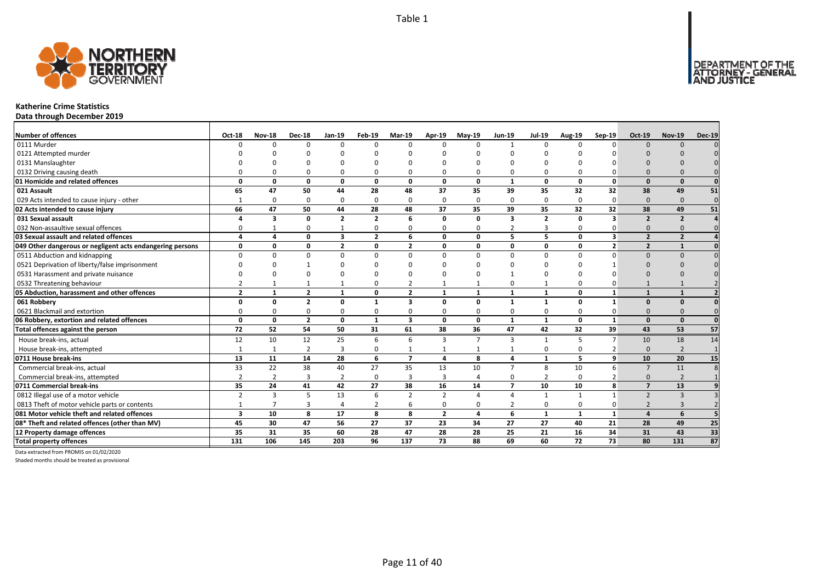

### **Katherine Crime Statistics**

**Data through December 2019**

| <b>Number of offences</b>                                 | <b>Oct-18</b>           | <b>Nov-18</b>  | <b>Dec-18</b>           | Jan-19                  | Feb-19         | <b>Mar-19</b>           | Apr-19         | <b>Mav-19</b>  | <b>Jun-19</b>           | <b>Jul-19</b>  | <b>Aug-19</b> | Sep-19         | <b>Oct-19</b>            | <b>Nov-19</b>  | <b>Dec-19</b> |
|-----------------------------------------------------------|-------------------------|----------------|-------------------------|-------------------------|----------------|-------------------------|----------------|----------------|-------------------------|----------------|---------------|----------------|--------------------------|----------------|---------------|
| 0111 Murder                                               | ∩                       | $\Omega$       | $\Omega$                | $\Omega$                | $\Omega$       | n                       | $\Omega$       | $\Omega$       | $\mathbf{1}$            | $\Omega$       | $\Omega$      | $\Omega$       | $\Omega$                 | $\Omega$       |               |
| 0121 Attempted murder                                     |                         |                |                         |                         | n              |                         |                | n              |                         |                |               |                |                          |                |               |
| 0131 Manslaughter                                         |                         |                |                         |                         |                |                         |                |                |                         |                |               |                |                          |                |               |
| 0132 Driving causing death                                |                         |                | $\Omega$                | $\Omega$                | $\Omega$       |                         |                | O              | $\Omega$                | 0              |               |                |                          |                |               |
| 01 Homicide and related offences                          | O                       | n              | $\Omega$                | $\mathbf{0}$            | $\mathbf{0}$   | $\Omega$                | $\Omega$       | $\Omega$       | $\mathbf{1}$            | $\mathbf{0}$   | $\Omega$      | $\Omega$       | $\Omega$                 | $\Omega$       |               |
| 021 Assault                                               | 65                      | 47             | 50                      | 44                      | 28             | 48                      | 37             | 35             | 39                      | 35             | 32            | 32             | 38                       | 49             | 51            |
| 029 Acts intended to cause injury - other                 |                         | $\Omega$       | $\Omega$                | $\Omega$                | 0              | $\Omega$                | $\Omega$       | $\Omega$       | $\Omega$                | 0              | $\Omega$      | 0              | $\Omega$                 | $\Omega$       | $\mathbf 0$   |
| 02 Acts intended to cause injury                          | 66                      | 47             | 50                      | 44                      | 28             | 48                      | 37             | 35             | 39                      | 35             | 32            | 32             | 38                       | 49             | 51            |
| 031 Sexual assault                                        |                         | 3              | 0                       | $\overline{2}$          | $\overline{2}$ | 6                       | 0              | 0              | $\overline{\mathbf{3}}$ | $\overline{2}$ | $\Omega$      | 3              | $\overline{2}$           | $\overline{2}$ |               |
| 032 Non-assaultive sexual offences                        |                         |                | $\Omega$                | $\mathbf{1}$            | 0              |                         | O              | $\Omega$       | $\overline{2}$          | 3              | $\Omega$      |                | $\Omega$                 | $\Omega$       |               |
| 03 Sexual assault and related offences                    | $\Delta$                | 4              | 0                       | $\overline{\mathbf{3}}$ | $\overline{2}$ | 6                       | 0              | 0              | 5                       | 5              | 0             | 3              | $\overline{2}$           | $\overline{2}$ |               |
| 049 Other dangerous or negligent acts endangering persons | $\Omega$                | n              | 0                       | $\overline{2}$          | 0              | $\overline{\mathbf{z}}$ | O              | $\Omega$       | $\mathbf 0$             | 0              | $\Omega$      | $\overline{2}$ | $\overline{\phantom{a}}$ |                |               |
| 0511 Abduction and kidnapping                             |                         |                | $\Omega$                | $\Omega$                | $\Omega$       | U                       | $\Omega$       | $\Omega$       | $\Omega$                | $\Omega$       | $\Omega$      |                | $\Omega$                 | $\Omega$       |               |
| 0521 Deprivation of liberty/false imprisonment            |                         |                |                         | n                       | ŋ              |                         |                | n              |                         |                |               |                | $\Omega$                 |                |               |
| 0531 Harassment and private nuisance                      |                         |                | $\Omega$                |                         | ŋ              |                         |                | $\Omega$       |                         |                |               |                |                          |                |               |
| 0532 Threatening behaviour                                |                         |                |                         |                         | 0              |                         |                |                | $\Omega$                | $\mathbf{1}$   |               |                |                          |                |               |
| 05 Abduction, harassment and other offences               | $\overline{2}$          | $\mathbf{1}$   | $\overline{2}$          | $\mathbf{1}$            | 0              | $\overline{2}$          | $\mathbf{1}$   | 1              | $\mathbf{1}$            | $\mathbf{1}$   | $\Omega$      | 1              | $\mathbf{1}$             | $\mathbf{1}$   |               |
| 061 Robbery                                               | n                       | n              | $\overline{\mathbf{z}}$ | $\mathbf{0}$            | $\mathbf{1}$   | 3                       | 0              | O              | $\mathbf{1}$            | $\mathbf{1}$   | $\Omega$      | 1              | $\Omega$                 | $\Omega$       |               |
| 0621 Blackmail and extortion                              |                         |                | $\Omega$                | $\Omega$                | 0              |                         |                | O              | $\Omega$                | 0              |               |                | $\Omega$                 |                |               |
| 06 Robbery, extortion and related offences                | 0                       | 0              | $\overline{2}$          | $\mathbf{0}$            | $\mathbf{1}$   | $\overline{\mathbf{3}}$ | 0              | 0              | $\mathbf{1}$            | $\mathbf{1}$   | 0             | $\mathbf{1}$   | $\Omega$                 | $\Omega$       | $\Omega$      |
| Total offences against the person                         | 72                      | 52             | 54                      | 50                      | 31             | 61                      | 38             | 36             | 47                      | 42             | 32            | 39             | 43                       | 53             | 57            |
| House break-ins, actual                                   | 12                      | 10             | 12                      | 25                      | 6              | 6                       | 3              | $\overline{7}$ | $\overline{3}$          | $\mathbf{1}$   |               | $\overline{7}$ | 10                       | 18             | 14            |
| House break-ins, attempted                                |                         | $\mathbf{1}$   | $\overline{2}$          | $\overline{3}$          | 0              |                         |                |                |                         | 0              | $\Omega$      |                | $\Omega$                 | $\mathcal{D}$  |               |
| 0711 House break-ins                                      | 13                      | 11             | 14                      | 28                      | 6              | $\overline{ }$          | 4              | 8              | $\overline{a}$          | $\mathbf{1}$   |               | 9              | 10                       | 20             | 15            |
| Commercial break-ins, actual                              | 33                      | 22             | 38                      | 40                      | 27             | 35                      | 13             | 10             | $\overline{7}$          | 8              | 10            | 6              | $\overline{7}$           | 11             |               |
| Commercial break-ins, attempted                           |                         | $\overline{2}$ | 3                       | $\overline{2}$          | 0              | 3                       | 3              |                | 0                       | $\overline{2}$ | $\Omega$      |                | $\Omega$                 | $\overline{2}$ |               |
| 0711 Commercial break-ins                                 | 35                      | 24             | 41                      | 42                      | 27             | 38                      | 16             | 14             | $\overline{7}$          | 10             | 10            | 8              | $\overline{ }$           | 13             |               |
| 0812 Illegal use of a motor vehicle                       | $\overline{2}$          | 3              | 5                       | 13                      | 6              | $\overline{2}$          | $\mathcal{P}$  | $\Lambda$      | $\overline{4}$          | $\mathbf{1}$   |               |                | $\overline{\phantom{0}}$ | $\overline{3}$ |               |
| 0813 Theft of motor vehicle parts or contents             |                         |                | 3                       | $\overline{4}$          | 2              | 6                       | 0              | O              | $\overline{2}$          | 0              | $\Omega$      | 0              |                          | 3              |               |
| 081 Motor vehicle theft and related offences              | $\overline{\mathbf{3}}$ | 10             | 8                       | 17                      | 8              | 8                       | $\overline{2}$ | $\mathbf{A}$   | 6                       | $\mathbf{1}$   | $\mathbf{1}$  | $\mathbf{1}$   | $\mathbf{A}$             | 6              |               |
| 08* Theft and related offences (other than MV)            | 45                      | 30             | 47                      | 56                      | 27             | 37                      | 23             | 34             | 27                      | 27             | 40            | 21             | 28                       | 49             | 25            |
| 12 Property damage offences                               | 35                      | 31             | 35                      | 60                      | 28             | 47                      | 28             | 28             | 25                      | 21             | 16            | 34             | 31                       | 43             | 33            |
| <b>Total property offences</b>                            | 131                     | 106            | 145                     | 203                     | 96             | 137                     | 73             | 88             | 69                      | 60             | 72            | 73             | 80                       | 131            | 87            |

Data extracted from PROMIS on 01/02/2020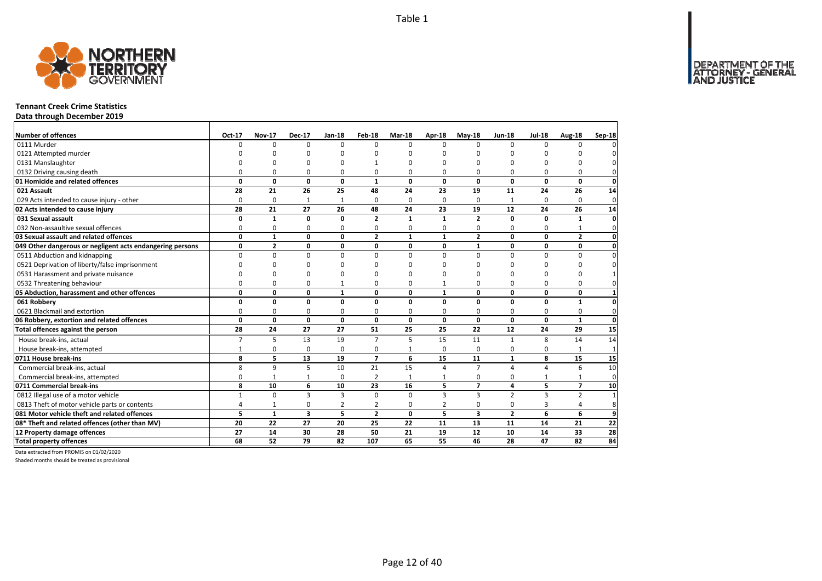

# **Tennant Creek Crime Statistics**

**Data through December 2019**

| <b>Number of offences</b>                                 | Oct-17         | <b>Nov-17</b>  | <b>Dec-17</b>           | <b>Jan-18</b>   | Feb-18         | <b>Mar-18</b> | Apr-18         | $May-18$                | <b>Jun-18</b>  | <b>Jul-18</b>  | Aug-18          | Sep-18          |
|-----------------------------------------------------------|----------------|----------------|-------------------------|-----------------|----------------|---------------|----------------|-------------------------|----------------|----------------|-----------------|-----------------|
| 0111 Murder                                               | 0              | 0              | $\Omega$                | $\Omega$        | $\Omega$       | $\Omega$      | $\Omega$       | $\Omega$                | $\Omega$       | $\Omega$       | $\Omega$        |                 |
| 0121 Attempted murder                                     | U              | <sup>n</sup>   | n                       | C               |                | ŋ             | n              | n                       | n              |                | ŋ               |                 |
| 0131 Manslaughter                                         |                | <sup>0</sup>   | O                       | $\Omega$        |                | ŋ             | n              | ŋ                       | n              |                | O               |                 |
| 0132 Driving causing death                                | $\Omega$       | 0              | $\Omega$                | 0               | 0              | $\Omega$      | 0              | ŋ                       | $\Omega$       | 0              | 0               | 0               |
| 01 Homicide and related offences                          | 0              | $\mathbf 0$    | $\mathbf{0}$            | $\mathbf 0$     | $\mathbf{1}$   | $\mathbf{0}$  | $\Omega$       | $\mathbf{0}$            | $\mathbf{0}$   | 0              | $\mathbf{0}$    | $\mathbf 0$     |
| 021 Assault                                               | 28             | 21             | 26                      | 25              | 48             | 24            | 23             | 19                      | 11             | 24             | 26              | 14              |
| 029 Acts intended to cause injury - other                 | $\Omega$       | 0              | 1                       | $\mathbf{1}$    | $\Omega$       | $\Omega$      | 0              | $\Omega$                | $\mathbf{1}$   | $\Omega$       | 0               | $\mathbf{0}$    |
| 02 Acts intended to cause injury                          | 28             | 21             | 27                      | 26              | 48             | 24            | 23             | 19                      | 12             | 24             | 26              | 14              |
| 031 Sexual assault                                        | 0              | $\mathbf{1}$   | $\mathbf 0$             | $\mathbf{0}$    | $\overline{2}$ | 1             | $\mathbf{1}$   | $\overline{2}$          | $\mathbf 0$    | <sup>0</sup>   | $\mathbf{1}$    | $\mathbf{0}$    |
| 032 Non-assaultive sexual offences                        | 0              | 0              | 0                       | 0               | $\Omega$       | 0             | 0              | 0                       | 0              | $\Omega$       | $\mathbf{1}$    | $\Omega$        |
| 03 Sexual assault and related offences                    | 0              | $\mathbf{1}$   | $\mathbf{0}$            | $\mathbf 0$     | $\overline{2}$ | $\mathbf{1}$  | $\mathbf{1}$   | $\overline{2}$          | 0              | $\Omega$       | $\overline{2}$  | 0               |
| 049 Other dangerous or negligent acts endangering persons | 0              | $\overline{2}$ | $\mathbf 0$             | $\mathbf{0}$    | 0              | 0             | 0              | $\mathbf{1}$            | $\mathbf 0$    | 0              | $\mathbf{0}$    | $\mathbf{0}$    |
| 0511 Abduction and kidnapping                             | $\Omega$       | 0              | $\Omega$                | $\Omega$        | $\Omega$       | $\Omega$      | 0              | $\Omega$                | $\Omega$       | $\Omega$       | $\Omega$        | $\Omega$        |
| 0521 Deprivation of liberty/false imprisonment            | $\Omega$       | 0              | 0                       | C               |                | ŋ             | ŋ              | n                       | $\Omega$       | C              | O               |                 |
| 0531 Harassment and private nuisance                      | $\Omega$       | 0              | $\Omega$                | $\Omega$        |                | $\Omega$      | O              | O                       | $\Omega$       | $\Omega$       | O               |                 |
| 0532 Threatening behaviour                                | 0              | 0              | 0                       | $\mathbf{1}$    | $\Omega$       | 0             | $\mathbf{1}$   | 0                       | $\Omega$       | $\Omega$       | $\Omega$        |                 |
| 05 Abduction, harassment and other offences               | 0              | 0              | 0                       | $\mathbf{1}$    | 0              | 0             | $\mathbf{1}$   | 0                       | $\mathbf 0$    | 0              | 0               | 1               |
| 061 Robbery                                               | 0              | 0              | $\mathbf 0$             | $\mathbf{0}$    | $\Omega$       | 0             | 0              | 0                       | $\mathbf 0$    | $\Omega$       | $\mathbf{1}$    | 0               |
| 0621 Blackmail and extortion                              | 0              | 0              | 0                       | 0               | 0              | 0             | 0              | 0                       | 0              | 0              | 0               | 0               |
| 06 Robbery, extortion and related offences                | $\mathbf{0}$   | $\mathbf{0}$   | $\mathbf{0}$            | $\mathbf 0$     | $\Omega$       | 0             | $\mathbf{0}$   | $\mathbf{0}$            | $\mathbf 0$    | O              | $\mathbf{1}$    | $\mathbf{0}$    |
| Total offences against the person                         | 28             | 24             | 27                      | 27              | 51             | 25            | 25             | 22                      | 12             | 24             | 29              | $\overline{15}$ |
| House break-ins, actual                                   | $\overline{7}$ | 5              | 13                      | 19              | $\overline{7}$ | 5             | 15             | 11                      | $\mathbf{1}$   | 8              | 14              | 14              |
| House break-ins, attempted                                | $\mathbf{1}$   | 0              | $\mathbf 0$             | $\Omega$        | $\Omega$       | $\mathbf{1}$  | 0              | $\Omega$                | $\Omega$       | $\Omega$       | 1               | $\mathbf{1}$    |
| 0711 House break-ins                                      | 8              | 5              | 13                      | 19              | $\overline{7}$ | 6             | 15             | 11                      | $\mathbf{1}$   | 8              | 15              | 15              |
| Commercial break-ins, actual                              | 8              | 9              | 5                       | 10              | 21             | 15            | 4              | $\overline{7}$          | $\overline{a}$ | 4              | 6               | 10              |
| Commercial break-ins, attempted                           | 0              | $\mathbf{1}$   | 1                       | 0               | 2              | $\mathbf{1}$  | 1              | 0                       | 0              | 1              | 1               | 0               |
| 0711 Commercial break-ins                                 | 8              | 10             | 6                       | 10              | 23             | 16            | 5              | $\overline{7}$          | 4              | 5              | $\overline{7}$  | 10              |
| 0812 Illegal use of a motor vehicle                       | $\mathbf{1}$   | 0              | 3                       | $\overline{3}$  | $\Omega$       | $\Omega$      | 3              | 3                       | $\overline{2}$ | $\overline{3}$ | $\overline{2}$  | $\overline{1}$  |
| 0813 Theft of motor vehicle parts or contents             | 4              | $\mathbf{1}$   | 0                       | $\overline{2}$  | 2              | $\Omega$      | $\overline{2}$ | 0                       | $\mathbf 0$    | 3              | $\overline{4}$  | 8               |
| 081 Motor vehicle theft and related offences              | 5              | $\mathbf{1}$   | $\overline{\mathbf{3}}$ | 5               | $\overline{2}$ | $\Omega$      | 5              | $\overline{\mathbf{3}}$ | $\overline{2}$ | 6              | 6               | 9               |
| 08* Theft and related offences (other than MV)            | 20             | 22             | 27                      | 20              | 25             | 22            | 11             | 13                      | 11             | 14             | 21              | 22              |
| 12 Property damage offences                               | 27             | 14             | 30                      | 28              | 50             | 21            | 19             | 12                      | 10             | 14             | 33              | 28              |
| <b>Total property offences</b>                            | 68             | 52             | 79                      | $\overline{82}$ | 107            | 65            | 55             | 46                      | 28             | 47             | $\overline{82}$ | 84              |

Data extracted from PROMIS on 01/02/2020

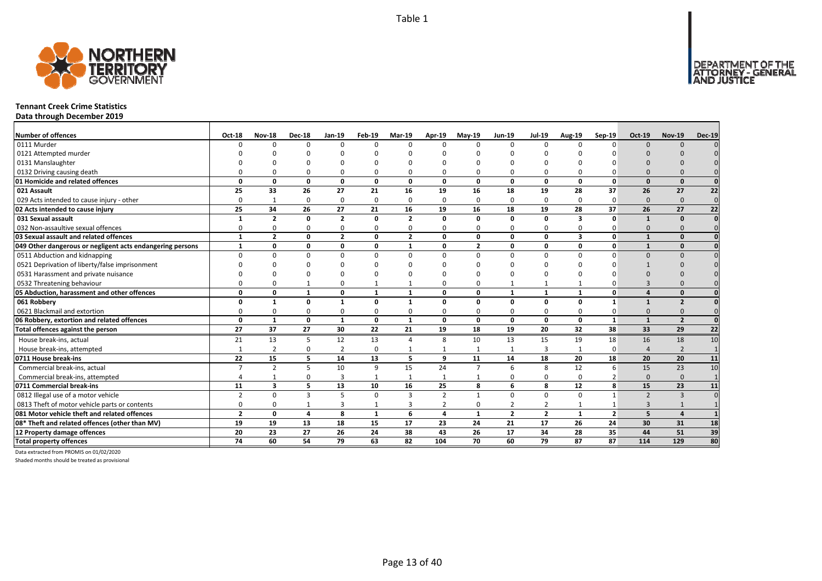

# **Tennant Creek Crime Statistics**

**Data through December 2019**

| <b>Number of offences</b>                                 | <b>Oct-18</b>  | <b>Nov-18</b>           | <b>Dec-18</b> | Jan-19         | Feb-19       | <b>Mar-19</b>  | Apr-19         | <b>Mav-19</b>  | <b>Jun-19</b>  | <b>Jul-19</b>   | <b>Aug-19</b>           | Sep-19         | <b>Oct-19</b>            | <b>Nov-19</b>           | <b>Dec-19</b>   |
|-----------------------------------------------------------|----------------|-------------------------|---------------|----------------|--------------|----------------|----------------|----------------|----------------|-----------------|-------------------------|----------------|--------------------------|-------------------------|-----------------|
| 0111 Murder                                               | ∩              | $\Omega$                | $\Omega$      | $\Omega$       | $\Omega$     | <sup>n</sup>   | $\Omega$       | $\Omega$       | $\Omega$       | $\Omega$        | $\Omega$                | $\Omega$       | $\Omega$                 | $\Omega$                |                 |
| 0121 Attempted murder                                     |                |                         |               |                | n            |                |                | ∩              |                |                 |                         |                |                          |                         |                 |
| 0131 Manslaughter                                         |                |                         |               |                |              |                |                |                |                |                 |                         |                |                          |                         |                 |
| 0132 Driving causing death                                |                |                         | $\Omega$      | $\Omega$       | $\Omega$     |                |                | O              | $\Omega$       | 0               |                         |                |                          |                         |                 |
| 01 Homicide and related offences                          | O              | n                       | $\Omega$      | $\mathbf{0}$   | $\mathbf{0}$ | $\Omega$       | $\Omega$       | $\Omega$       | $\mathbf{0}$   | $\mathbf{0}$    | $\Omega$                | $\Omega$       | $\Omega$                 | $\Omega$                |                 |
| 021 Assault                                               | 25             | 33                      | 26            | 27             | 21           | 16             | 19             | 16             | 18             | 19              | 28                      | 37             | 26                       | 27                      | 22              |
| 029 Acts intended to cause injury - other                 | $\Omega$       | -1                      | $\Omega$      | $\Omega$       | 0            | $\Omega$       | $\Omega$       | $\Omega$       | $\Omega$       | 0               | $\Omega$                | $\Omega$       | $\Omega$                 | $\Omega$                | $\mathbf 0$     |
| 02 Acts intended to cause injury                          | 25             | 34                      | 26            | 27             | 21           | 16             | 19             | 16             | 18             | 19              | 28                      | 37             | 26                       | 27                      | $\overline{22}$ |
| 031 Sexual assault                                        |                | $\overline{\mathbf{z}}$ | 0             | $\overline{2}$ | 0            | $\overline{2}$ | 0              | 0              | $\mathbf{0}$   | 0               | $\overline{\mathbf{3}}$ | $\Omega$       | $\mathbf{1}$             | $\Omega$                |                 |
| 032 Non-assaultive sexual offences                        | ŋ              |                         | $\Omega$      | $\Omega$       | 0            | O              | O              | $\Omega$       | $\Omega$       | 0               | $\Omega$                |                | $\Omega$                 | $\Omega$                |                 |
| 03 Sexual assault and related offences                    | $\mathbf{1}$   | $\overline{2}$          | 0             | $\overline{2}$ | 0            | $\overline{2}$ | 0              | 0              | $\mathbf{0}$   | 0               | $\overline{\mathbf{3}}$ | $\mathbf{0}$   | $\mathbf{1}$             | $\Omega$                |                 |
| 049 Other dangerous or negligent acts endangering persons | $\mathbf{1}$   | n                       | 0             | $\mathbf 0$    | 0            | $\mathbf{1}$   | O              | $\overline{2}$ | $\mathbf{0}$   | 0               | $\Omega$                | $\mathbf{0}$   |                          | $\Omega$                |                 |
| 0511 Abduction and kidnapping                             |                |                         | $\Omega$      | $\Omega$       | $\Omega$     | n              | $\Omega$       | $\Omega$       | $\Omega$       | $\Omega$        | $\Omega$                | $\Omega$       | $\Omega$                 | $\Omega$                |                 |
| 0521 Deprivation of liberty/false imprisonment            |                |                         | $\Omega$      |                | ŋ            |                |                | n              |                | ŋ               |                         |                |                          |                         |                 |
| 0531 Harassment and private nuisance                      |                |                         |               | n              | ŋ            |                |                | $\Omega$       |                |                 |                         |                |                          |                         |                 |
| 0532 Threatening behaviour                                |                |                         |               | $\Omega$       | $\mathbf{1}$ |                |                | $\Omega$       |                | $\mathbf{1}$    |                         |                |                          |                         |                 |
| 05 Abduction, harassment and other offences               | $\Omega$       | O                       | 1             | $\mathbf{0}$   | $\mathbf{1}$ | $\mathbf{1}$   | O              | $\Omega$       | $\mathbf{1}$   | $\mathbf{1}$    | $\mathbf{1}$            | $\Omega$       |                          | $\Omega$                |                 |
| 061 Robbery                                               |                |                         | $\Omega$      | $\mathbf{1}$   | 0            |                | O              | O              | 0              | 0               | $\Omega$                | 1              |                          | $\overline{\mathbf{z}}$ |                 |
| 0621 Blackmail and extortion                              |                |                         | $\Omega$      | $\Omega$       | 0            |                |                | O              | $\Omega$       | 0               |                         |                | $\Omega$                 |                         |                 |
| 06 Robbery, extortion and related offences                | 0              | 1                       | 0             | $\mathbf{1}$   | $\mathbf{0}$ | $\mathbf{1}$   | 0              | 0              | $\mathbf{0}$   | $\mathbf{0}$    | 0                       | $\mathbf{1}$   | $\mathbf{1}$             | $\overline{2}$          |                 |
| Total offences against the person                         | 27             | 37                      | 27            | 30             | 22           | 21             | 19             | 18             | 19             | $\overline{20}$ | 32                      | 38             | 33                       | 29                      | $\overline{22}$ |
| House break-ins, actual                                   | 21             | 13                      | 5             | 12             | 13           | $\Delta$       | 8              | 10             | 13             | 15              | 19                      | 18             | 16                       | 18                      | 10              |
| House break-ins, attempted                                |                | $\overline{2}$          | $\Omega$      | $\overline{2}$ | 0            |                |                |                | $\mathbf{1}$   | 3               |                         | $\Omega$       | $\Lambda$                | $\mathcal{D}$           |                 |
| 0711 House break-ins                                      | 22             | 15                      | 5             | 14             | 13           | 5              | 9              | 11             | 14             | 18              | 20                      | 18             | 20                       | 20                      | 11              |
| Commercial break-ins, actual                              |                | $\overline{2}$          | 5             | 10             | 9            | 15             | 24             | $\overline{7}$ | 6              | 8               | 12                      | 6              | 15                       | 23                      | 10              |
| Commercial break-ins, attempted                           |                |                         | $\Omega$      | 3              | $\mathbf{1}$ |                |                |                | $\Omega$       | 0               | $\Omega$                |                | $\Omega$                 | $\Omega$                |                 |
| 0711 Commercial break-ins                                 | 11             | $\overline{\mathbf{3}}$ | 5             | 13             | 10           | 16             | 25             | 8              | 6              | 8               | 12                      | 8              | 15                       | 23                      | 11              |
| 0812 Illegal use of a motor vehicle                       | $\overline{2}$ | $\Omega$                | 3             | 5              | 0            | $\mathbf{3}$   | $\overline{z}$ | $\mathbf{1}$   | $\Omega$       | 0               | $\Omega$                |                | $\overline{\phantom{0}}$ | $\overline{3}$          |                 |
| 0813 Theft of motor vehicle parts or contents             | O              |                         |               | 3              | 1            | 3              |                | $\Omega$       | $\overline{2}$ | 2               |                         |                | $\mathbf{3}$             |                         |                 |
| 081 Motor vehicle theft and related offences              | $\overline{2}$ | 0                       | 4             | 8              | $\mathbf{1}$ | 6              | 4              | $\mathbf{1}$   | $\overline{2}$ | $\overline{2}$  | $\mathbf{1}$            | $\overline{2}$ | 5                        | $\boldsymbol{\Lambda}$  |                 |
| 08* Theft and related offences (other than MV)            | 19             | 19                      | 13            | 18             | 15           | 17             | 23             | 24             | 21             | 17              | 26                      | 24             | 30                       | 31                      | 18              |
| 12 Property damage offences                               | 20             | 23                      | 27            | 26             | 24           | 38             | 43             | 26             | 17             | 34              | 28                      | 35             | 44                       | 51                      | 39              |
| <b>Total property offences</b>                            | 74             | 60                      | 54            | 79             | 63           | 82             | 104            | 70             | 60             | 79              | 87                      | 87             | 114                      | 129                     | 80              |

Data extracted from PROMIS on 01/02/2020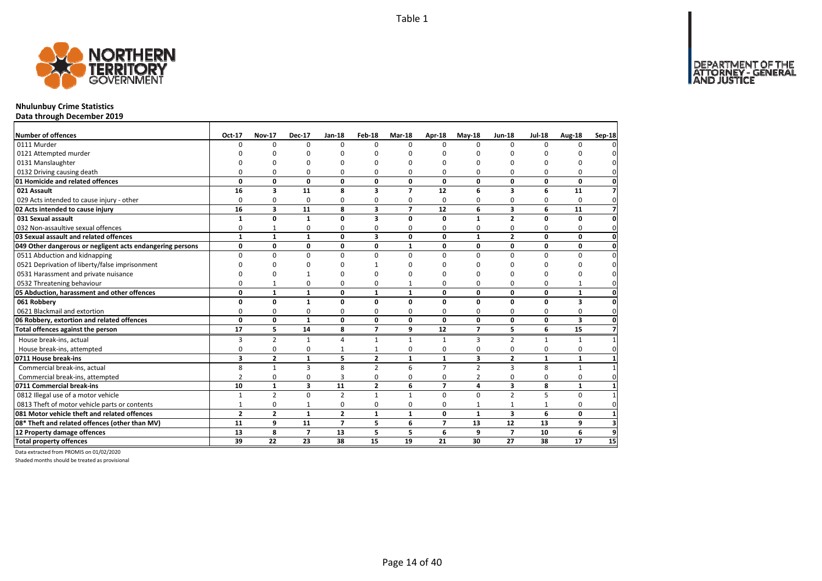

# **Nhulunbuy Crime Statistics**

**Data through December 2019**

| <b>Number of offences</b>                                 | Oct-17         | <b>Nov-17</b>           | <b>Dec-17</b>  | <b>Jan-18</b>  | Feb-18                  | <b>Mar-18</b>  | <b>Apr-18</b>  | $May-18$       | <b>Jun-18</b>           | <b>Jul-18</b> | Aug-18       | Sep-18         |
|-----------------------------------------------------------|----------------|-------------------------|----------------|----------------|-------------------------|----------------|----------------|----------------|-------------------------|---------------|--------------|----------------|
| 0111 Murder                                               | $\Omega$       | $\Omega$                | $\Omega$       | $\Omega$       | $\Omega$                | O              | $\Omega$       | $\Omega$       | $\Omega$                | $\Omega$      | n            |                |
| 0121 Attempted murder                                     |                |                         |                |                |                         | ŋ              |                | n              |                         |               |              |                |
| 0131 Manslaughter                                         |                |                         | ŋ              | O              | O                       | ŋ              | C              | O              |                         | ŋ             |              |                |
| 0132 Driving causing death                                | 0              | 0                       | 0              | $\Omega$       | 0                       | 0              | $\Omega$       | 0              | $\Omega$                | $\Omega$      | 0            |                |
| 01 Homicide and related offences                          | 0              | 0                       | 0              | 0              | 0                       | 0              | 0              | 0              | 0                       | 0             | 0            |                |
| 021 Assault                                               | 16             | $\overline{\mathbf{3}}$ | 11             | 8              | 3                       | $\overline{ }$ | 12             | 6              | $\overline{\mathbf{3}}$ | 6             | 11           | 7              |
| 029 Acts intended to cause injury - other                 | $\Omega$       | 0                       | $\mathbf 0$    | 0              | 0                       | 0              | 0              | 0              | 0                       | 0             | 0            | 0              |
| 02 Acts intended to cause injury                          | 16             | 3                       | 11             | 8              | 3                       | $\overline{ }$ | 12             | 6              | 3                       | 6             | 11           | 7              |
| 031 Sexual assault                                        | 1              | 0                       | $\mathbf{1}$   | $\mathbf{0}$   | 3                       | $\Omega$       | 0              | $\mathbf{1}$   | $\overline{2}$          | 0             | 0            |                |
| 032 Non-assaultive sexual offences                        | 0              | $\mathbf{1}$            | 0              | $\Omega$       | 0                       | 0              | $\Omega$       | $\Omega$       | $\Omega$                | 0             | 0            |                |
| 03 Sexual assault and related offences                    | $\mathbf{1}$   | $\mathbf{1}$            | $\mathbf{1}$   | $\mathbf 0$    | $\overline{\mathbf{3}}$ | $\Omega$       | $\Omega$       | $\mathbf{1}$   | $\overline{2}$          | 0             | 0            | n              |
| 049 Other dangerous or negligent acts endangering persons | 0              | 0                       | 0              | 0              | 0                       | 1              | 0              | 0              | 0                       | 0             | 0            |                |
| 0511 Abduction and kidnapping                             | $\Omega$       | $\Omega$                | $\mathbf 0$    | $\Omega$       | $\Omega$                | 0              | $\Omega$       | $\Omega$       | $\Omega$                | $\Omega$      | 0            |                |
| 0521 Deprivation of liberty/false imprisonment            | $\Omega$       | U                       | 0              | n              |                         | ŋ              | n              | O              | $\Omega$                | ŋ             |              |                |
| 0531 Harassment and private nuisance                      | 0              | O                       |                | $\Omega$       | n                       | ŋ              | n              | O              | ∩                       | ŋ             |              |                |
| 0532 Threatening behaviour                                | $\Omega$       | $\mathbf{1}$            | 0              | $\Omega$       | 0                       | 1              | $\Omega$       | 0              | $\Omega$                | 0             | $\mathbf{1}$ |                |
| 05 Abduction, harassment and other offences               | 0              | $\mathbf{1}$            | $\mathbf{1}$   | $\mathbf 0$    | $\mathbf{1}$            | $\mathbf{1}$   | 0              | 0              | 0                       | 0             | $\mathbf{1}$ |                |
| 061 Robbery                                               | 0              | $\mathbf{0}$            | $\mathbf{1}$   | $\mathbf{0}$   | $\Omega$                | 0              | $\Omega$       | 0              | 0                       | 0             | 3            |                |
| 0621 Blackmail and extortion                              | $\Omega$       | 0                       | 0              | 0              | 0                       | 0              | 0              | 0              | 0                       | 0             | 0            | 0              |
| 06 Robbery, extortion and related offences                | $\mathbf{0}$   | $\mathbf 0$             | $\mathbf{1}$   | $\mathbf 0$    | 0                       | 0              | 0              | $\mathbf{0}$   | $\mathbf 0$             | 0             | 3            | 0              |
| Total offences against the person                         | 17             | 5                       | 14             | 8              | $\overline{7}$          | 9              | 12             | $\overline{7}$ | 5                       | 6             | 15           | $\overline{ }$ |
| House break-ins, actual                                   | 3              | $\overline{2}$          | $\mathbf{1}$   | $\overline{a}$ | $\mathbf{1}$            | $\mathbf{1}$   | 1              | $\overline{3}$ | $\overline{2}$          | $\mathbf{1}$  | $\mathbf{1}$ |                |
| House break-ins, attempted                                | 0              | 0                       | 0              | $\mathbf{1}$   |                         | 0              | 0              | 0              | $\Omega$                | 0             | 0            |                |
| 0711 House break-ins                                      | 3              | $\overline{2}$          | $\mathbf{1}$   | 5              | $\overline{2}$          | $\mathbf{1}$   | $\mathbf{1}$   | 3              | $\overline{2}$          | $\mathbf{1}$  | $\mathbf{1}$ |                |
| Commercial break-ins, actual                              | 8              | $\mathbf{1}$            | $\overline{3}$ | 8              | $\overline{2}$          | 6              | $\overline{7}$ | $\overline{2}$ | $\overline{3}$          | 8             | $\mathbf{1}$ |                |
| Commercial break-ins, attempted                           | $\overline{2}$ | 0                       | 0              | 3              | 0                       | 0              | 0              | 2              | $\Omega$                | $\Omega$      | 0            | O              |
| 0711 Commercial break-ins                                 | 10             | $\mathbf{1}$            | 3              | 11             | $\mathbf{2}$            | 6              | $\overline{7}$ | 4              | $\overline{\mathbf{3}}$ | 8             | $\mathbf{1}$ |                |
| 0812 Illegal use of a motor vehicle                       | $\mathbf{1}$   | $\overline{2}$          | $\Omega$       | $\overline{2}$ | $\mathbf{1}$            | 1              | $\Omega$       | $\Omega$       | $\overline{2}$          | 5             | 0            |                |
| 0813 Theft of motor vehicle parts or contents             | $\mathbf{1}$   | 0                       | $\mathbf{1}$   | $\mathbf 0$    | 0                       | $\Omega$       | 0              | $\mathbf{1}$   | $\mathbf{1}$            | 1             | 0            | O              |
| 081 Motor vehicle theft and related offences              | $\overline{2}$ | $\overline{2}$          | $\mathbf{1}$   | $\overline{2}$ | $\mathbf{1}$            | $\mathbf{1}$   | 0              | $\mathbf{1}$   | 3                       | 6             | 0            |                |
| 08* Theft and related offences (other than MV)            | 11             | 9                       | 11             | $\overline{7}$ | 5                       | 6              | $\overline{7}$ | 13             | 12                      | 13            | 9            |                |
| 12 Property damage offences                               | 13             | 8                       | $\overline{7}$ | 13             | 5                       | 5              | 6              | 9              | $\overline{7}$          | 10            | 6            | 9              |
| <b>Total property offences</b>                            | 39             | $\overline{22}$         | 23             | 38             | 15                      | 19             | 21             | 30             | 27                      | 38            | 17           | 15             |

Data extracted from PROMIS on 01/02/2020

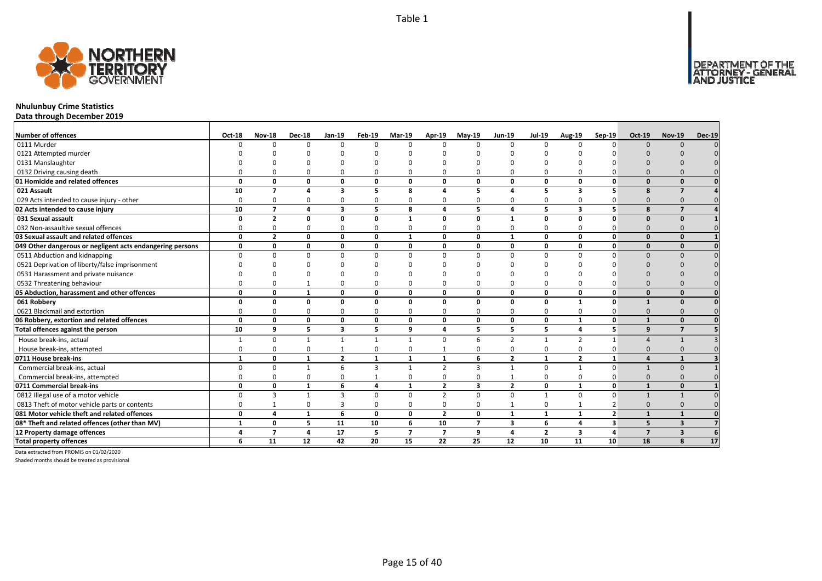

# **Nhulunbuy Crime Statistics**

**Data through December 2019**

| <b>Number of offences</b>                                 | Oct-18       | <b>Nov-18</b>            | <b>Dec-18</b> | Jan-19                  | Feb-19       | Mar-19                   | Apr-19         | $May-19$       | <b>Jun-19</b>           | <b>Jul-19</b>  | Aug-19                  | Sep-19          | $Oct-19$                | <b>Nov-19</b>           | <b>Dec-19</b> |
|-----------------------------------------------------------|--------------|--------------------------|---------------|-------------------------|--------------|--------------------------|----------------|----------------|-------------------------|----------------|-------------------------|-----------------|-------------------------|-------------------------|---------------|
| 0111 Murder                                               |              | U                        | $\Omega$      | $\Omega$                | $\Omega$     |                          | $\Omega$       | $\Omega$       | $\Omega$                | $\Omega$       |                         | $\Omega$        | $\Omega$                | $\Omega$                |               |
| 0121 Attempted murder                                     |              |                          |               |                         |              |                          |                |                |                         |                |                         |                 |                         |                         |               |
| 0131 Manslaughter                                         |              |                          |               |                         |              |                          |                |                |                         |                |                         |                 |                         |                         |               |
| 0132 Driving causing death                                |              |                          |               | $\Omega$                | $\Omega$     |                          |                | $\Omega$       | ∩                       | O              |                         |                 |                         |                         |               |
| 01 Homicide and related offences                          | O            | n                        | 0             | $\mathbf{0}$            | 0            | $\Omega$                 | O              | 0              | $\mathbf{0}$            | 0              | 0                       | $\Omega$        | $\Omega$                | $\Omega$                |               |
| 021 Assault                                               | 10           | $\overline{\phantom{a}}$ | $\mathbf{A}$  | 3                       | 5            | 8                        |                | 5              | $\boldsymbol{\Lambda}$  | 5              | 3                       |                 | 8                       | $\overline{7}$          |               |
| 029 Acts intended to cause injury - other                 | O            | n                        | $\Omega$      | 0                       | 0            |                          |                | O              | $\Omega$                | 0              |                         |                 | $\Omega$                |                         |               |
| 02 Acts intended to cause injury                          | 10           | $\overline{7}$           | $\mathbf{A}$  | $\overline{\mathbf{3}}$ | 5            | 8                        | 4              | 5              | $\overline{\mathbf{4}}$ | 5              | $\overline{\mathbf{3}}$ | 5               | $\mathbf{R}$            | $\overline{7}$          |               |
| 031 Sexual assault                                        | n            | $\overline{2}$           | $\Omega$      | $\Omega$                | 0            | $\mathbf 1$              | O              | O              | $\mathbf{1}$            | 0              | $\Omega$                | $\Omega$        | $\Omega$                | $\Omega$                |               |
| 032 Non-assaultive sexual offences                        |              |                          | $\Omega$      | $\Omega$                | 0            | 0                        | O              | $\Omega$       | $\Omega$                | 0              | $\Omega$                |                 | $\Omega$                |                         |               |
| 03 Sexual assault and related offences                    | $\Omega$     | $\overline{\mathbf{z}}$  | 0             | $\mathbf{0}$            | $\mathbf{0}$ | $\mathbf{1}$             | 0              | 0              | $\mathbf{1}$            | 0              | $\Omega$                | $\mathbf{0}$    | $\Omega$                | $\Omega$                |               |
| 049 Other dangerous or negligent acts endangering persons | 0            | O                        | 0             | $\mathbf{0}$            | 0            | 0                        | O              | 0              | $\mathbf{0}$            | 0              | 0                       | $\mathbf{0}$    | $\Omega$                | $\Omega$                |               |
| 0511 Abduction and kidnapping                             | U            |                          | $\Omega$      | $\Omega$                | $\Omega$     | <sup>n</sup>             | U              | $\Omega$       | $\Omega$                | $\Omega$       | $\Omega$                |                 | $\Omega$                | $\cap$                  |               |
| 0521 Deprivation of liberty/false imprisonment            |              |                          |               |                         | ŋ            |                          |                |                |                         |                |                         |                 |                         |                         |               |
| 0531 Harassment and private nuisance                      |              |                          |               |                         | n            |                          |                |                |                         |                |                         |                 |                         |                         |               |
| 0532 Threatening behaviour                                |              |                          |               | $\Omega$                | 0            |                          |                | $\Omega$       | $\Omega$                | 0              | $\Omega$                |                 | $\Omega$                |                         |               |
| 05 Abduction, harassment and other offences               | $\Omega$     | n                        | $\mathbf{1}$  | $\mathbf 0$             | 0            | $\Omega$                 | O              | 0              | $\mathbf{0}$            | 0              | 0                       | $\mathbf{0}$    | $\Omega$                | $\Omega$                |               |
| 061 Robbery                                               | $\Omega$     | 0                        | $\Omega$      | $\mathbf{0}$            | 0            | $\Omega$                 | 0              | 0              | $\mathbf{0}$            | 0              | $\mathbf{1}$            | $\mathbf{0}$    | $\mathbf{1}$            | $\Omega$                |               |
| 0621 Blackmail and extortion                              |              |                          | $\Omega$      | $\mathbf 0$             | 0            | ŋ                        | O              | $\Omega$       | $\Omega$                | 0              | $\Omega$                | 0               | $\Omega$                |                         |               |
| 06 Robbery, extortion and related offences                | $\Omega$     | 0                        | 0             | $\mathbf 0$             | 0            | $\Omega$                 | 0              | 0              | $\mathbf{0}$            | 0              | 1                       | $\mathbf{0}$    | $\mathbf{1}$            | $\Omega$                |               |
| Total offences against the person                         | 10           | 9                        | 5             | $\overline{\mathbf{3}}$ | 5            | 9                        | 4              | 5              | 5                       | 5              | 4                       | 5 <sup>1</sup>  | 9                       | $\overline{7}$          |               |
| House break-ins, actual                                   |              | 0                        | $\mathbf{1}$  | 1                       | $\mathbf{1}$ | $\mathbf{1}$             | $\Omega$       | 6              | $\overline{2}$          | $\mathbf{1}$   | $\overline{2}$          | 1               | $\Lambda$               | $\mathbf{1}$            |               |
| House break-ins, attempted                                | O            | U                        | $\Omega$      | $\mathbf{1}$            | 0            | $\Omega$                 |                | $\Omega$       | $\Omega$                | 0              | $\Omega$                | 0               | $\Omega$                | $\Omega$                |               |
| 0711 House break-ins                                      | $\mathbf{1}$ | 0                        | $\mathbf{1}$  | $\overline{2}$          | $\mathbf{1}$ | $\mathbf{1}$             | 1              | 6              | $\overline{2}$          | $\mathbf{1}$   | $\overline{2}$          | $\mathbf{1}$    | $\mathbf{A}$            | $\mathbf{1}$            |               |
| Commercial break-ins, actual                              |              | $\Omega$                 |               | 6                       | 3            | $\mathbf{1}$             | $\overline{2}$ | $\overline{3}$ | $\mathbf{1}$            | 0              | -1                      | $\Omega$        |                         | $\Omega$                |               |
| Commercial break-ins, attempted                           |              |                          | $\Omega$      | $\Omega$                | $\mathbf{1}$ |                          |                | O              |                         | 0              | $\Omega$                |                 | $\Omega$                | $\Omega$                |               |
| 0711 Commercial break-ins                                 | 0            | 0                        | $\mathbf{1}$  | 6                       | 4            | 1                        | $\overline{2}$ | 3              | $\overline{2}$          | 0              | $\mathbf{1}$            | $\mathbf{0}$    | $\mathbf{1}$            | $\Omega$                |               |
| 0812 Illegal use of a motor vehicle                       | $\Omega$     | $\mathbf{3}$             |               | $\overline{3}$          | 0            | $\Omega$                 | $\overline{2}$ | $\Omega$       | $\Omega$                | $\mathbf{1}$   | $\Omega$                | $\Omega$        |                         |                         |               |
| 0813 Theft of motor vehicle parts or contents             | $\Omega$     |                          | $\Omega$      | 3                       | 0            | $\Omega$                 | $\Omega$       | $\Omega$       | $\mathbf{1}$            | 0              |                         |                 | $\Omega$                |                         |               |
| 081 Motor vehicle theft and related offences              | $\Omega$     | 4                        | $\mathbf{1}$  | 6                       | 0            | $\mathbf 0$              | $\overline{2}$ | 0              | $\mathbf{1}$            | $\mathbf{1}$   | $\mathbf{1}$            | $\overline{2}$  | $\mathbf{1}$            | $\mathbf{1}$            |               |
| 08* Theft and related offences (other than MV)            | $\mathbf{1}$ | 0                        | 5             | 11                      | 10           | 6                        | 10             | $\overline{ }$ | 3                       | 6              | 4                       | 3               | 5                       | 3                       |               |
| 12 Property damage offences                               | Δ            | $\overline{7}$           | 4             | 17                      | 5            | $\overline{\phantom{a}}$ | $\overline{7}$ | 9              | $\overline{\mathbf{a}}$ | $\overline{2}$ | 3                       | $\overline{a}$  | $\overline{\mathbf{z}}$ | $\overline{\mathbf{3}}$ |               |
| <b>Total property offences</b>                            | 6            | 11                       | 12            | 42                      | 20           | 15                       | 22             | 25             | 12                      | 10             | 11                      | 10 <sup>1</sup> | 18                      | 8                       | 17            |

Data extracted from PROMIS on 01/02/2020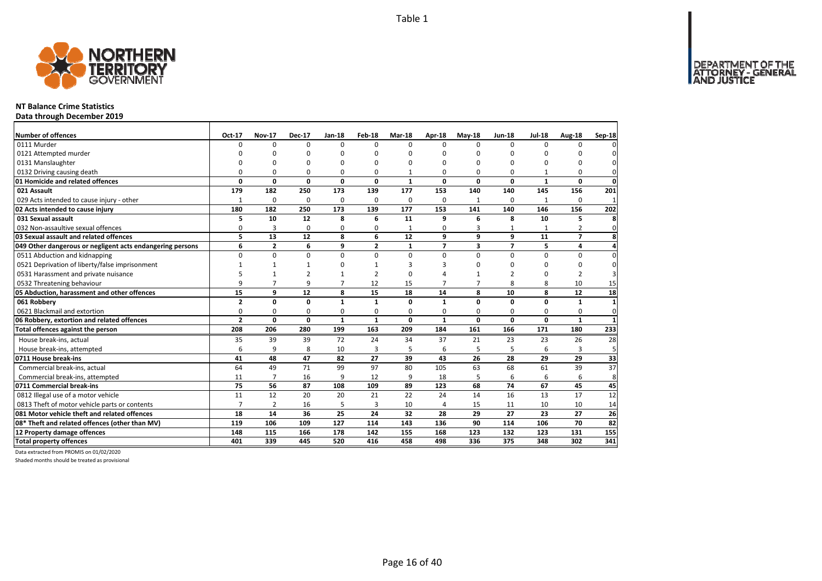

# **NT Balance Crime Statistics**

**Data through December 2019**

| Number of offences                                        | Oct-17         | <b>Nov-17</b>  | <b>Dec-17</b>  | <b>Jan-18</b>  | Feb-18         | Mar-18       | Apr-18         | $May-18$       | <b>Jun-18</b>  | <b>Jul-18</b> | Aug-18         | Sep-18       |
|-----------------------------------------------------------|----------------|----------------|----------------|----------------|----------------|--------------|----------------|----------------|----------------|---------------|----------------|--------------|
| 0111 Murder                                               | U              | $\Omega$       | $\Omega$       | $\Omega$       | $\Omega$       | $\Omega$     | $\Omega$       | $\Omega$       | $\Omega$       | $\Omega$      | 0              |              |
| 0121 Attempted murder                                     | n              | n              | $\Omega$       | C              | O              | n            | $\Omega$       | n              | $\Omega$       | O             | n              |              |
| 0131 Manslaughter                                         |                | C              | 0              | $\Omega$       | O              | O            | $\Omega$       | $\Omega$       | $\Omega$       | O             | 0              |              |
| 0132 Driving causing death                                | O              | O              | $\Omega$       | $\Omega$       | O              |              | $\Omega$       | $\Omega$       | $\Omega$       |               | 0              | $\Omega$     |
| 01 Homicide and related offences                          | $\Omega$       | 0              | $\mathbf 0$    | 0              | 0              | $\mathbf{1}$ | 0              | 0              | $\mathbf 0$    | $\mathbf{1}$  | 0              | $\mathbf 0$  |
| 021 Assault                                               | 179            | 182            | 250            | 173            | 139            | 177          | 153            | 140            | 140            | 145           | 156            | 201          |
| 029 Acts intended to cause injury - other                 | $\mathbf{1}$   | $\Omega$       | $\Omega$       | $\Omega$       | $\Omega$       | 0            | $\Omega$       | -1             | $\Omega$       | 1             | 0              | $\mathbf{1}$ |
| 02 Acts intended to cause injury                          | 180            | 182            | 250            | 173            | 139            | 177          | 153            | 141            | 140            | 146           | 156            | 202          |
| 031 Sexual assault                                        | 5              | 10             | 12             | 8              | 6              | 11           | 9              | 6              | 8              | 10            | 5              | 8            |
| 032 Non-assaultive sexual offences                        | 0              | $\overline{3}$ | 0              | 0              | 0              | $\mathbf{1}$ | 0              | 3              | 1              | $\mathbf{1}$  | 2              | 0            |
| 03 Sexual assault and related offences                    | 5              | 13             | 12             | 8              | 6              | 12           | 9              | 9              | 9              | 11            | $\overline{7}$ | 8            |
| 049 Other dangerous or negligent acts endangering persons | 6              | $\overline{2}$ | 6              | 9              | $\overline{2}$ | 1            | $\overline{7}$ | 3              | $\overline{7}$ | 5             | 4              | 4            |
| 0511 Abduction and kidnapping                             | $\Omega$       | $\Omega$       | $\mathbf 0$    | $\Omega$       | $\Omega$       | 0            | $\Omega$       | $\Omega$       | $\Omega$       | $\Omega$      | $\Omega$       | $\Omega$     |
| 0521 Deprivation of liberty/false imprisonment            | 1              | $\mathbf{1}$   | 1              | O              |                | 3            | З              | n              | $\Omega$       | <sup>0</sup>  | O              | $\Omega$     |
| 0531 Harassment and private nuisance                      | 5              |                | $\overline{2}$ |                | $\mathfrak{p}$ | 0            |                |                | $\mathcal{P}$  | $\Omega$      | $\overline{2}$ |              |
| 0532 Threatening behaviour                                | 9              | $\overline{7}$ | 9              | $\overline{7}$ | 12             | 15           | $\overline{7}$ | $\overline{7}$ | 8              | 8             | 10             | 15           |
| 05 Abduction, harassment and other offences               | 15             | 9              | 12             | 8              | 15             | 18           | 14             | 8              | 10             | 8             | 12             | 18           |
| 061 Robbery                                               | $\mathbf{2}$   | 0              | 0              | $\mathbf{1}$   | $\mathbf{1}$   | $\Omega$     | $\mathbf{1}$   | 0              | 0              | 0             | 1              | $\mathbf{1}$ |
| 0621 Blackmail and extortion                              | 0              | 0              | $\mathbf 0$    | 0              | 0              | 0            | 0              | $\Omega$       | $\Omega$       | 0             | 0              | $\mathbf 0$  |
| 06 Robbery, extortion and related offences                | $\overline{2}$ | 0              | $\mathbf{0}$   | $\mathbf{1}$   | $\mathbf{1}$   | 0            | $\mathbf{1}$   | $\Omega$       | $\mathbf 0$    | 0             | 1              | $\mathbf{1}$ |
| Total offences against the person                         | 208            | 206            | 280            | 199            | 163            | 209          | 184            | 161            | 166            | 171           | 180            | 233          |
| House break-ins, actual                                   | 35             | 39             | 39             | 72             | 24             | 34           | 37             | 21             | 23             | 23            | 26             | 28           |
| House break-ins, attempted                                | 6              | 9              | 8              | 10             | 3              | 5            | 6              | 5              | 5              | 6             | 3              | 5            |
| 0711 House break-ins                                      | 41             | 48             | 47             | 82             | 27             | 39           | 43             | 26             | 28             | 29            | 29             | 33           |
| Commercial break-ins, actual                              | 64             | 49             | 71             | 99             | 97             | 80           | 105            | 63             | 68             | 61            | 39             | 37           |
| Commercial break-ins, attempted                           | 11             | $\overline{7}$ | 16             | 9              | 12             | 9            | 18             | 5              | 6              | 6             | 6              | 8            |
| 0711 Commercial break-ins                                 | 75             | 56             | 87             | 108            | 109            | 89           | 123            | 68             | 74             | 67            | 45             | 45           |
| 0812 Illegal use of a motor vehicle                       | 11             | 12             | 20             | 20             | 21             | 22           | 24             | 14             | 16             | 13            | 17             | 12           |
| 0813 Theft of motor vehicle parts or contents             | $\overline{7}$ | $\overline{2}$ | 16             | 5              | 3              | 10           | 4              | 15             | 11             | 10            | 10             | 14           |
| 081 Motor vehicle theft and related offences              | 18             | 14             | 36             | 25             | 24             | 32           | 28             | 29             | 27             | 23            | 27             | 26           |
| 08* Theft and related offences (other than MV)            | 119            | 106            | 109            | 127            | 114            | 143          | 136            | 90             | 114            | 106           | 70             | 82           |
| 12 Property damage offences                               | 148            | 115            | 166            | 178            | 142            | 155          | 168            | 123            | 132            | 123           | 131            | 155          |
| <b>Total property offences</b>                            | 401            | 339            | 445            | 520            | 416            | 458          | 498            | 336            | 375            | 348           | 302            | 341          |

Data extracted from PROMIS on 01/02/2020

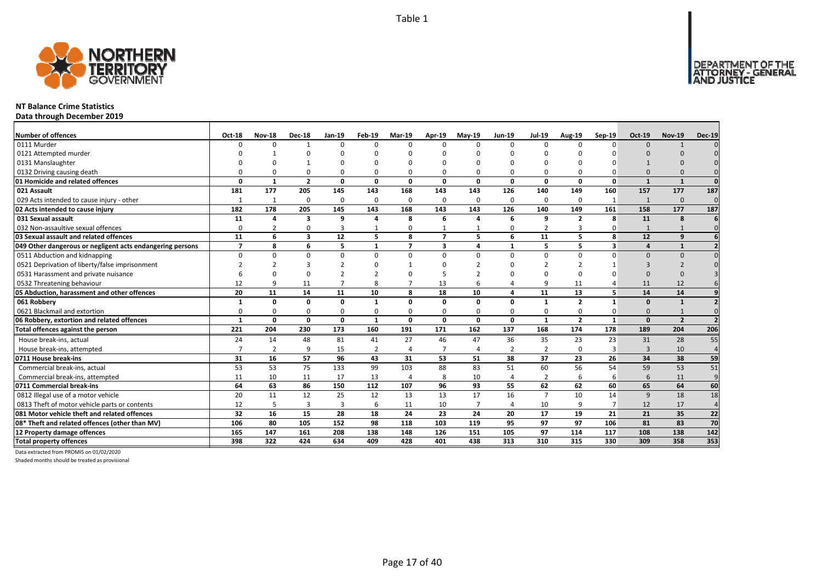DEPARTMENT OF THE<br>ATTORNEY - GENERAL



### **NT Balance Crime Statistics**

**Data through December 2019**

| <b>Number of offences</b>                                 | Oct-18                   | <b>Nov-18</b>  | <b>Dec-18</b>  | Jan-19         | Feb-19       | <b>Mar-19</b>            | Apr-19         | <b>May-19</b>  | <b>Jun-19</b>  | <b>Jul-19</b>  | <b>Aug-19</b>  | $Sep-19$     | <b>Oct-19</b> | <b>Nov-19</b>  | <b>Dec-19</b>  |
|-----------------------------------------------------------|--------------------------|----------------|----------------|----------------|--------------|--------------------------|----------------|----------------|----------------|----------------|----------------|--------------|---------------|----------------|----------------|
| 0111 Murder                                               |                          | $\Omega$       | 1              | $\Omega$       | 0            | $\Omega$                 | $\Omega$       | $\Omega$       | $\Omega$       | 0              | $\Omega$       | $\Omega$     | $\Omega$      | $\mathbf{1}$   |                |
| 0121 Attempted murder                                     |                          |                |                |                |              |                          |                |                |                |                |                |              |               |                |                |
| 0131 Manslaughter                                         |                          |                |                |                |              |                          |                | n              |                |                |                |              |               |                |                |
| 0132 Driving causing death                                |                          |                | $\Omega$       | $\Omega$       | 0            |                          |                | $\Omega$       | $\Omega$       | 0              |                |              |               |                |                |
| 01 Homicide and related offences                          | n                        | $\mathbf{1}$   | $\overline{2}$ | $\mathbf{0}$   | 0            | $\Omega$                 | $\mathbf{0}$   | <sup>0</sup>   | $\Omega$       | 0              | $\Omega$       | $\mathbf{0}$ | $\mathbf{1}$  | $\mathbf{1}$   | $\Omega$       |
| 021 Assault                                               | 181                      | 177            | 205            | 145            | 143          | 168                      | 143            | 143            | 126            | 140            | 149            | 160          | 157           | 177            | 187            |
| 029 Acts intended to cause injury - other                 |                          | 1              | $\Omega$       | $\mathbf 0$    | 0            | $\Omega$                 | $\Omega$       | $\Omega$       | 0              | 0              | $\Omega$       | -1           | $\mathbf{1}$  | $\mathbf{0}$   | $\mathbf{0}$   |
| 02 Acts intended to cause injury                          | 182                      | 178            | 205            | 145            | 143          | 168                      | 143            | 143            | 126            | 140            | 149            | 161          | 158           | 177            | 187            |
| 031 Sexual assault                                        | 11                       | $\Delta$       | 3              | 9              | 4            | 8                        | 6              | 4              | 6              | 9              | $\overline{2}$ | 8            | 11            | 8              | 6              |
| 032 Non-assaultive sexual offences                        | $\Omega$                 | $\overline{2}$ | $\Omega$       | 3              | $\mathbf{1}$ | $\Omega$                 |                | $\mathbf{1}$   | 0              | $\overline{2}$ | 3              | 0            | $\mathbf{1}$  | $\mathbf{1}$   | $\Omega$       |
| 03 Sexual assault and related offences                    | 11                       | 6              | 3              | 12             | 5            | $\mathbf{R}$             | $\overline{7}$ | 5              | 6              | 11             | 5.             | 8            | 12            | $\mathbf{q}$   |                |
| 049 Other dangerous or negligent acts endangering persons | $\overline{\phantom{a}}$ | 8              | 6              | 5              | 1            | $\overline{\phantom{a}}$ | 3              | Δ              | $\mathbf{1}$   | 5              | 5              | 3            | 4             | $\mathbf{1}$   |                |
| 0511 Abduction and kidnapping                             | $\Omega$                 | $\Omega$       | $\Omega$       | $\Omega$       | $\Omega$     | n                        | $\Omega$       | $\Omega$       | $\Omega$       | $\Omega$       | $\Omega$       | O            | $\Omega$      | $\Omega$       |                |
| 0521 Deprivation of liberty/false imprisonment            |                          |                | з              |                |              |                          |                |                |                | 2              |                |              | 3             |                |                |
| 0531 Harassment and private nuisance                      |                          |                | $\Omega$       |                |              |                          |                |                |                | ŋ              | $\Omega$       |              | $\Omega$      |                |                |
| 0532 Threatening behaviour                                | 12                       |                | 11             |                | 8            |                          | 13             |                |                | 9              | 11             |              | 11            | 12             |                |
| 05 Abduction, harassment and other offences               | 20                       | 11             | 14             | 11             | 10           | 8                        | 18             | 10             | $\overline{a}$ | 11             | 13             | 5            | 14            | 14             |                |
| 061 Robbery                                               | -1                       | $\Omega$       | 0              | $\mathbf{0}$   | 1            | $\Omega$                 | 0              | O              | $\Omega$       | $\mathbf{1}$   | $\overline{2}$ | $\mathbf{1}$ | $\Omega$      | $\mathbf{1}$   |                |
| 0621 Blackmail and extortion                              |                          | O              | $\Omega$       | $\Omega$       | 0            | $\Omega$                 | 0              | $\Omega$       | $\Omega$       | 0              | $\Omega$       | 0            | $\Omega$      |                |                |
| 06 Robbery, extortion and related offences                | $\mathbf{1}$             | $\mathbf{0}$   | 0              | $\mathbf 0$    | $\mathbf{1}$ | $\Omega$                 | $\mathbf{0}$   | 0              | $\mathbf 0$    | $\mathbf{1}$   | $\overline{2}$ | $\mathbf{1}$ | $\Omega$      | $\overline{2}$ |                |
| Total offences against the person                         | 221                      | 204            | 230            | 173            | 160          | 191                      | 171            | 162            | 137            | 168            | 174            | 178          | 189           | 204            | 206            |
| House break-ins, actual                                   | 24                       | 14             | 48             | 81             | 41           | 27                       | 46             | 47             | 36             | 35             | 23             | 23           | 31            | 28             | 55             |
| House break-ins, attempted                                |                          | $\overline{2}$ | q              | 15             | 2            |                          | -7             | 4              | $\overline{2}$ | $\overline{2}$ | $\Omega$       | З            | $\mathbf{3}$  | 10             | $\overline{4}$ |
| 0711 House break-ins                                      | 31                       | 16             | 57             | 96             | 43           | 31                       | 53             | 51             | 38             | 37             | 23             | 26           | 34            | 38             | 59             |
| Commercial break-ins, actual                              | 53                       | 53             | 75             | 133            | 99           | 103                      | 88             | 83             | 51             | 60             | 56             | 54           | 59            | 53             | 51             |
| Commercial break-ins, attempted                           | 11                       | 10             | 11             | 17             | 13           | $\overline{4}$           | 8              | 10             | $\overline{4}$ | $\overline{2}$ | 6              | 6            | 6             | 11             | 9              |
| 0711 Commercial break-ins                                 | 64                       | 63             | 86             | 150            | 112          | 107                      | 96             | 93             | 55             | 62             | 62             | 60           | 65            | 64             | 60             |
| 0812 Illegal use of a motor vehicle                       | 20                       | 11             | 12             | 25             | 12           | 13                       | 13             | 17             | 16             | $\overline{7}$ | 10             | 14           | 9             | 18             | 18             |
| 0813 Theft of motor vehicle parts or contents             | 12                       | 5              | 3              | $\overline{3}$ | 6            | 11                       | 10             | $\overline{7}$ | $\overline{4}$ | 10             | 9              |              | 12            | 17             | $\overline{4}$ |
| 081 Motor vehicle theft and related offences              | 32                       | 16             | 15             | 28             | 18           | 24                       | 23             | 24             | 20             | 17             | 19             | 21           | 21            | 35             | 22             |
| 08* Theft and related offences (other than MV)            | 106                      | 80             | 105            | 152            | 98           | 118                      | 103            | 119            | 95             | 97             | 97             | 106          | 81            | 83             | 70             |
| 12 Property damage offences                               | 165                      | 147            | 161            | 208            | 138          | 148                      | 126            | 151            | 105            | 97             | 114            | 117          | 108           | 138            | 142            |
| <b>Total property offences</b>                            | 398                      | 322            | 424            | 634            | 409          | 428                      | 401            | 438            | 313            | 310            | 315            | 330          | 309           | 358            | 353            |

Data extracted from PROMIS on 01/02/2020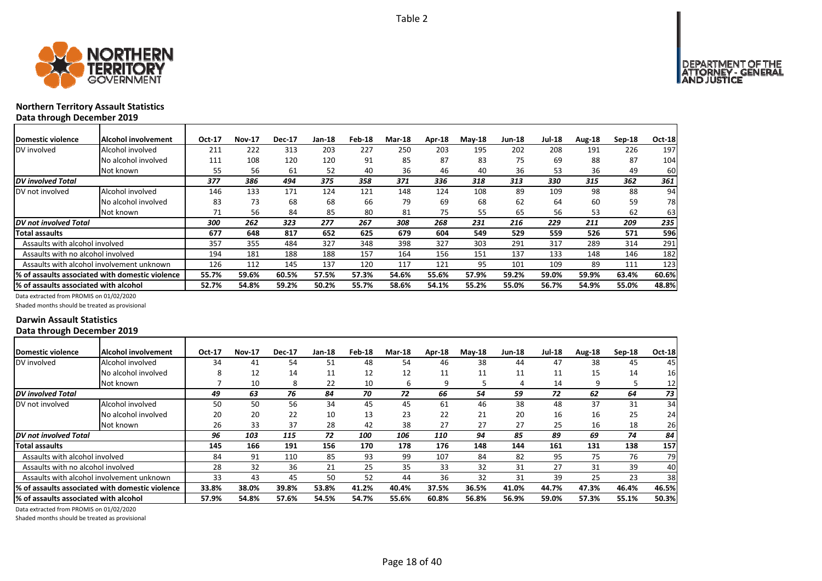

# **Northern Territory Assault Statistics Data through December 2019**

| <b>IDomestic violence</b>              | Alcohol involvement                              | Oct-17 | <b>Nov-17</b> | <b>Dec-17</b> | Jan-18 | Feb-18 | Mar-18 | Apr-18 | $M$ ay-18 | Jun-18 | <b>Jul-18</b> | Aug-18 | $Sep-18$ | Oct-18 |
|----------------------------------------|--------------------------------------------------|--------|---------------|---------------|--------|--------|--------|--------|-----------|--------|---------------|--------|----------|--------|
| DV involved                            | Alcohol involved                                 | 211    | 222           | 313           | 203    | 227    | 250    | 203    | 195       | 202    | 208           | 191    | 226      | 197    |
|                                        | No alcohol involved                              | 111    | 108           | 120           | 120    | 91     | 85     | 87     | 83        | 75     | 69            | 88     | 87       | 104    |
|                                        | Not known                                        | 55     | 56            | 61            | 52     | 40     | 36     | 46     | 40        | 36     | 53            | 36     | 49       | 60     |
| <b>DV</b> involved Total               |                                                  | 377    | 386           | 494           | 375    | 358    | 371    | 336    | 318       | 313    | 330           | 315    | 362      | 361    |
| DV not involved                        | Alcohol involved                                 | 146    | 133           | 171           | 124    | 121    | 148    | 124    | 108       | 89     | 109           | 98     | 88       | 94     |
|                                        | No alcohol involved                              | 83     | 73            | 68            | 68     | 66     | 79     | 69     | 68        | 62     | 64            | 60     | 59       | 78     |
|                                        | Not known                                        | 71     | 56            | 84            | 85     | 80     | 81     | 75     | 55        | 65     | 56            | 53     | 62       | 63     |
| <b>IDV</b> not involved Total          |                                                  | 300    | 262           | 323           | 277    | 267    | 308    | 268    | 231       | 216    | 229           | 211    | 209      | 235    |
| Total assaults                         |                                                  | 677    | 648           | 817           | 652    | 625    | 679    | 604    | 549       | 529    | 559           | 526    | 571      | 596    |
| Assaults with alcohol involved         |                                                  | 357    | 355           | 484           | 327    | 348    | 398    | 327    | 303       | 291    | 317           | 289    | 314      | 291    |
| Assaults with no alcohol involved      |                                                  | 194    | 181           | 188           | 188    | 157    | 164    | 156    | 151       | 137    | 133           | 148    | 146      | 182    |
|                                        | Assaults with alcohol involvement unknown        | 126    | 112           | 145           | 137    | 120    | 117    | 121    | 95        | 101    | 109           | 89     | 111      | 123    |
|                                        | 1% of assaults associated with domestic violence | 55.7%  | 59.6%         | 60.5%         | 57.5%  | 57.3%  | 54.6%  | 55.6%  | 57.9%     | 59.2%  | 59.0%         | 59.9%  | 63.4%    | 60.6%  |
| 1% of assaults associated with alcohol |                                                  | 52.7%  | 54.8%         | 59.2%         | 50.2%  | 55.7%  | 58.6%  | 54.1%  | 55.2%     | 55.0%  | 56.7%         | 54.9%  | 55.0%    | 48.8%  |

Data extracted from PROMIS on 01/02/2020

Shaded months should be treated as provisional

# **Darwin Assault Statistics Data through December 2019**

| Domestic violence                      | <b>Alcohol involvement</b>                      | Oct-17 | <b>Nov-17</b> | <b>Dec-17</b> | <b>Jan-18</b> | Feb-18 | <b>Mar-18</b> | Apr-18 | $M$ ay-18 | <b>Jun-18</b> | <b>Jul-18</b> | Aug-18 | Sep-18 | Oct-18 |
|----------------------------------------|-------------------------------------------------|--------|---------------|---------------|---------------|--------|---------------|--------|-----------|---------------|---------------|--------|--------|--------|
| DV involved                            | Alcohol involved                                | 34     | 41            | 54            | 51            | 48     | 54            | 46     | 38        | 44            | 47            | 38     | 45     | 45     |
|                                        | No alcohol involved                             | я      | 12            | 14            | 11            | 12     | 12            | 11     | 11        | 11            | 11            | 15     | 14     | 16     |
|                                        | Not known                                       |        | 10            | 8             | 22            | 10     | 6             | q      |           |               | 14            | 9      |        | 12     |
| <b>DV</b> involved Total               |                                                 | 49     | 63            | 76            | 84            | 70     | 72            | 66     | 54        | 59            | 72            | 62     | 64     | 73     |
| DV not involved                        | Alcohol involved                                | 50     | 50            | 56            | 34            | 45     | 45            | 61     | 46        | 38            | 48            | 37     | 31     | 34     |
|                                        | No alcohol involved                             | 20     | 20            | 22            | 10            | 13     | 23            | 22     | 21        | 20            | 16            | 16     | 25     | 24     |
|                                        | Not known                                       | 26     | 33            | 37            | 28            | 42     | 38            | 27     | 27        | 27            | 25            | 16     | 18     | 26     |
| DV not involved Total                  |                                                 | 96     | 103           | 115           | 72            | 100    | 106           | 110    | 94        | 85            | 89            | 69     | 74     | 84     |
| Total assaults                         |                                                 | 145    | 166           | 191           | 156           | 170    | 178           | 176    | 148       | 144           | 161           | 131    | 138    | 157    |
| Assaults with alcohol involved         |                                                 | 84     | 91            | 110           | 85            | 93     | 99            | 107    | 84        | 82            | 95            | 75     | 76     | 79     |
| Assaults with no alcohol involved      |                                                 | 28     | 32            | 36            | 21            | 25     | 35            | 33     | 32        | 31            | 27            | 31     | 39     | 40     |
|                                        | Assaults with alcohol involvement unknown       | 33     | 43            | 45            | 50            | 52     | 44            | 36     | 32        | 31            | 39            | 25     | 23     | 38     |
|                                        | % of assaults associated with domestic violence | 33.8%  | 38.0%         | 39.8%         | 53.8%         | 41.2%  | 40.4%         | 37.5%  | 36.5%     | 41.0%         | 44.7%         | 47.3%  | 46.4%  | 46.5%  |
| l% of assaults associated with alcohol |                                                 | 57.9%  | 54.8%         | 57.6%         | 54.5%         | 54.7%  | 55.6%         | 60.8%  | 56.8%     | 56.9%         | 59.0%         | 57.3%  | 55.1%  | 50.3%  |

Data extracted from PROMIS on 01/02/2020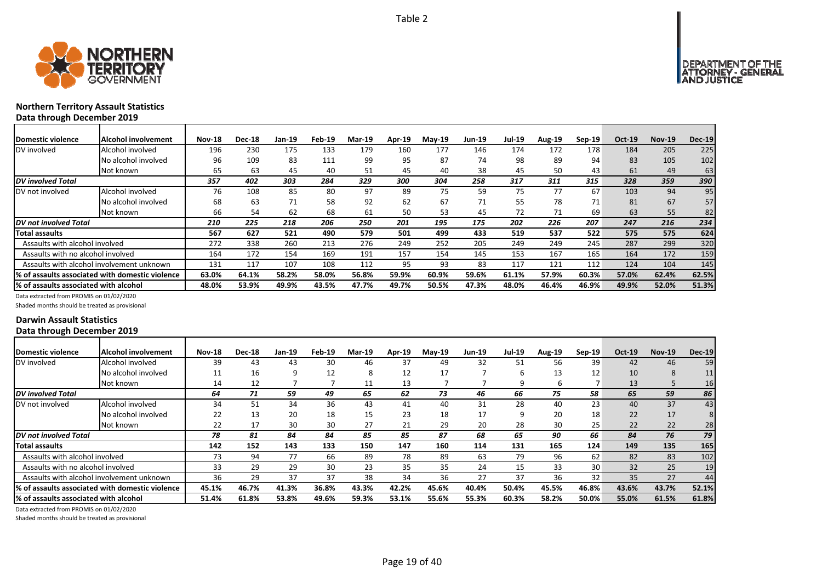



# **Northern Territory Assault Statistics** Data

| Data through December 2019            |                                                  |               |               |        |        |               |        |          |               |               |        |          |        |               |               |
|---------------------------------------|--------------------------------------------------|---------------|---------------|--------|--------|---------------|--------|----------|---------------|---------------|--------|----------|--------|---------------|---------------|
| Domestic violence                     | <b>Alcohol involvement</b>                       | <b>Nov-18</b> | <b>Dec-18</b> | Jan-19 | Feb-19 | <b>Mar-19</b> | Apr-19 | $May-19$ | <b>Jun-19</b> | <b>Jul-19</b> | Aug-19 | $Sep-19$ | Oct-19 | <b>Nov-19</b> | <b>Dec-19</b> |
| DV involved                           | Alcohol involved                                 | 196           | 230           | 175    | 133    | 179           | 160    | 177      | 146           | 174           | 172    | 178      | 184    | 205           | 225           |
|                                       | No alcohol involved                              | 96            | 109           | 83     | 111    | 99            | 95     | 87       | 74            | 98            | 89     | 94       | 83     | 105           | 102           |
|                                       | Not known                                        | 65            | 63            | 45     | 40     | 51            | 45     | 40       | 38            | 45            | 50     | 43       | 61     | 49            | 63            |
| <b>IDV</b> involved Total             |                                                  | 357           | 402           | 303    | 284    | 329           | 300    | 304      | 258           | 317           | 311    | 315      | 328    | 359           | 390           |
| DV not involved                       | Alcohol involved                                 | 76            | 108           | 85     | 80     | 97            | 89     | 75       | 59            | 75            | 77     | 67       | 103    | 94            | 95            |
|                                       | No alcohol involved                              | 68            | 63            | 71     | 58     | 92            | 62     | 67       | 71            | 55            | 78     | 71       | 81     | 67            | 57            |
|                                       | Not known                                        | 66            | 54            | 62     | 68     | 61            | 50     | 53       | 45            | 72            | 71     | 69       | 63     | 55            | 82            |
| <b>IDV</b> not involved Total         |                                                  | 210           | 225           | 218    | 206    | 250           | 201    | 195      | 175           | 202           | 226    | 207      | 247    | 216           | 234           |
| Total assaults                        |                                                  | 567           | 627           | 521    | 490    | 579           | 501    | 499      | 433           | 519           | 537    | 522      | 575    | 575           | 624           |
| Assaults with alcohol involved        |                                                  | 272           | 338           | 260    | 213    | 276           | 249    | 252      | 205           | 249           | 249    | 245      | 287    | 299           | 320           |
| Assaults with no alcohol involved     |                                                  | 164           | 172           | 154    | 169    | 191           | 157    | 154      | 145           | 153           | 167    | 165      | 164    | 172           | 159           |
|                                       | Assaults with alcohol involvement unknown        | 131           | 117           | 107    | 108    | 112           | 95     | 93       | 83            | 117           | 121    | 112      | 124    | 104           | 145           |
|                                       | 1% of assaults associated with domestic violence | 63.0%         | 64.1%         | 58.2%  | 58.0%  | 56.8%         | 59.9%  | 60.9%    | 59.6%         | 61.1%         | 57.9%  | 60.3%    | 57.0%  | 62.4%         | 62.5%         |
| % of assaults associated with alcohol |                                                  | 48.0%         | 53.9%         | 49.9%  | 43.5%  | 47.7%         | 49.7%  | 50.5%    | 47.3%         | 48.0%         | 46.4%  | 46.9%    | 49.9%  | 52.0%         | 51.3%         |

Data extracted from PROMIS on 01/02/2020

Shaded months should be treated as provisional

# **Darwin Assault Statistics Data through December 2019**

| Domestic violence                     | Alcohol involvement                              | <b>Nov-18</b> | <b>Dec-18</b> | Jan-19 | <b>Feb-19</b> | <b>Mar-19</b> | Apr-19 | $Mav-19$ | <b>Jun-19</b> | <b>Jul-19</b> | <b>Aug-19</b> | $Sep-19$        | <b>Oct-19</b> | <b>Nov-19</b> | <b>Dec-19</b> |
|---------------------------------------|--------------------------------------------------|---------------|---------------|--------|---------------|---------------|--------|----------|---------------|---------------|---------------|-----------------|---------------|---------------|---------------|
| DV involved                           | Alcohol involved                                 | 39            | 43            | 43     | 30            | 46            | 37     | 49       | 32            | 51            | 56            | 39              | 42            | 46            | 59            |
|                                       | No alcohol involved                              | 11            | 16            |        | 12            |               | 12     | 17       |               | ь             | 13            | 12              | 10            | 8             |               |
|                                       | Not known                                        | 14            | 12            |        |               | 11            | 13     |          |               | 9             | b             |                 | 13            |               | 16            |
| <b>DV</b> involved Total              |                                                  | 64            | 71            | 59     | 49            | 65            | 62     | 73       | 46            | 66            | 75            | 58              | 65            | 59            | 86            |
| DV not involved                       | Alcohol involved                                 | 34            | 51            | 34     | 36            | 43            | 41     | 40       | 31            | 28            | 40            | 23              | 40            | 37            | 43            |
|                                       | No alcohol involved                              | 22            | 13            | 20     | 18            | 15            | 23     | 18       | 17            | q             | 20            | 18              | 22            | 17            |               |
|                                       | Not known                                        | 22            | 17            | 30     | 30            | 27            | 21     | 29       | 20            | 28            | 30            | 25              | 22            | 22            |               |
| <b>IDV</b> not involved Total         |                                                  | 78            | 81            | 84     | 84            | 85            | 85     | 87       | 68            | 65            | 90            | 66              | 84            | 76            | 79            |
| <b>Total assaults</b>                 |                                                  | 142           | 152           | 143    | 133           | 150           | 147    | 160      | 114           | 131           | 165           | 124             | 149           | 135           | 165           |
| Assaults with alcohol involved        |                                                  | 73            | 94            | 77     | 66            | 89            | 78     | 89       | 63            | 79            | 96            | 62              | 82            | 83            | 102           |
| Assaults with no alcohol involved     |                                                  | 33            | 29            | 29     | 30            | 23            | 35     | 35       | 24            | 15            | 33            | 30 <sup>°</sup> | 32            | 25            | 19            |
|                                       | Assaults with alcohol involvement unknown        | 36            | 29            | 37     | 37            | 38            | 34     | 36       | 27            | 37            | 36            | 32              | 35            | 27            | 44            |
|                                       | 1% of assaults associated with domestic violence | 45.1%         | 46.7%         | 41.3%  | 36.8%         | 43.3%         | 42.2%  | 45.6%    | 40.4%         | 50.4%         | 45.5%         | 46.8%           | 43.6%         | 43.7%         | 52.1%         |
| % of assaults associated with alcohol |                                                  | 51.4%         | 61.8%         | 53.8%  | 49.6%         | 59.3%         | 53.1%  | 55.6%    | 55.3%         | 60.3%         | 58.2%         | 50.0%           | 55.0%         | 61.5%         | 61.8%         |
|                                       |                                                  |               |               |        |               |               |        |          |               |               |               |                 |               |               |               |

Data extracted from PROMIS on 01/02/2020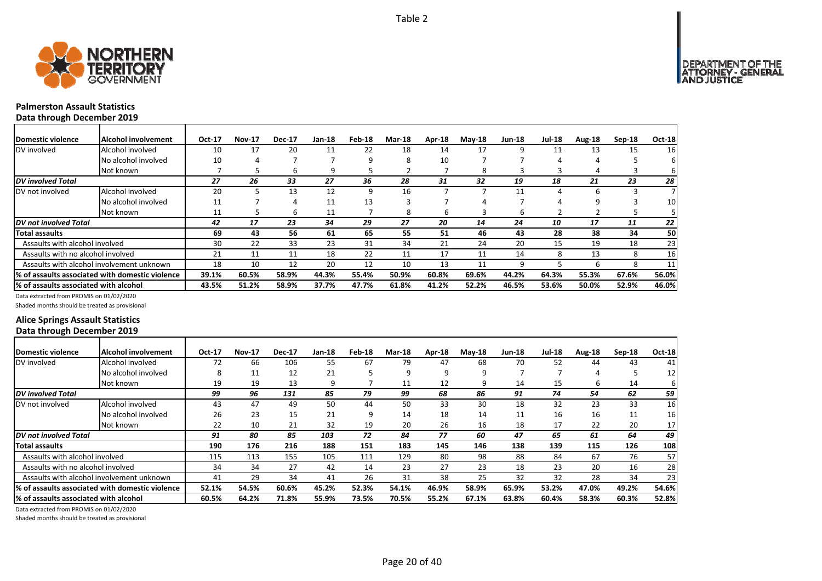

# **Palmerston Assault Statistics**

**Data through December 2019**

| Domestic violence                     | <b>Alcohol involvement</b>                       | Oct-17 | <b>Nov-17</b> | <b>Dec-17</b> | Jan-18 | Feb-18 | <b>Mar-18</b> | Apr-18 | $Mav-18$ | <b>Jun-18</b> | <b>Jul-18</b> | Aug-18 | $Sep-18$ | <b>Oct-18</b> |
|---------------------------------------|--------------------------------------------------|--------|---------------|---------------|--------|--------|---------------|--------|----------|---------------|---------------|--------|----------|---------------|
| DV involved                           | Alcohol involved                                 | 10     | 17            | 20            | 11     | 22     | 18            | 14     | 17       | 9             | 11            | 13     | 15       | 16            |
|                                       | No alcohol involved                              | 10     |               |               |        | 9      | 8             | 10     |          |               | 4             | 4      |          | 61            |
|                                       | Not known                                        |        |               | b             | 9      |        |               |        | 8        |               |               | 4      |          | 6             |
| <b>DV</b> involved Total              |                                                  | 27     | 26            | 33            | 27     | 36     | 28            | 31     | 32       | 19            | 18            | 21     | 23       | 28            |
| DV not involved                       | Alcohol involved                                 | 20     |               | 13            | 12     | 9      | 16            |        |          | 11            | 4             | 6      |          |               |
|                                       | No alcohol involved                              | 11     |               | 4             | 11     | 13     |               |        |          |               |               | 9      |          | 10            |
|                                       | Not known                                        | 11     | ר             | 6             | 11     |        | 8             | b      |          | b             |               |        |          |               |
| <b>DV</b> not involved Total          |                                                  | 42     | 17            | 23            | 34     | 29     | 27            | 20     | 14       | 24            | 10            | 17     | 11       | 22            |
| <b>Total assaults</b>                 |                                                  | 69     | 43            | 56            | 61     | 65     | 55            | 51     | 46       | 43            | 28            | 38     | 34       | 50            |
| Assaults with alcohol involved        |                                                  | 30     | 22            | 33            | 23     | 31     | 34            | 21     | 24       | 20            | 15            | 19     | 18       | 23            |
| Assaults with no alcohol involved     |                                                  | 21     | 11            | 11            | 18     | 22     | 11            | 17     | 11       | 14            | 8             | 13     | 8        | 16            |
|                                       | Assaults with alcohol involvement unknown        | 18     | 10            | 12            | 20     | 12     | 10            | 13     | 11       | 9             |               | h      | 8        | 11            |
|                                       | 1% of assaults associated with domestic violence | 39.1%  | 60.5%         | 58.9%         | 44.3%  | 55.4%  | 50.9%         | 60.8%  | 69.6%    | 44.2%         | 64.3%         | 55.3%  | 67.6%    | 56.0%         |
| % of assaults associated with alcohol |                                                  | 43.5%  | 51.2%         | 58.9%         | 37.7%  | 47.7%  | 61.8%         | 41.2%  | 52.2%    | 46.5%         | 53.6%         | 50.0%  | 52.9%    | 46.0%         |

Data extracted from PROMIS on 01/02/2020

Shaded months should be treated as provisional

# **Alice Springs Assault Statistics Data through December 2019**

| Domestic violence                      | <b>Alcohol involvement</b>                       | Oct-17 | <b>Nov-17</b> | <b>Dec-17</b> | Jan-18 | Feb-18 | <b>Mar-18</b> | Apr-18 | $May-18$ | <b>Jun-18</b> | <b>Jul-18</b> | Aug-18 | $Sep-18$ | <b>Oct-18</b>   |
|----------------------------------------|--------------------------------------------------|--------|---------------|---------------|--------|--------|---------------|--------|----------|---------------|---------------|--------|----------|-----------------|
| DV involved                            | Alcohol involved                                 | 72     | 66            | 106           | 55     | 67     | 79            | 47     | 68       | 70            | 52            | 44     | 43       | 41              |
|                                        | No alcohol involved                              | 8      | 11            | 12            | 21     |        | 9             | q      |          |               |               | 4      |          | 12              |
|                                        | Not known                                        | 19     | 19            | 13            | q      |        | 11            | 12     |          | 14            | 15            | 6      | 14       | 61              |
| <b>DV</b> involved Total               |                                                  | 99     | 96            | 131           | 85     | 79     | 99            | 68     | 86       | 91            | 74            | 54     | 62       | 59              |
| DV not involved                        | Alcohol involved                                 | 43     | 47            | 49            | 50     | 44     | 50            | 33     | 30       | 18            | 32            | 23     | 33       | 16              |
|                                        | No alcohol involved                              | 26     | 23            | 15            | 21     | 9      | 14            | 18     | 14       | 11            | 16            | 16     | 11       | 16              |
|                                        | Not known                                        | 22     | 10            | 21            | 32     | 19     | 20            | 26     | 16       | 18            | 17            | 22     | 20       | 17 <sup>1</sup> |
| DV not involved Total                  |                                                  | 91     | 80            | 85            | 103    | 72     | 84            | 77     | 60       | 47            | 65            | 61     | 64       | 49              |
| Total assaults                         |                                                  | 190    | 176           | 216           | 188    | 151    | 183           | 145    | 146      | 138           | 139           | 115    | 126      | 108             |
| Assaults with alcohol involved         |                                                  | 115    | 113           | 155           | 105    | 111    | 129           | 80     | 98       | 88            | 84            | 67     | 76       | 57              |
| Assaults with no alcohol involved      |                                                  | 34     | 34            | 27            | 42     | 14     | 23            | 27     | 23       | 18            | 23            | 20     | 16       | 28              |
|                                        | Assaults with alcohol involvement unknown        | 41     | 29            | 34            | 41     | 26     | 31            | 38     | 25       | 32            | 32            | 28     | 34       | 23              |
|                                        | 1% of assaults associated with domestic violence | 52.1%  | 54.5%         | 60.6%         | 45.2%  | 52.3%  | 54.1%         | 46.9%  | 58.9%    | 65.9%         | 53.2%         | 47.0%  | 49.2%    | 54.6%           |
| l% of assaults associated with alcohol |                                                  | 60.5%  | 64.2%         | 71.8%         | 55.9%  | 73.5%  | 70.5%         | 55.2%  | 67.1%    | 63.8%         | 60.4%         | 58.3%  | 60.3%    | 52.8%           |

Data extracted from PROMIS on 01/02/2020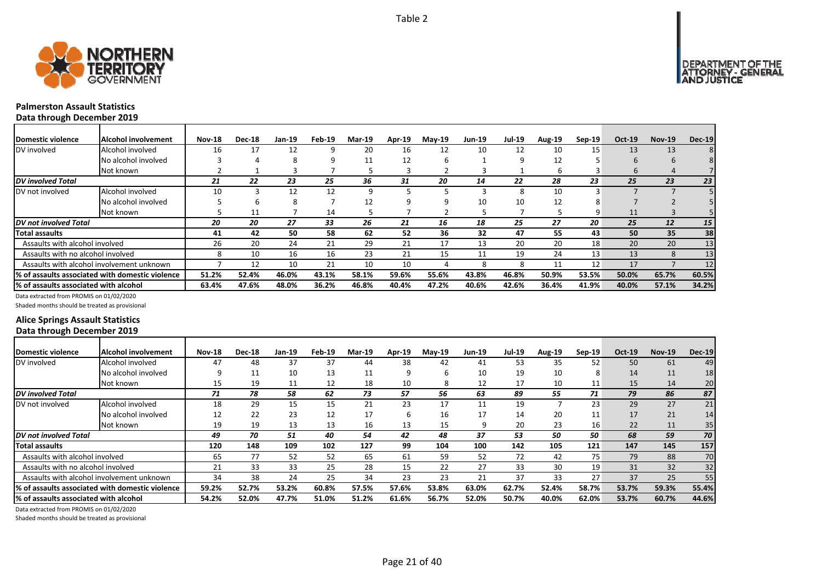

┓

# **Palmerston Assault Statistics**

**Data through December 2019**

| <b>IDomestic violence</b>             | <b>Alcohol involvement</b>                       | <b>Nov-18</b> | <b>Dec-18</b> | Jan-19 | Feb-19 | <b>Mar-19</b> | Apr-19 | $May-19$ | <b>Jun-19</b> | <b>Jul-19</b> | Aug-19 | Sep-19 | Oct-19      | <b>Nov-19</b> | <b>Dec-19</b>   |
|---------------------------------------|--------------------------------------------------|---------------|---------------|--------|--------|---------------|--------|----------|---------------|---------------|--------|--------|-------------|---------------|-----------------|
| DV involved                           | Alcohol involved                                 | 16            | 17            | 12     |        | 20            | 16     | 12       | 10            | 12            | 10     | 15     | 13          | 13            |                 |
|                                       | No alcohol involved                              |               |               | 8      |        | 11            | 12     | h        |               | 9             | 12     |        | 6           | 6             |                 |
|                                       | Not known                                        |               |               |        |        |               |        |          |               |               | 6      |        | $\mathbf b$ | 4             |                 |
| <b>DV</b> involved Total              |                                                  | 21            | 22            | 23     | 25     | 36            | 31     | 20       | 14            | 22            | 28     | 23     | 25          | 23            | 23              |
| DV not involved                       | Alcohol involved                                 | 10            |               | 12     | 12     | 9             |        |          |               | 8             | 10     |        |             |               |                 |
|                                       | No alcohol involved                              |               |               | 8      |        | 12            |        |          | 10            | 10            | 12     |        |             |               |                 |
|                                       | Not known                                        |               | 11            |        | 14     |               |        |          |               |               |        | 9      | 11          |               |                 |
| <b>IDV</b> not involved Total         |                                                  | 20            | 20            | 27     | 33     | 26            | 21     | 16       | 18            | 25            | 27     | 20     | 25          | 12            | 15 <sup>1</sup> |
| <b>Total assaults</b>                 |                                                  | 41            | 42            | 50     | 58     | 62            | 52     | 36       | 32            | 47            | 55     | 43     | 50          | 35            | 38              |
| Assaults with alcohol involved        |                                                  | 26            | 20            | 24     | 21     | 29            | 21     | 17       | 13            | 20            | 20     | 18     | 20          | 20            | 13              |
| Assaults with no alcohol involved     |                                                  | 8             | 10            | 16     | 16     | 23            | 21     | 15       | 11            | 19            | 24     | 13     | 13          | 8             | 13              |
|                                       | Assaults with alcohol involvement unknown        |               | 12            | 10     | 21     | 10            | 10     |          | 8             | 8             | 11     | 12     | 17          |               | 12              |
|                                       | 1% of assaults associated with domestic violence | 51.2%         | 52.4%         | 46.0%  | 43.1%  | 58.1%         | 59.6%  | 55.6%    | 43.8%         | 46.8%         | 50.9%  | 53.5%  | 50.0%       | 65.7%         | 60.5%           |
| % of assaults associated with alcohol |                                                  | 63.4%         | 47.6%         | 48.0%  | 36.2%  | 46.8%         | 40.4%  | 47.2%    | 40.6%         | 42.6%         | 36.4%  | 41.9%  | 40.0%       | 57.1%         | 34.2%           |

Data extracted from PROMIS on 01/02/2020

Shaded months should be treated as provisional

# **Alice Springs Assault Statistics Data through December 2019**

| Domestic violence                     | Alcohol involvement                              | <b>Nov-18</b> | <b>Dec-18</b> | Jan-19 | Feb-19 | <b>Mar-19</b> | Apr-19 | <b>Mav-19</b> | <b>Jun-19</b> | Jul-19 | <b>Aug-19</b> | $Sep-19$ | Oct-19 | <b>Nov-19</b> | <b>Dec-19</b> |
|---------------------------------------|--------------------------------------------------|---------------|---------------|--------|--------|---------------|--------|---------------|---------------|--------|---------------|----------|--------|---------------|---------------|
| DV involved                           | Alcohol involved                                 | 47            | 48            | 37     | 37     | 44            | 38     | 42            | 41            | 53     | 35            | 52       | 50     | 61            | 49            |
|                                       | No alcohol involved                              | q             | 11            | 10     | 13     | 11            | 9      | 6             | 10            | 19     | 10            | 8        | 14     | 11            | 18            |
|                                       | Not known                                        | 15            | 19            | 11     | 12     | 18            | 10     | 8             | 12            | 17     | 10            | 11       | 15     | 14            | 20            |
| <b>DV</b> involved Total              |                                                  | 71            | 78            | 58     | 62     | 73            | 57     | 56            | 63            | 89     | 55            | 71       | 79     | 86            | 87            |
| DV not involved                       | Alcohol involved                                 | 18            | 29            | 15     | 15     | 21            | 23     | 17            | 11            | 19     |               | 23       | 29     | 27            | 21            |
|                                       | No alcohol involved                              | 12            | 22            | 23     | 12     | 17            | h      | 16            | 17            | 14     | 20            | 11       | 17     | 21            | 14            |
|                                       | Not known                                        | 19            | 19            | 13     | 13     | 16            | 13     | 15            |               | 20     | 23            | 16       | 22     | 11            | 35            |
| <b>DV</b> not involved Total          |                                                  | 49            | 70            | 51     | 40     | 54            | 42     | 48            | 37            | 53     | 50            | 50       | 68     | 59            | 70            |
| <b>Total assaults</b>                 |                                                  | 120           | 148           | 109    | 102    | 127           | 99     | 104           | 100           | 142    | 105           | 121      | 147    | 145           | 157           |
| Assaults with alcohol involved        |                                                  | 65            | 77            | 52     | 52     | 65            | 61     | 59            | 52            | 72     | 42            | 75       | 79     | 88            | 70            |
| Assaults with no alcohol involved     |                                                  | 21            | 33            | 33     | 25     | 28            | 15     | 22            | 27            | 33     | 30            | 19       | 31     | 32            | 32            |
|                                       | Assaults with alcohol involvement unknown        | 34            | 38            | 24     | 25     | 34            | 23     | 23            | 21            | 37     | 33            | 27       | 37     | 25            | 55            |
|                                       | I% of assaults associated with domestic violence | 59.2%         | 52.7%         | 53.2%  | 60.8%  | 57.5%         | 57.6%  | 53.8%         | 63.0%         | 62.7%  | 52.4%         | 58.7%    | 53.7%  | 59.3%         | 55.4%         |
| % of assaults associated with alcohol |                                                  | 54.2%         | 52.0%         | 47.7%  | 51.0%  | 51.2%         | 61.6%  | 56.7%         | 52.0%         | 50.7%  | 40.0%         | 62.0%    | 53.7%  | 60.7%         | 44.6%         |

Data extracted from PROMIS on 01/02/2020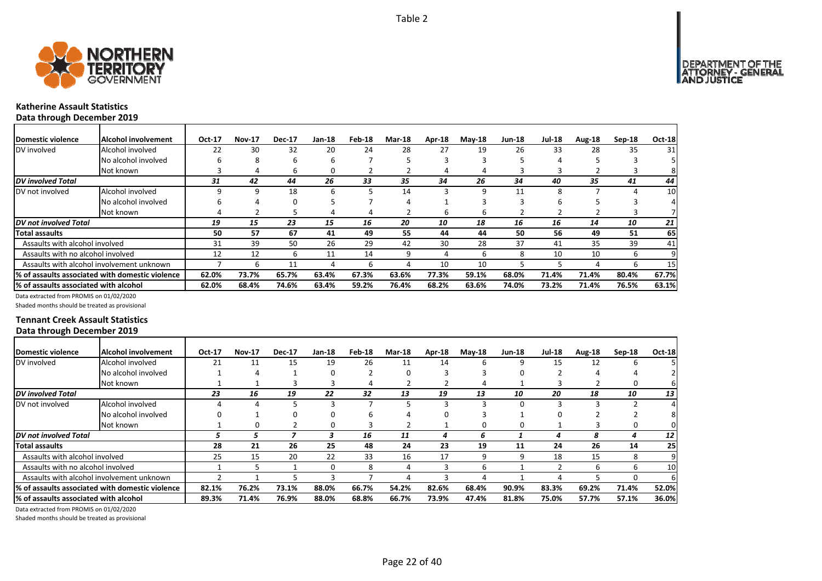

# **Katherine Assault Statistics Data through December 2019**

| <b>Domestic violence</b>              | Alcohol involvement                             | Oct-17 | <b>Nov-17</b> | <b>Dec-17</b> | Jan-18 | Feb-18 | <b>Mar-18</b> | Apr-18 | $M$ ay-18 | <b>Jun-18</b> | <b>Jul-18</b> | Aug-18 | $Sep-18$ | Oct-18 |
|---------------------------------------|-------------------------------------------------|--------|---------------|---------------|--------|--------|---------------|--------|-----------|---------------|---------------|--------|----------|--------|
| DV involved                           | Alcohol involved                                | 22     | 30            | 32            | 20     | 24     | 28            | 27     | 19        | 26            | 33            | 28     | 35       | 31     |
|                                       | No alcohol involved                             | h      | 8             | 6             | b      |        |               |        |           |               |               |        |          |        |
|                                       | Not known                                       |        | 4             | 6             | 0      |        |               |        |           |               |               |        |          |        |
| <b>DV</b> involved Total              |                                                 | 31     | 42            | 44            | 26     | 33     | 35            | 34     | 26        | 34            | 40            | 35     | 41       | 44     |
| DV not involved                       | Alcohol involved                                |        | q             | 18            | 6      | 5      | 14            |        |           | 11            | 8             |        |          | 10     |
|                                       | No alcohol involved                             |        |               | 0             |        |        | 4             |        |           |               | h             |        |          |        |
|                                       | Not known                                       |        |               |               |        | 4      |               |        |           |               |               |        |          |        |
| DV not involved Total                 |                                                 | 19     | 15            | 23            | 15     | 16     | 20            | 10     | 18        | 16            | 16            | 14     | 10       | 21     |
| Total assaults                        |                                                 | 50     | 57            | 67            | 41     | 49     | 55            | 44     | 44        | 50            | 56            | 49     | 51       | 65     |
| Assaults with alcohol involved        |                                                 | 31     | 39            | 50            | 26     | 29     | 42            | 30     | 28        | 37            | 41            | 35     | 39       | 41     |
| Assaults with no alcohol involved     |                                                 | 12     | 12            | 6             | 11     | 14     | 9             |        |           |               | 10            | 10     | b        |        |
|                                       | Assaults with alcohol involvement unknown       |        | 6             | 11            |        | 6      | 4             | 10     | 10        |               |               | 4      | b        | 15     |
|                                       | % of assaults associated with domestic violence | 62.0%  | 73.7%         | 65.7%         | 63.4%  | 67.3%  | 63.6%         | 77.3%  | 59.1%     | 68.0%         | 71.4%         | 71.4%  | 80.4%    | 67.7%  |
| % of assaults associated with alcohol |                                                 | 62.0%  | 68.4%         | 74.6%         | 63.4%  | 59.2%  | 76.4%         | 68.2%  | 63.6%     | 74.0%         | 73.2%         | 71.4%  | 76.5%    | 63.1%  |

Data extracted from PROMIS on 01/02/2020

Shaded months should be treated as provisional

# **Tennant Creek Assault Statistics Data through December 2019**

| <b>IDomestic violence</b>             | <b>Alcohol involvement</b>                       | Oct-17 | <b>Nov-17</b> | <b>Dec-17</b> | Jan-18 | Feb-18 | <b>Mar-18</b> | Apr-18 | $M$ ay-18 | <b>Jun-18</b> | <b>Jul-18</b> | Aug-18 | Sep-18 | <b>Oct-18</b>   |
|---------------------------------------|--------------------------------------------------|--------|---------------|---------------|--------|--------|---------------|--------|-----------|---------------|---------------|--------|--------|-----------------|
| DV involved                           | Alcohol involved                                 | 21     | 11            | 15            | 19     | 26     | 11            | 14     |           |               | 15            | 12     | b      |                 |
|                                       | No alcohol involved                              |        |               |               |        |        |               |        |           |               |               |        |        |                 |
|                                       | Not known                                        |        |               |               |        |        |               |        |           |               |               |        |        |                 |
| <b>DV</b> involved Total              |                                                  | 23     | 16            | 19            | 22     | 32     | 13            | 19     | 13        | 10            | 20            | 18     | 10     | 13              |
| DV not involved                       | Alcohol involved                                 |        |               |               |        |        |               |        |           | O             |               |        |        |                 |
|                                       | No alcohol involved                              |        |               |               |        |        |               |        |           |               |               |        |        |                 |
|                                       | Not known                                        |        |               |               |        |        |               |        |           | 0             |               |        |        |                 |
| <b>DV</b> not involved Total          |                                                  |        | ∍             |               |        | 16     | 11            | 4      | h         |               |               | 8      | 4      | 12              |
| Total assaults                        |                                                  | 28     | 21            | 26            | 25     | 48     | 24            | 23     | 19        | 11            | 24            | 26     | 14     | 25              |
| Assaults with alcohol involved        |                                                  | 25     | 15            | 20            | 22     | 33     | 16            | 17     |           |               | 18            | 15     | 8      | 9               |
| Assaults with no alcohol involved     |                                                  |        |               |               |        | 8      | 4             |        | h         |               |               | 6      | ь      | 10 <sub>l</sub> |
|                                       | Assaults with alcohol involvement unknown        |        |               |               |        |        | Д             |        |           |               |               |        |        | 6               |
|                                       | I% of assaults associated with domestic violence | 82.1%  | 76.2%         | 73.1%         | 88.0%  | 66.7%  | 54.2%         | 82.6%  | 68.4%     | 90.9%         | 83.3%         | 69.2%  | 71.4%  | 52.0%           |
| % of assaults associated with alcohol |                                                  | 89.3%  | 71.4%         | 76.9%         | 88.0%  | 68.8%  | 66.7%         | 73.9%  | 47.4%     | 81.8%         | 75.0%         | 57.7%  | 57.1%  | 36.0%           |

Data extracted from PROMIS on 01/02/2020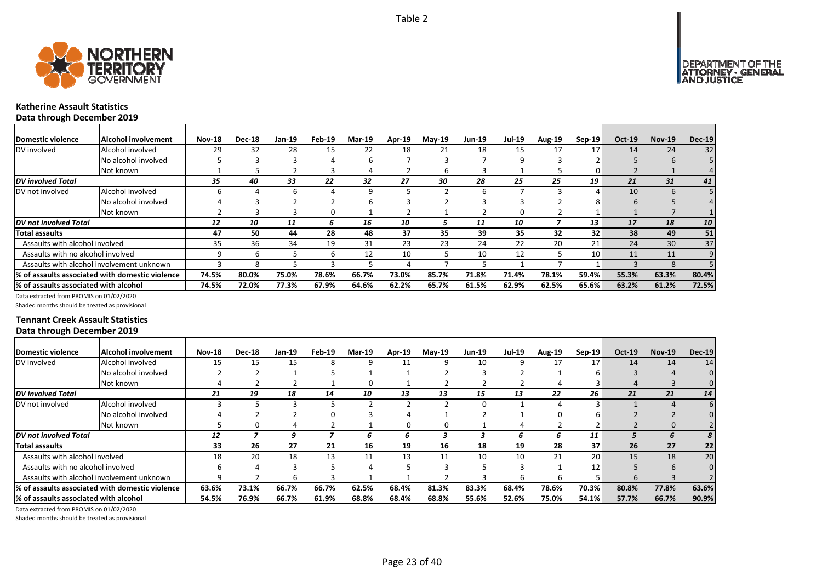



# **Katherine Assault Statistics Data through December 2019**

| <b>Domestic violence</b>              | <b>Alcohol involvement</b>                      | <b>Nov-18</b> | <b>Dec-18</b> | Jan-19 | Feb-19 | Mar-19 | Apr-19 | $Mav-19$ | <b>Jun-19</b> | Jul-19 | <b>Aug-19</b> | Sep-19 | Oct-19 | <b>Nov-19</b>   | <b>Dec-19</b> |
|---------------------------------------|-------------------------------------------------|---------------|---------------|--------|--------|--------|--------|----------|---------------|--------|---------------|--------|--------|-----------------|---------------|
| DV involved                           | Alcohol involved                                | 29            | 32            | 28     | 15     | 22     | 18     | 21       | 18            | 15     | 17            | 17     | 14     | 24              | 32            |
|                                       | No alcohol involved                             |               |               |        |        | ь      |        |          |               |        |               |        |        |                 |               |
|                                       | Not known                                       |               |               |        |        |        |        | b        |               |        |               |        |        |                 |               |
| <b>DV</b> involved Total              |                                                 | 35            | 40            | 33     | 22     | 32     | 27     | 30       | 28            | 25     | 25            | 19     | 21     | 31              | 41            |
| DV not involved                       | Alcohol involved                                |               |               |        |        | q      |        |          |               |        |               |        | 10     |                 |               |
|                                       | No alcohol involved                             |               |               |        |        | h      |        |          |               |        |               |        |        |                 |               |
|                                       | Not known                                       |               |               |        |        |        |        |          |               | 0      |               |        |        |                 |               |
| <b>DV</b> not involved Total          |                                                 | 12            | 10            | 11     | n      | 16     | 10     |          | 11            | 10     |               | 13     | 17     | 18              | 10            |
| <b>Total assaults</b>                 |                                                 | 47            | 50            | 44     | 28     | 48     | 37     | 35       | 39            | 35     | 32            | 32     | 38     | 49              | 51            |
| Assaults with alcohol involved        |                                                 | 35            | 36            | 34     | 19     | 31     | 23     | 23       | 24            | 22     | 20            | 21     | 24     | 30 <sup>°</sup> | 37            |
| Assaults with no alcohol involved     |                                                 |               | h             |        |        | 12     | 10     |          | 10            | 12     |               | 10     | 11     | 11              |               |
|                                       | Assaults with alcohol involvement unknown       |               | Ջ             |        |        |        |        |          |               |        |               |        |        |                 |               |
|                                       | % of assaults associated with domestic violence | 74.5%         | 80.0%         | 75.0%  | 78.6%  | 66.7%  | 73.0%  | 85.7%    | 71.8%         | 71.4%  | 78.1%         | 59.4%  | 55.3%  | 63.3%           | 80.4%         |
| % of assaults associated with alcohol |                                                 | 74.5%         | 72.0%         | 77.3%  | 67.9%  | 64.6%  | 62.2%  | 65.7%    | 61.5%         | 62.9%  | 62.5%         | 65.6%  | 63.2%  | 61.2%           | 72.5%         |

Data extracted from PROMIS on 01/02/2020

Shaded months should be treated as provisional

# **Tennant Creek Assault Statistics Data through December 2019**

| Domestic violence                     | Alcohol involvement                             | <b>Nov-18</b> | <b>Dec-18</b> | Jan-19 | Feb-19 | <b>Mar-19</b> | Apr-19 | <b>May-19</b> | <b>Jun-19</b> | <b>Jul-19</b> | <b>Aug-19</b> | $Sep-19$ | Oct-19 | <b>Nov-19</b> | <b>Dec-19</b> |
|---------------------------------------|-------------------------------------------------|---------------|---------------|--------|--------|---------------|--------|---------------|---------------|---------------|---------------|----------|--------|---------------|---------------|
| DV involved                           | Alcohol involved                                | 15            | 15            | 15     |        |               | 11     | q             | 10            | q             | 17            | 17       | 14     | 14            | 14            |
|                                       | No alcohol involved                             |               |               |        |        |               |        |               |               |               |               | h        |        |               |               |
|                                       | Not known                                       |               |               |        |        |               |        |               |               |               |               |          | 4      |               | 0             |
| <b>DV</b> involved Total              |                                                 | 21            | 19            | 18     | 14     | 10            | 13     | 13            | 15            | 13            | 22            | 26       | 21     | 21            | 14            |
| DV not involved                       | Alcohol involved                                |               |               |        |        |               |        |               |               |               |               |          |        |               | 6             |
|                                       | No alcohol involved                             |               |               |        |        |               |        |               |               |               |               |          |        |               |               |
|                                       | Not known                                       |               |               |        |        |               |        |               |               |               |               |          |        |               |               |
| <b>IDV</b> not involved Total         |                                                 | 12            |               | 9      |        |               | h      |               |               |               |               | 11       |        |               |               |
| Total assaults                        |                                                 | 33            | 26            | 27     | 21     | 16            | 19     | 16            | 18            | 19            | 28            | 37       | 26     | 27            | 22            |
| Assaults with alcohol involved        |                                                 | 18            | 20            | 18     | 13     | 11            | 13     | 11            | 10            | 10            | 21            | 20       | 15     | 18            | 20            |
| Assaults with no alcohol involved     |                                                 |               |               |        |        |               |        |               |               |               |               | 12       |        | 6             | $\Omega$      |
|                                       | Assaults with alcohol involvement unknown       |               |               |        |        |               |        |               |               |               |               |          | h      |               |               |
|                                       | % of assaults associated with domestic violence | 63.6%         | 73.1%         | 66.7%  | 66.7%  | 62.5%         | 68.4%  | 81.3%         | 83.3%         | 68.4%         | 78.6%         | 70.3%    | 80.8%  | 77.8%         | 63.6%         |
| % of assaults associated with alcohol |                                                 | 54.5%         | 76.9%         | 66.7%  | 61.9%  | 68.8%         | 68.4%  | 68.8%         | 55.6%         | 52.6%         | 75.0%         | 54.1%    | 57.7%  | 66.7%         | 90.9%         |

Data extracted from PROMIS on 01/02/2020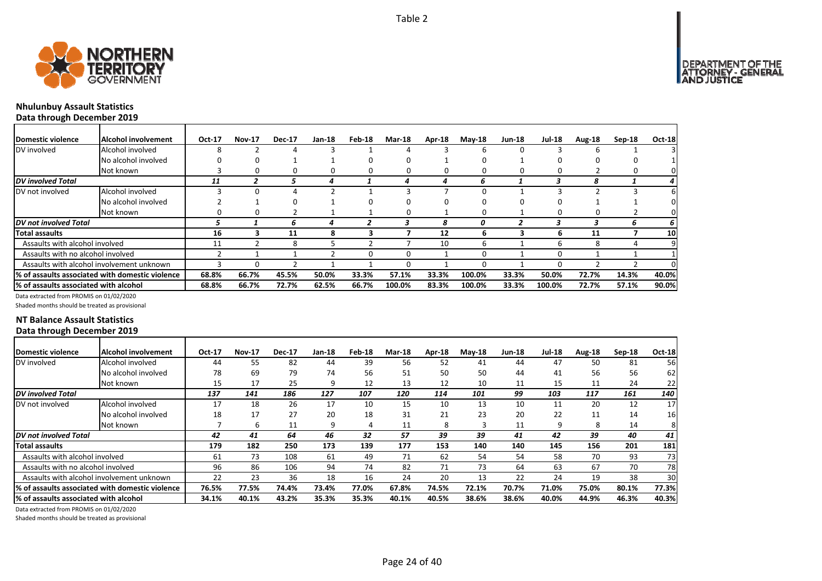

┓

# **Nhulunbuy Assault Statistics**

**Data through December 2019**

| <b>IDomestic violence</b>             | Alcohol involvement                              | Oct-17 | <b>Nov-17</b> | <b>Dec-17</b> | Jan-18 | Feb-18 | <b>Mar-18</b> | Apr-18 | $May-18$ | <b>Jun-18</b> | <b>Jul-18</b> | Aug-18 | $Sep-18$ | <b>Oct-18</b> |
|---------------------------------------|--------------------------------------------------|--------|---------------|---------------|--------|--------|---------------|--------|----------|---------------|---------------|--------|----------|---------------|
| DV involved                           | Alcohol involved                                 | 8      |               |               |        |        |               |        |          |               |               |        |          |               |
|                                       | No alcohol involved                              |        | 0             |               |        |        |               |        |          |               |               |        |          |               |
|                                       | Not known                                        |        |               | $^{(1)}$      |        |        |               |        |          |               |               |        |          |               |
| <b>DV</b> involved Total              |                                                  | 11     |               |               |        |        |               |        |          |               |               | я      |          |               |
| DV not involved                       | Alcohol involved                                 |        | ŋ             |               |        |        |               |        |          |               |               |        |          |               |
|                                       | No alcohol involved                              |        |               |               |        |        |               |        |          |               |               |        |          |               |
|                                       | Not known                                        | O      | 0             |               |        |        |               |        |          |               |               |        |          |               |
| <b>DV</b> not involved Total          |                                                  |        |               | 6             |        | 7      |               | 8      | 0        |               |               |        | ь        |               |
| Total assaults                        |                                                  | 16     |               | 11            | 8      | 3      |               | 12     |          |               | h             | 11     |          | 10            |
| Assaults with alcohol involved        |                                                  | 11     |               | 8             |        |        |               | 10     | h        |               | h             | 8      |          |               |
| Assaults with no alcohol involved     |                                                  |        |               |               |        |        |               |        |          |               |               |        |          |               |
|                                       | Assaults with alcohol involvement unknown        |        | 0             |               |        |        |               |        |          |               |               |        |          |               |
|                                       | 1% of assaults associated with domestic violence | 68.8%  | 66.7%         | 45.5%         | 50.0%  | 33.3%  | 57.1%         | 33.3%  | 100.0%   | 33.3%         | 50.0%         | 72.7%  | 14.3%    | 40.0%         |
| % of assaults associated with alcohol |                                                  | 68.8%  | 66.7%         | 72.7%         | 62.5%  | 66.7%  | 100.0%        | 83.3%  | 100.0%   | 33.3%         | 100.0%        | 72.7%  | 57.1%    | 90.0%         |

Data extracted from PROMIS on 01/02/2020

Shaded months should be treated as provisional

# **NT Balance Assault Statistics Data through December 2019**

| Domestic violence                             | <b>Alcohol involvement</b>                       | Oct-17 | <b>Nov-17</b> | <b>Dec-17</b> | Jan-18 | Feb-18 | <b>Mar-18</b> | Apr-18 | $Mav-18$ | <b>Jun-18</b> | <b>Jul-18</b> | Aug-18 | $Sep-18$ | <b>Oct-18</b> |
|-----------------------------------------------|--------------------------------------------------|--------|---------------|---------------|--------|--------|---------------|--------|----------|---------------|---------------|--------|----------|---------------|
| DV involved                                   | Alcohol involved                                 | 44     | 55            | 82            | 44     | 39     | 56            | 52     | 41       | 44            | 47            | 50     | 81       | 56            |
|                                               | No alcohol involved                              | 78     | 69            | 79            | 74     | 56     | 51            | 50     | 50       | 44            | 41            | 56     | 56       | 62            |
|                                               | Not known                                        | 15     | 17            | 25            | q      | 12     | 13            | 12     | 10       | 11            | 15            | 11     | 24       | 22            |
| DV involved Total                             |                                                  | 137    | 141           | 186           | 127    | 107    | 120           | 114    | 101      | 99            | 103           | 117    | 161      | 140           |
| DV not involved                               | Alcohol involved                                 | 17     | 18            | 26            | 17     | 10     | 15            | 10     | 13       | 10            | 11            | 20     | 12       | 17            |
|                                               | No alcohol involved                              | 18     | 17            | 27            | 20     | 18     | 31            | 21     | 23       | 20            | 22            | 11     | 14       | 16            |
|                                               | Not known                                        |        | ь             | 11            | q      | 4      | 11            | 8      |          | 11            |               | 8      | 14       | 81            |
| DV not involved Total                         |                                                  | 42     | 41            | 64            | 46     | 32     | 57            | 39     | 39       | 41            | 42            | 39     | 40       | 41            |
| Total assaults                                |                                                  | 179    | 182           | 250           | 173    | 139    | 177           | 153    | 140      | 140           | 145           | 156    | 201      | 181           |
| Assaults with alcohol involved                |                                                  | 61     | 73            | 108           | 61     | 49     | 71            | 62     | 54       | 54            | 58            | 70     | 93       | 73            |
| Assaults with no alcohol involved             |                                                  | 96     | 86            | 106           | 94     | 74     | 82            | 71     | 73       | 64            | 63            | 67     | 70       | 78            |
|                                               | Assaults with alcohol involvement unknown        | 22     | 23            | 36            | 18     | 16     | 24            | 20     | 13       | 22            | 24            | 19     | 38       | 30            |
|                                               | l% of assaults associated with domestic violence | 76.5%  | 77.5%         | 74.4%         | 73.4%  | 77.0%  | 67.8%         | 74.5%  | 72.1%    | 70.7%         | 71.0%         | 75.0%  | 80.1%    | 77.3%         |
| <b>1% of assaults associated with alcohol</b> |                                                  | 34.1%  | 40.1%         | 43.2%         | 35.3%  | 35.3%  | 40.1%         | 40.5%  | 38.6%    | 38.6%         | 40.0%         | 44.9%  | 46.3%    | 40.3%         |

Data extracted from PROMIS on 01/02/2020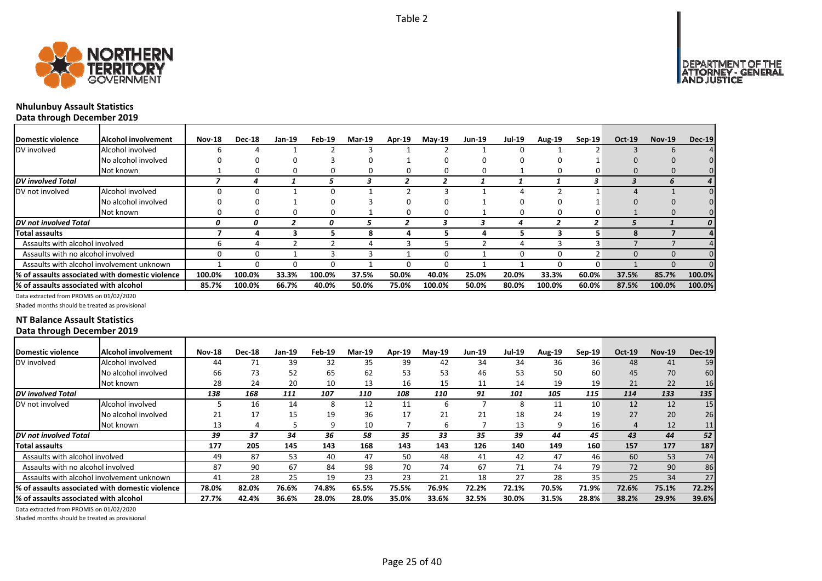

┓

# **Nhulunbuy Assault Statistics**

**Data through December 2019**

| Domestic violence                     | Alcohol involvement                             | <b>Nov-18</b> | <b>Dec-18</b> | Jan-19 | Feb-19 | <b>Mar-19</b> | Apr-19 | $May-19$ | <b>Jun-19</b> | <b>Jul-19</b> | <b>Aug-19</b> | Sep-19 | $Oct-19$ | <b>Nov-19</b> | <b>Dec-19</b>    |
|---------------------------------------|-------------------------------------------------|---------------|---------------|--------|--------|---------------|--------|----------|---------------|---------------|---------------|--------|----------|---------------|------------------|
| DV involved                           | Alcohol involved                                |               |               |        |        |               |        |          |               |               |               |        |          |               |                  |
|                                       | No alcohol involved                             |               |               |        |        |               |        |          |               |               |               |        |          |               |                  |
|                                       | Not known                                       |               |               |        |        |               |        |          |               |               |               |        |          |               |                  |
| DV involved Total                     |                                                 |               |               |        |        |               |        |          |               |               |               | 3.     |          |               | 4 <sup>1</sup>   |
| DV not involved                       | Alcohol involved                                |               |               |        |        |               |        |          |               |               |               |        |          |               |                  |
|                                       | No alcohol involved                             |               |               |        |        |               |        |          |               |               |               |        |          |               |                  |
|                                       | Not known                                       |               | 0             |        | 0      |               |        |          |               | n             | O             |        |          | 0             |                  |
| <b>DV</b> not involved Total          |                                                 | 0             | n             |        |        |               |        |          |               |               |               |        |          |               | $\boldsymbol{o}$ |
| Total assaults                        |                                                 |               |               |        |        | 8             |        |          |               |               |               |        | я        |               |                  |
| Assaults with alcohol involved        |                                                 |               |               |        |        |               |        |          |               |               |               |        |          |               |                  |
| Assaults with no alcohol involved     |                                                 |               |               |        |        |               |        |          |               | n             | o             |        | $\Omega$ | $\Omega$      |                  |
|                                       | Assaults with alcohol involvement unknown       |               | $^{\circ}$    |        | O      |               |        |          |               |               | n             |        |          | n             |                  |
|                                       | % of assaults associated with domestic violence | 100.0%        | 100.0%        | 33.3%  | 100.0% | 37.5%         | 50.0%  | 40.0%    | 25.0%         | 20.0%         | 33.3%         | 60.0%  | 37.5%    | 85.7%         | 100.0%           |
| % of assaults associated with alcohol |                                                 | 85.7%         | 100.0%        | 66.7%  | 40.0%  | 50.0%         | 75.0%  | 100.0%   | 50.0%         | 80.0%         | 100.0%        | 60.0%  | 87.5%    | 100.0%        | 100.0%           |

Data extracted from PROMIS on 01/02/2020

Shaded months should be treated as provisional

# **NT Balance Assault Statistics Data through December 2019**

| Domestic violence                      | <b>Alcohol involvement</b>                       | <b>Nov-18</b> | <b>Dec-18</b> | Jan-19 | Feb-19 | <b>Mar-19</b> | Apr-19 | $Mav-19$ | <b>Jun-19</b> | <b>Jul-19</b> | Aug-19 | $Sep-19$ | Oct-19 | <b>Nov-19</b> | <b>Dec-19</b>   |
|----------------------------------------|--------------------------------------------------|---------------|---------------|--------|--------|---------------|--------|----------|---------------|---------------|--------|----------|--------|---------------|-----------------|
| DV involved                            | Alcohol involved                                 | 44            |               | 39     | 32     | 35            | 39     | 42       | 34            | 34            | 36     | 36       | 48     | 41            | 59              |
|                                        | No alcohol involved                              | 66            | 73            | 52     | 65     | 62            | 53     | 53       | 46            | 53            | 50     | 60       | 45     | 70            | 60              |
|                                        | Not known                                        | 28            | 24            | 20     | 10     | 13            | 16     | 15       | 11            | 14            | 19     | 19       | 21     | 22            | 16              |
| <b>DV</b> involved Total               |                                                  | 138           | 168           | 111    | 107    | 110           | 108    | 110      | 91            | 101           | 105    | 115      | 114    | 133           | 135             |
| DV not involved                        | Alcohol involved                                 |               | 16            | 14     | 8      | 12            | 11     | ь        |               | 8             | 11     | 10       | 12     | 12            | 15 <sub>l</sub> |
|                                        | No alcohol involved                              | 21            | 17            | 15     | 19     | 36            | 17     | 21       | 21            | 18            | 24     | 19       | 27     | 20            | 26              |
|                                        | Not known                                        | 13            |               |        |        | 10            |        | h        |               | 13            | 9      | 16       |        | 12            | 11.             |
| <b>DV</b> not involved Total           |                                                  | 39            | 37            | 34     | 36     | 58            | 35     | 33       | 35            | 39            | 44     | 45       | 43     | 44            | 52              |
| Total assaults                         |                                                  | 177           | 205           | 145    | 143    | 168           | 143    | 143      | 126           | 140           | 149    | 160      | 157    | 177           | 187             |
| Assaults with alcohol involved         |                                                  | 49            | 87            | 53     | 40     | 47            | 50     | 48       | 41            | 42            | 47     | 46       | 60     | 53            | 74              |
| Assaults with no alcohol involved      |                                                  | 87            | 90            | 67     | 84     | 98            | 70     | 74       | 67            | 71            | 74     | 79       | 72     | 90            | 86              |
|                                        | Assaults with alcohol involvement unknown        | 41            | 28            | 25     | 19     | 23            | 23     | 21       | 18            | 27            | 28     | 35       | 25     | 34            | 27              |
|                                        | 1% of assaults associated with domestic violence | 78.0%         | 82.0%         | 76.6%  | 74.8%  | 65.5%         | 75.5%  | 76.9%    | 72.2%         | 72.1%         | 70.5%  | 71.9%    | 72.6%  | 75.1%         | 72.2%           |
| 1% of assaults associated with alcohol |                                                  | 27.7%         | 42.4%         | 36.6%  | 28.0%  | 28.0%         | 35.0%  | 33.6%    | 32.5%         | 30.0%         | 31.5%  | 28.8%    | 38.2%  | 29.9%         | 39.6%           |

Data extracted from PROMIS on 01/02/2020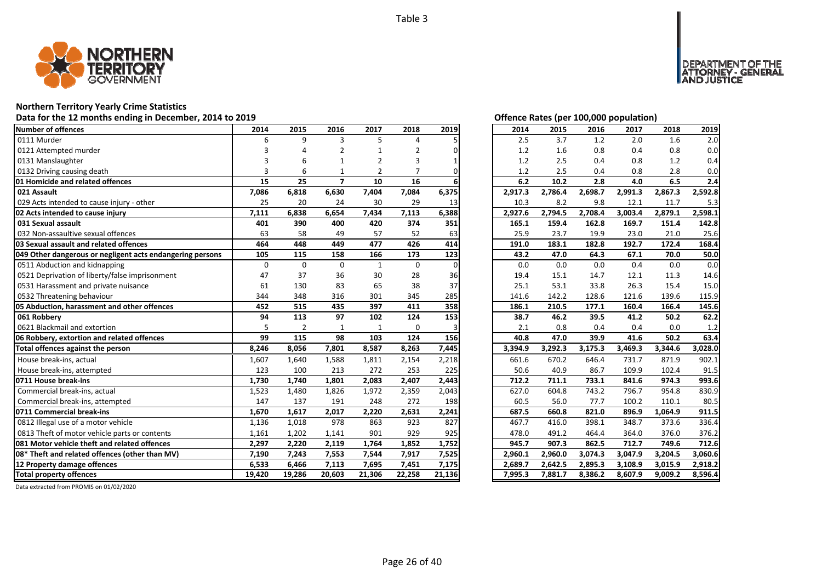

## **Northern Territory Yearly Crime Statistics**

### **Data for the 12 months ending in December, 2014 to 2019 Offence Rates (per 100,000 population)**

| Number of offences                                        | 2014     | 2015           | 2016           | 2017           | 2018        | 2019     | 2014                 | 2015    | 2016    | 2017    | 2018    | 2019    |
|-----------------------------------------------------------|----------|----------------|----------------|----------------|-------------|----------|----------------------|---------|---------|---------|---------|---------|
| 0111 Murder                                               | 6        | 9              | 3              | 5              | Δ           |          | 2.5                  | 3.7     | 1.2     | 2.0     | 1.6     | 2.0     |
| 0121 Attempted murder                                     |          |                | 2              |                | 2           |          | 1.2                  | 1.6     | 0.8     | 0.4     | 0.8     | 0.0     |
| 0131 Manslaughter                                         |          |                | -1             | 2              | 3           |          | 1.2                  | 2.5     | 0.4     | 0.8     | 1.2     | 0.4     |
| 0132 Driving causing death                                | 3        | 6              |                | $\mathfrak{p}$ |             | ŋ        | 1.2                  | 2.5     | 0.4     | 0.8     | 2.8     | 0.0     |
| 01 Homicide and related offences                          | 15       | 25             | $\overline{7}$ | 10             | 16          |          | 6.2                  | 10.2    | 2.8     | 4.0     | 6.5     | 2.4     |
| 021 Assault                                               | 7,086    | 6,818          | 6,630          | 7,404          | 7,084       | 6,375    | 2,917.3              | 2,786.4 | 2,698.7 | 2,991.3 | 2,867.3 | 2,592.8 |
| 029 Acts intended to cause injury - other                 | 25       | 20             | 24             | 30             | 29          | 13       | 10.3                 | 8.2     | 9.8     | 12.1    | 11.7    | 5.3     |
| 02 Acts intended to cause injury                          | 7,111    | 6,838          | 6,654          | 7,434          | 7,113       | 6,388    | 2,927.6              | 2,794.5 | 2,708.4 | 3,003.4 | 2,879.1 | 2,598.1 |
| 031 Sexual assault                                        | 401      | 390            | 400            | 420            | 374         | 351      | 165.1                | 159.4   | 162.8   | 169.7   | 151.4   | 142.8   |
| 032 Non-assaultive sexual offences                        | 63       | 58             | 49             | 57             | 52          | 63       | 25.9                 | 23.7    | 19.9    | 23.0    | 21.0    | 25.6    |
| 03 Sexual assault and related offences                    | 464      | 448            | 449            | 477            | 426         | 414      | 191.0                | 183.1   | 182.8   | 192.7   | 172.4   | 168.4   |
| 049 Other dangerous or negligent acts endangering persons | 105      | 115            | 158            | 166            | 173         | 123      | 43.2                 | 47.0    | 64.3    | 67.1    | 70.0    | 50.0    |
| 0511 Abduction and kidnapping                             | $\Omega$ | $\Omega$       | $\Omega$       | $\mathbf{1}$   | $\mathbf 0$ | $\Omega$ | 0.0                  | 0.0     | 0.0     | 0.4     | 0.0     | 0.0     |
| 0521 Deprivation of liberty/false imprisonment            | 47       | 37             | 36             | 30             | 28          | 36       | 19.4                 | 15.1    | 14.7    | 12.1    | 11.3    | 14.6    |
| 0531 Harassment and private nuisance                      | 61       | 130            | 83             | 65             | 38          | 37       | 25.1                 | 53.1    | 33.8    | 26.3    | 15.4    | 15.0    |
| 0532 Threatening behaviour                                | 344      | 348            | 316            | 301            | 345         | 285      | 141.6                | 142.2   | 128.6   | 121.6   | 139.6   | 115.9   |
| 05 Abduction, harassment and other offences               | 452      | 515            | 435            | 397            | 411         | 358      | 186.1                | 210.5   | 177.1   | 160.4   | 166.4   | 145.6   |
| 061 Robbery                                               | 94       | 113            | 97             | 102            | 124         | 153      | 38.7                 | 46.2    | 39.5    | 41.2    | 50.2    | 62.2    |
| 0621 Blackmail and extortion                              | 5        | $\overline{2}$ | $\mathbf{1}$   | $\mathbf{1}$   | $\mathbf 0$ |          | 2.1                  | 0.8     | 0.4     | 0.4     | 0.0     | 1.2     |
| 06 Robbery, extortion and related offences                | 99       | 115            | 98             | 103            | 124         | 156      | 40.8                 | 47.0    | 39.9    | 41.6    | 50.2    | 63.4    |
| Total offences against the person                         | 8,246    | 8,056          | 7,801          | 8,587          | 8,263       | 7,445    | 3,394.9              | 3,292.3 | 3,175.3 | 3,469.3 | 3,344.6 | 3,028.0 |
| House break-ins, actual                                   | 1,607    | 1,640          | 1,588          | 1,811          | 2,154       | 2,218    | 661.6                | 670.2   | 646.4   | 731.7   | 871.9   | 902.1   |
| House break-ins, attempted                                | 123      | 100            | 213            | 272            | 253         | 225      | 50.6                 | 40.9    | 86.7    | 109.9   | 102.4   | 91.5    |
| 0711 House break-ins                                      | 1,730    | 1,740          | 1,801          | 2,083          | 2,407       | 2,443    | 712.2                | 711.1   | 733.1   | 841.6   | 974.3   | 993.6   |
| Commercial break-ins, actual                              | 1,523    | 1,480          | 1,826          | 1,972          | 2,359       | 2,043    | 627.0                | 604.8   | 743.2   | 796.7   | 954.8   | 830.9   |
| Commercial break-ins, attempted                           | 147      | 137            | 191            | 248            | 272         | 198      | 60.5                 | 56.0    | 77.7    | 100.2   | 110.1   | 80.5    |
| 0711 Commercial break-ins                                 | 1,670    | 1,617          | 2,017          | 2,220          | 2,631       | 2,241    | 687.5                | 660.8   | 821.0   | 896.9   | 1,064.9 | 911.5   |
| 0812 Illegal use of a motor vehicle                       | 1,136    | 1,018          | 978            | 863            | 923         | 827      | 467.7                | 416.0   | 398.1   | 348.7   | 373.6   | 336.4   |
| 0813 Theft of motor vehicle parts or contents             | 1,161    | 1,202          | 1,141          | 901            | 929         | 925      | 478.0                | 491.2   | 464.4   | 364.0   | 376.0   | 376.2   |
| 081 Motor vehicle theft and related offences              | 2,297    | 2,220          | 2,119          | 1,764          | 1,852       | 1,752    | 945.7                | 907.3   | 862.5   | 712.7   | 749.6   | 712.6   |
| 08* Theft and related offences (other than MV)            | 7,190    | 7,243          | 7,553          | 7,544          | 7,917       | 7,525    | 2,960.1              | 2,960.0 | 3,074.3 | 3,047.9 | 3,204.5 | 3,060.6 |
| 12 Property damage offences                               | 6,533    | 6,466          | 7,113          | 7,695          | 7,451       | 7,175    | 2,689.7              | 2,642.5 | 2,895.3 | 3,108.9 | 3,015.9 | 2,918.2 |
| <b>Total property offences</b>                            | 19,420   | 19,286         | 20,603         | 21,306         | 22,258      | 21,136   | $7,995.\overline{3}$ | 7,881.7 | 8,386.2 | 8,607.9 | 9,009.2 | 8,596.4 |

DEPARTMENT OF THE<br>ATTORNEY - GENERAL ÜSTICE

| 2014    | 2015    | 2016    | 2017    | 2018    | 2019    |
|---------|---------|---------|---------|---------|---------|
| 2.5     | 3.7     | 1.2     | 2.0     | 1.6     | 2.0     |
| 1.2     | 1.6     | 0.8     | 0.4     | 0.8     | 0.0     |
| 1.2     | 2.5     | 0.4     | 0.8     | 1.2     | 0.4     |
| 1.2     | 2.5     | 0.4     | 0.8     | 2.8     | 0.0     |
| 6.2     | 10.2    | 2.8     | 4.0     | 6.5     | 2.4     |
| 2,917.3 | 2,786.4 | 2,698.7 | 2,991.3 | 2,867.3 | 2,592.8 |
| 10.3    | 8.2     | 9.8     | 12.1    | 11.7    | 5.3     |
| 2,927.6 | 2,794.5 | 2,708.4 | 3,003.4 | 2,879.1 | 2,598.1 |
| 165.1   | 159.4   | 162.8   | 169.7   | 151.4   | 142.8   |
| 25.9    | 23.7    | 19.9    | 23.0    | 21.0    | 25.6    |
| 191.0   | 183.1   | 182.8   | 192.7   | 172.4   | 168.4   |
| 43.2    | 47.0    | 64.3    | 67.1    | 70.0    | 50.0    |
| 0.0     | 0.0     | 0.0     | 0.4     | 0.0     | 0.0     |
| 19.4    | 15.1    | 14.7    | 12.1    | 11.3    | 14.6    |
| 25.1    | 53.1    | 33.8    | 26.3    | 15.4    | 15.0    |
| 141.6   | 142.2   | 128.6   | 121.6   | 139.6   | 115.9   |
| 186.1   | 210.5   | 177.1   | 160.4   | 166.4   | 145.6   |
| 38.7    | 46.2    | 39.5    | 41.2    | 50.2    | 62.2    |
| 2.1     | 0.8     | 0.4     | 0.4     | 0.0     | 1.2     |
| 40.8    | 47.0    | 39.9    | 41.6    | 50.2    | 63.4    |
| 3,394.9 | 3,292.3 | 3,175.3 | 3,469.3 | 3,344.6 | 3,028.0 |
| 661.6   | 670.2   | 646.4   | 731.7   | 871.9   | 902.1   |
| 50.6    | 40.9    | 86.7    | 109.9   | 102.4   | 91.5    |
| 712.2   | 711.1   | 733.1   | 841.6   | 974.3   | 993.6   |
| 627.0   | 604.8   | 743.2   | 796.7   | 954.8   | 830.9   |
| 60.5    | 56.0    | 77.7    | 100.2   | 110.1   | 80.5    |
| 687.5   | 660.8   | 821.0   | 896.9   | 1,064.9 | 911.5   |
| 467.7   | 416.0   | 398.1   | 348.7   | 373.6   | 336.4   |
| 478.0   | 491.2   | 464.4   | 364.0   | 376.0   | 376.2   |
| 945.7   | 907.3   | 862.5   | 712.7   | 749.6   | 712.6   |
| 2,960.1 | 2,960.0 | 3,074.3 | 3,047.9 | 3,204.5 | 3,060.6 |
| 2,689.7 | 2,642.5 | 2,895.3 | 3,108.9 | 3,015.9 | 2,918.2 |
| 7,995.3 | 7,881.7 | 8,386.2 | 8,607.9 | 9,009.2 | 8,596.4 |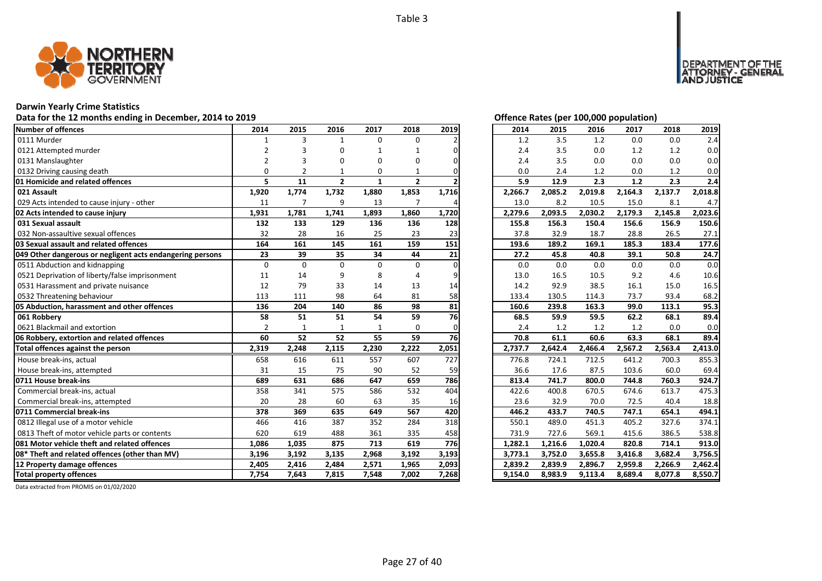

# **Darwin Yearly Crime Statistics**

# Data for the 12 months ending in December, 2014 to 2019 *Data for the 12 months ending in December, 2014 to 2019*

| <b>Number of offences</b>                                 | 2014           | 2015           | 2016         | 2017     | 2018           | 2019  | 2014    | 2015    | 2016    | 2017    | 2018    | 2019    |
|-----------------------------------------------------------|----------------|----------------|--------------|----------|----------------|-------|---------|---------|---------|---------|---------|---------|
| 0111 Murder                                               | $\mathbf{1}$   | 3              | $\mathbf{1}$ | $\Omega$ | 0              |       | 1.2     | 3.5     | 1.2     | 0.0     | 0.0     | 2.4     |
| 0121 Attempted murder                                     | $\overline{2}$ |                | $\Omega$     |          |                |       | 2.4     | 3.5     | 0.0     | 1.2     | 1.2     | 0.0     |
| 0131 Manslaughter                                         | $\overline{2}$ |                | $\Omega$     | O        | O              |       | 2.4     | 3.5     | 0.0     | 0.0     | 0.0     | 0.0     |
| 0132 Driving causing death                                | $\Omega$       |                |              | 0        |                |       | 0.0     | 2.4     | 1.2     | 0.0     | 1.2     | 0.0     |
| 01 Homicide and related offences                          | 5              | 11             | $\mathbf{2}$ | 1        | $\mathbf{2}$   |       | 5.9     | 12.9    | 2.3     | $1.2$   | 2.3     | 2.4     |
| 021 Assault                                               | 1,920          | 1,774          | 1,732        | 1,880    | 1,853          | 1,716 | 2,266.7 | 2,085.2 | 2,019.8 | 2,164.3 | 2,137.7 | 2,018.8 |
| 029 Acts intended to cause injury - other                 | 11             | $\overline{7}$ | 9            | 13       | $\overline{7}$ |       | 13.0    | 8.2     | 10.5    | 15.0    | 8.1     | 4.7     |
| 02 Acts intended to cause injury                          | 1,931          | 1,781          | 1,741        | 1,893    | 1,860          | 1,720 | 2,279.6 | 2,093.5 | 2,030.2 | 2,179.3 | 2,145.8 | 2,023.6 |
| 031 Sexual assault                                        | 132            | 133            | 129          | 136      | 136            | 128   | 155.8   | 156.3   | 150.4   | 156.6   | 156.9   | 150.6   |
| 032 Non-assaultive sexual offences                        | 32             | 28             | 16           | 25       | 23             | 23    | 37.8    | 32.9    | 18.7    | 28.8    | 26.5    | 27.1    |
| 03 Sexual assault and related offences                    | 164            | 161            | 145          | 161      | 159            | 151   | 193.6   | 189.2   | 169.1   | 185.3   | 183.4   | 177.6   |
| 049 Other dangerous or negligent acts endangering persons | 23             | 39             | 35           | 34       | 44             | 21    | 27.2    | 45.8    | 40.8    | 39.1    | 50.8    | 24.7    |
| 0511 Abduction and kidnapping                             | $\mathbf 0$    | $\Omega$       | $\Omega$     | $\Omega$ | 0              |       | 0.0     | 0.0     | 0.0     | 0.0     | 0.0     | 0.0     |
| 0521 Deprivation of liberty/false imprisonment            | 11             | 14             | 9            | 8        |                |       | 13.0    | 16.5    | 10.5    | 9.2     | 4.6     | 10.6    |
| 0531 Harassment and private nuisance                      | 12             | 79             | 33           | 14       | 13             | 14    | 14.2    | 92.9    | 38.5    | 16.1    | 15.0    | 16.5    |
| 0532 Threatening behaviour                                | 113            | 111            | 98           | 64       | 81             | 58    | 133.4   | 130.5   | 114.3   | 73.7    | 93.4    | 68.2    |
| 05 Abduction, harassment and other offences               | 136            | 204            | 140          | 86       | 98             | 81    | 160.6   | 239.8   | 163.3   | 99.0    | 113.1   | 95.3    |
| 061 Robbery                                               | 58             | 51             | 51           | 54       | 59             | 76    | 68.5    | 59.9    | 59.5    | 62.2    | 68.1    | 89.4    |
| 0621 Blackmail and extortion                              | $\overline{2}$ | $\mathbf{1}$   | $\mathbf{1}$ |          | $\Omega$       |       | 2.4     | 1.2     | 1.2     | 1.2     | 0.0     | 0.0     |
| 06 Robbery, extortion and related offences                | 60             | 52             | 52           | 55       | 59             | 76    | 70.8    | 61.1    | 60.6    | 63.3    | 68.1    | 89.4    |
| Total offences against the person                         | 2,319          | 2,248          | 2,115        | 2,230    | 2,222          | 2,051 | 2,737.7 | 2,642.4 | 2,466.4 | 2,567.2 | 2,563.4 | 2,413.0 |
| House break-ins, actual                                   | 658            | 616            | 611          | 557      | 607            | 727   | 776.8   | 724.1   | 712.5   | 641.2   | 700.3   | 855.3   |
| House break-ins, attempted                                | 31             | 15             | 75           | 90       | 52             | 59    | 36.6    | 17.6    | 87.5    | 103.6   | 60.0    | 69.4    |
| 0711 House break-ins                                      | 689            | 631            | 686          | 647      | 659            | 786   | 813.4   | 741.7   | 800.0   | 744.8   | 760.3   | 924.7   |
| Commercial break-ins, actual                              | 358            | 341            | 575          | 586      | 532            | 404   | 422.6   | 400.8   | 670.5   | 674.6   | 613.7   | 475.3   |
| Commercial break-ins, attempted                           | 20             | 28             | 60           | 63       | 35             | 16    | 23.6    | 32.9    | 70.0    | 72.5    | 40.4    | 18.8    |
| 0711 Commercial break-ins                                 | 378            | 369            | 635          | 649      | 567            | 420   | 446.2   | 433.7   | 740.5   | 747.1   | 654.1   | 494.1   |
| 0812 Illegal use of a motor vehicle                       | 466            | 416            | 387          | 352      | 284            | 318   | 550.1   | 489.0   | 451.3   | 405.2   | 327.6   | 374.1   |
| 0813 Theft of motor vehicle parts or contents             | 620            | 619            | 488          | 361      | 335            | 458   | 731.9   | 727.6   | 569.1   | 415.6   | 386.5   | 538.8   |
| 081 Motor vehicle theft and related offences              | 1,086          | 1,035          | 875          | 713      | 619            | 776   | 1,282.1 | 1,216.6 | 1,020.4 | 820.8   | 714.1   | 913.0   |
| 08* Theft and related offences (other than MV)            | 3,196          | 3,192          | 3,135        | 2,968    | 3,192          | 3,193 | 3,773.1 | 3,752.0 | 3,655.8 | 3,416.8 | 3,682.4 | 3,756.5 |
| 12 Property damage offences                               | 2,405          | 2,416          | 2,484        | 2,571    | 1,965          | 2,093 | 2,839.2 | 2,839.9 | 2,896.7 | 2,959.8 | 2,266.9 | 2,462.4 |
| <b>Total property offences</b>                            | 7,754          | 7,643          | 7,815        | 7,548    | 7,002          | 7,268 | 9,154.0 | 8,983.9 | 9,113.4 | 8,689.4 | 8,077.8 | 8,550.7 |

NT OF THE<br>' - GENERAL

JSTICE

**DEPAR** 

| 2014    | 2015    | 2016    | 2017    | 2018    | 2019    |
|---------|---------|---------|---------|---------|---------|
| 1.2     | 3.5     | 1.2     | 0.0     | 0.0     | 2.4     |
| 2.4     | 3.5     | 0.0     | 1.2     | 1.2     | 0.0     |
| 2.4     | 3.5     | 0.0     | 0.0     | 0.0     | 0.0     |
| 0.0     | 2.4     | 1.2     | 0.0     | 1.2     | 0.0     |
| 5.9     | 12.9    | 2.3     | 1.2     | 2.3     | 2.4     |
| 2,266.7 | 2,085.2 | 2,019.8 | 2,164.3 | 2,137.7 | 2,018.8 |
| 13.0    | 8.2     | 10.5    | 15.0    | 8.1     | 4.7     |
| 2,279.6 | 2,093.5 | 2,030.2 | 2,179.3 | 2,145.8 | 2,023.6 |
| 155.8   | 156.3   | 150.4   | 156.6   | 156.9   | 150.6   |
| 37.8    | 32.9    | 18.7    | 28.8    | 26.5    | 27.1    |
| 193.6   | 189.2   | 169.1   | 185.3   | 183.4   | 177.6   |
| 27.2    | 45.8    | 40.8    | 39.1    | 50.8    | 24.7    |
| 0.0     | 0.0     | 0.0     | 0.0     | 0.0     | 0.0     |
| 13.0    | 16.5    | 10.5    | 9.2     | 4.6     | 10.6    |
| 14.2    | 92.9    | 38.5    | 16.1    | 15.0    | 16.5    |
| 133.4   | 130.5   | 114.3   | 73.7    | 93.4    | 68.2    |
| 160.6   | 239.8   | 163.3   | 99.0    | 113.1   | 95.3    |
| 68.5    | 59.9    | 59.5    | 62.2    | 68.1    | 89.4    |
| 2.4     | 1.2     | 1.2     | 1.2     | 0.0     | 0.0     |
| 70.8    | 61.1    | 60.6    | 63.3    | 68.1    | 89.4    |
| 2,737.7 | 2,642.4 | 2,466.4 | 2,567.2 | 2,563.4 | 2,413.0 |
| 776.8   | 724.1   | 712.5   | 641.2   | 700.3   | 855.3   |
| 36.6    | 17.6    | 87.5    | 103.6   | 60.0    | 69.4    |
| 813.4   | 741.7   | 800.0   | 744.8   | 760.3   | 924.7   |
| 422.6   | 400.8   | 670.5   | 674.6   | 613.7   | 475.3   |
| 23.6    | 32.9    | 70.0    | 72.5    | 40.4    | 18.8    |
| 446.2   | 433.7   | 740.5   | 747.1   | 654.1   | 494.1   |
| 550.1   | 489.0   | 451.3   | 405.2   | 327.6   | 374.1   |
| 731.9   | 727.6   | 569.1   | 415.6   | 386.5   | 538.8   |
| 1,282.1 | 1,216.6 | 1,020.4 | 820.8   | 714.1   | 913.0   |
| 3,773.1 | 3,752.0 | 3,655.8 | 3,416.8 | 3,682.4 | 3,756.5 |
| 2,839.2 | 2,839.9 | 2,896.7 | 2,959.8 | 2,266.9 | 2,462.4 |
| 9,154.0 | 8,983.9 | 9,113.4 | 8,689.4 | 8,077.8 | 8,550.7 |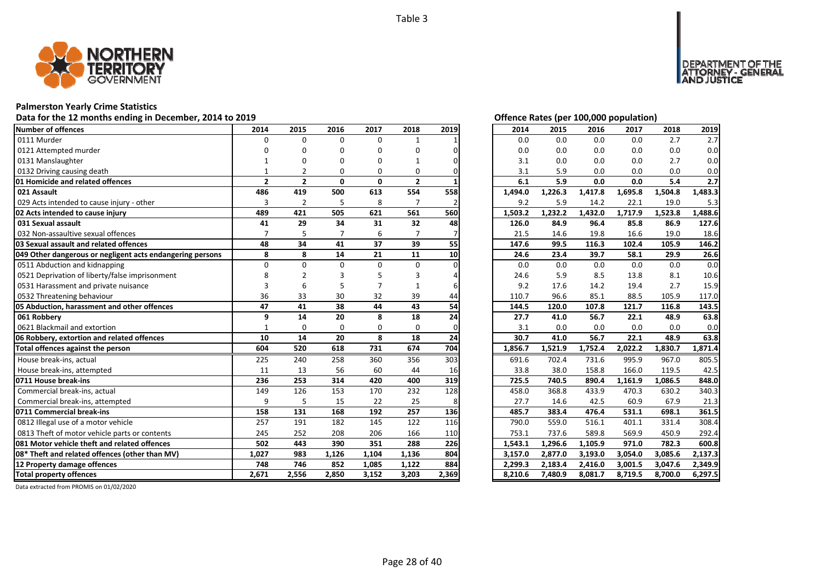

# **Palmerston Yearly Crime Statistics**

# Data for the 12 months ending in December, 2014 to 2019 *Data for the 12 months ending in December, 2014 to 2019*

| <b>Number of offences</b>                                 | 2014           | 2015           | 2016     | 2017         | 2018           | 2019  | 2014    | 2015    | 2016    | 2017    | 2018    | 2019    |
|-----------------------------------------------------------|----------------|----------------|----------|--------------|----------------|-------|---------|---------|---------|---------|---------|---------|
| 0111 Murder                                               | $\Omega$       | $\Omega$       | $\Omega$ | $\Omega$     | $\mathbf{1}$   |       | 0.0     | 0.0     | 0.0     | 0.0     | 2.7     | 2.7     |
| 0121 Attempted murder                                     | n              | ŋ              | O        | $\Omega$     | O              |       | 0.0     | 0.0     | 0.0     | 0.0     | 0.0     | 0.0     |
| 0131 Manslaughter                                         |                | n              | O        | n            |                |       | 3.1     | 0.0     | 0.0     | 0.0     | 2.7     | 0.0     |
| 0132 Driving causing death                                |                |                | $\Omega$ | $\Omega$     | 0              |       | 3.1     | 5.9     | 0.0     | 0.0     | 0.0     | 0.0     |
| 01 Homicide and related offences                          | $\overline{2}$ | $\overline{2}$ | 0        | $\mathbf{0}$ | $\overline{2}$ |       | 6.1     | 5.9     | 0.0     | 0.0     | 5.4     | 2.7     |
| 021 Assault                                               | 486            | 419            | 500      | 613          | 554            | 558   | 1,494.0 | 1,226.3 | 1,417.8 | 1,695.8 | 1,504.8 | 1,483.3 |
| 029 Acts intended to cause injury - other                 | 3              | $\overline{2}$ | 5        | 8            | $\overline{7}$ |       | 9.2     | 5.9     | 14.2    | 22.1    | 19.0    | 5.3     |
| 02 Acts intended to cause injury                          | 489            | 421            | 505      | 621          | 561            | 560   | 1,503.2 | 1,232.2 | 1,432.0 | 1,717.9 | 1,523.8 | 1,488.6 |
| 031 Sexual assault                                        | 41             | 29             | 34       | 31           | 32             | 48    | 126.0   | 84.9    | 96.4    | 85.8    | 86.9    | 127.6   |
| 032 Non-assaultive sexual offences                        |                |                |          | 6            |                |       | 21.5    | 14.6    | 19.8    | 16.6    | 19.0    | 18.6    |
| 03 Sexual assault and related offences                    | 48             | 34             | 41       | 37           | 39             | 55    | 147.6   | 99.5    | 116.3   | 102.4   | 105.9   | 146.2   |
| 049 Other dangerous or negligent acts endangering persons | 8              | 8              | 14       | 21           | 11             | 10    | 24.6    | 23.4    | 39.7    | 58.1    | 29.9    | 26.6    |
| 0511 Abduction and kidnapping                             | $\Omega$       | $\Omega$       | $\Omega$ | $\Omega$     | 0              |       | 0.0     | 0.0     | 0.0     | 0.0     | 0.0     | 0.0     |
| 0521 Deprivation of liberty/false imprisonment            |                |                |          |              |                |       | 24.6    | 5.9     | 8.5     | 13.8    | 8.1     | 10.6    |
| 0531 Harassment and private nuisance                      | 3              | 6              |          |              |                |       | 9.2     | 17.6    | 14.2    | 19.4    | 2.7     | 15.9    |
| 0532 Threatening behaviour                                | 36             | 33             | 30       | 32           | 39             | 44    | 110.7   | 96.6    | 85.1    | 88.5    | 105.9   | 117.0   |
| 05 Abduction, harassment and other offences               | 47             | 41             | 38       | 44           | 43             | 54    | 144.5   | 120.0   | 107.8   | 121.7   | 116.8   | 143.5   |
| 061 Robberv                                               | 9              | 14             | 20       | 8            | 18             | 24    | 27.7    | 41.0    | 56.7    | 22.1    | 48.9    | 63.8    |
| 0621 Blackmail and extortion                              | $\mathbf{1}$   | $\Omega$       | $\Omega$ | $\Omega$     | 0              |       | 3.1     | 0.0     | 0.0     | 0.0     | 0.0     | 0.0     |
| 06 Robbery, extortion and related offences                | 10             | 14             | 20       | 8            | 18             | 24    | 30.7    | 41.0    | 56.7    | 22.1    | 48.9    | 63.8    |
| Total offences against the person                         | 604            | 520            | 618      | 731          | 674            | 704   | 1,856.7 | 1,521.9 | 1,752.4 | 2,022.2 | 1,830.7 | 1,871.4 |
| House break-ins, actual                                   | 225            | 240            | 258      | 360          | 356            | 303   | 691.6   | 702.4   | 731.6   | 995.9   | 967.0   | 805.5   |
| House break-ins, attempted                                | 11             | 13             | 56       | 60           | 44             | 16    | 33.8    | 38.0    | 158.8   | 166.0   | 119.5   | 42.5    |
| 0711 House break-ins                                      | 236            | 253            | 314      | 420          | 400            | 319   | 725.5   | 740.5   | 890.4   | 1,161.9 | 1,086.5 | 848.0   |
| Commercial break-ins, actual                              | 149            | 126            | 153      | 170          | 232            | 128   | 458.0   | 368.8   | 433.9   | 470.3   | 630.2   | 340.3   |
| Commercial break-ins, attempted                           | 9              | 5              | 15       | 22           | 25             | 8     | 27.7    | 14.6    | 42.5    | 60.9    | 67.9    | 21.3    |
| 0711 Commercial break-ins                                 | 158            | 131            | 168      | 192          | 257            | 136   | 485.7   | 383.4   | 476.4   | 531.1   | 698.1   | 361.5   |
| 0812 Illegal use of a motor vehicle                       | 257            | 191            | 182      | 145          | 122            | 116   | 790.0   | 559.0   | 516.1   | 401.1   | 331.4   | 308.4   |
| 0813 Theft of motor vehicle parts or contents             | 245            | 252            | 208      | 206          | 166            | 110   | 753.1   | 737.6   | 589.8   | 569.9   | 450.9   | 292.4   |
| 081 Motor vehicle theft and related offences              | 502            | 443            | 390      | 351          | 288            | 226   | 1,543.1 | 1,296.6 | 1,105.9 | 971.0   | 782.3   | 600.8   |
| 08* Theft and related offences (other than MV)            | 1,027          | 983            | 1,126    | 1,104        | 1,136          | 804   | 3,157.0 | 2,877.0 | 3,193.0 | 3,054.0 | 3,085.6 | 2,137.3 |
| 12 Property damage offences                               | 748            | 746            | 852      | 1,085        | 1,122          | 884   | 2,299.3 | 2,183.4 | 2,416.0 | 3,001.5 | 3,047.6 | 2,349.9 |
| <b>Total property offences</b>                            | 2,671          | 2,556          | 2,850    | 3,152        | 3,203          | 2,369 | 8,210.6 | 7,480.9 | 8,081.7 | 8,719.5 | 8,700.0 | 6,297.5 |

DEPARTMENT OF THE<br>ATTORNEY - GENERAL<br>AND JUSTICE

| 2014    | 2015    | 2016    | 2017    | 2018    | 2019    |
|---------|---------|---------|---------|---------|---------|
| 0.0     | 0.0     | 0.0     | 0.0     | 2.7     | 2.7     |
| 0.0     | 0.0     | 0.0     | 0.0     | 0.0     | 0.0     |
| 3.1     | 0.0     | 0.0     | 0.0     | 2.7     | 0.0     |
| 3.1     | 5.9     | 0.0     | 0.0     | 0.0     | 0.0     |
| 6.1     | 5.9     | 0.0     | 0.0     | 5.4     | 2.7     |
| 1,494.0 | 1,226.3 | 1,417.8 | 1,695.8 | 1,504.8 | 1,483.3 |
| 9.2     | 5.9     | 14.2    | 22.1    | 19.0    | 5.3     |
| 1,503.2 | 1,232.2 | 1,432.0 | 1,717.9 | 1,523.8 | 1,488.6 |
| 126.0   | 84.9    | 96.4    | 85.8    | 86.9    | 127.6   |
| 21.5    | 14.6    | 19.8    | 16.6    | 19.0    | 18.6    |
| 147.6   | 99.5    | 116.3   | 102.4   | 105.9   | 146.2   |
| 24.6    | 23.4    | 39.7    | 58.1    | 29.9    | 26.6    |
| 0.0     | 0.0     | 0.0     | 0.0     | 0.0     | 0.0     |
| 24.6    | 5.9     | 8.5     | 13.8    | 8.1     | 10.6    |
| 9.2     | 17.6    | 14.2    | 19.4    | 2.7     | 15.9    |
| 110.7   | 96.6    | 85.1    | 88.5    | 105.9   | 117.0   |
| 144.5   | 120.0   | 107.8   | 121.7   | 116.8   | 143.5   |
| 27.7    | 41.0    | 56.7    | 22.1    | 48.9    | 63.8    |
| 3.1     | 0.0     | 0.0     | 0.0     | 0.0     | 0.0     |
| 30.7    | 41.0    | 56.7    | 22.1    | 48.9    | 63.8    |
| 1,856.7 | 1,521.9 | 1,752.4 | 2,022.2 | 1,830.7 | 1,871.4 |
| 691.6   | 702.4   | 731.6   | 995.9   | 967.0   | 805.5   |
| 33.8    | 38.0    | 158.8   | 166.0   | 119.5   | 42.5    |
| 725.5   | 740.5   | 890.4   | 1,161.9 | 1,086.5 | 848.0   |
| 458.0   | 368.8   | 433.9   | 470.3   | 630.2   | 340.3   |
| 27.7    | 14.6    | 42.5    | 60.9    | 67.9    | 21.3    |
| 485.7   | 383.4   | 476.4   | 531.1   | 698.1   | 361.5   |
| 790.0   | 559.0   | 516.1   | 401.1   | 331.4   | 308.4   |
| 753.1   | 737.6   | 589.8   | 569.9   | 450.9   | 292.4   |
| 1,543.1 | 1,296.6 | 1,105.9 | 971.0   | 782.3   | 600.8   |
| 3,157.0 | 2,877.0 | 3,193.0 | 3,054.0 | 3,085.6 | 2,137.3 |
| 2,299.3 | 2,183.4 | 2,416.0 | 3,001.5 | 3,047.6 | 2,349.9 |
| 8,210.6 | 7,480.9 | 8,081.7 | 8,719.5 | 8,700.0 | 6,297.5 |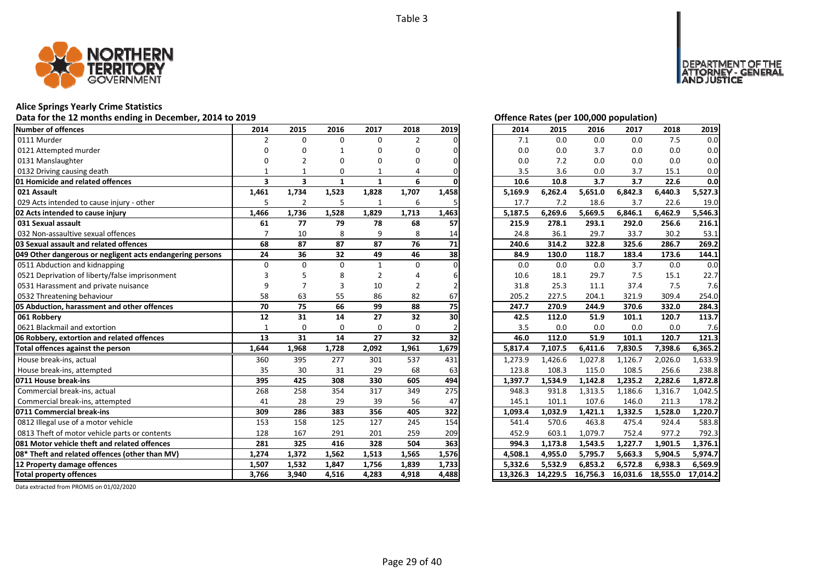

### **Alice Springs Yearly Crime Statistics**

### **Data for the 12 months ending in December, 2014 to 2019 Offence Rates (per 100,000 population)**

| Number of offences                                        | 2014                    | 2015                    | 2016         | 2017         | 2018           | 2019            | 2014     | 2015     | 2016     | 2017     | 2018     | 2019     |
|-----------------------------------------------------------|-------------------------|-------------------------|--------------|--------------|----------------|-----------------|----------|----------|----------|----------|----------|----------|
| 0111 Murder                                               | 2                       | $\Omega$                | $\Omega$     | 0            | $\overline{2}$ |                 | 7.1      | 0.0      | 0.0      | 0.0      | 7.5      | 0.0      |
| 0121 Attempted murder                                     |                         |                         |              | O            | U              |                 | 0.0      | 0.0      | 3.7      | 0.0      | 0.0      | 0.0      |
| 0131 Manslaughter                                         |                         |                         | O            | n            | n              |                 | 0.0      | 7.2      | 0.0      | 0.0      | 0.0      | 0.0      |
| 0132 Driving causing death                                |                         |                         | $\Omega$     |              |                |                 | 3.5      | 3.6      | 0.0      | 3.7      | 15.1     | 0.0      |
| 01 Homicide and related offences                          | $\overline{\mathbf{3}}$ | $\overline{\mathbf{3}}$ | $\mathbf{1}$ | $\mathbf{1}$ | 6              |                 | 10.6     | 10.8     | 3.7      | 3.7      | 22.6     | 0.0      |
| 021 Assault                                               | 1,461                   | 1,734                   | 1,523        | 1,828        | 1,707          | 1,458           | 5,169.9  | 6,262.4  | 5,651.0  | 6,842.3  | 6,440.3  | 5,527.3  |
| 029 Acts intended to cause injury - other                 | 5                       | $\overline{2}$          | 5            | $\mathbf{1}$ | 6              | 5               | 17.7     | 7.2      | 18.6     | 3.7      | 22.6     | 19.0     |
| 02 Acts intended to cause injury                          | 1,466                   | 1,736                   | 1,528        | 1,829        | 1,713          | 1,463           | 5,187.5  | 6,269.6  | 5,669.5  | 6,846.1  | 6,462.9  | 5,546.3  |
| 031 Sexual assault                                        | 61                      | 77                      | 79           | 78           | 68             | 57              | 215.9    | 278.1    | 293.1    | 292.0    | 256.6    | 216.1    |
| 032 Non-assaultive sexual offences                        |                         | 10                      | 8            | 9            | 8              | 14              | 24.8     | 36.1     | 29.7     | 33.7     | 30.2     | 53.1     |
| 03 Sexual assault and related offences                    | 68                      | 87                      | 87           | 87           | 76             | 71              | 240.6    | 314.2    | 322.8    | 325.6    | 286.7    | 269.2    |
| 049 Other dangerous or negligent acts endangering persons | 24                      | 36                      | 32           | 49           | 46             | 38              | 84.9     | 130.0    | 118.7    | 183.4    | 173.6    | 144.1    |
| 0511 Abduction and kidnapping                             | $\Omega$                | $\Omega$                | $\Omega$     | $\mathbf{1}$ | $\Omega$       |                 | 0.0      | 0.0      | 0.0      | 3.7      | 0.0      | 0.0      |
| 0521 Deprivation of liberty/false imprisonment            |                         |                         |              |              |                |                 | 10.6     | 18.1     | 29.7     | 7.5      | 15.1     | 22.7     |
| 0531 Harassment and private nuisance                      |                         |                         | 3            | 10           | 2              |                 | 31.8     | 25.3     | 11.1     | 37.4     | 7.5      | 7.6      |
| 0532 Threatening behaviour                                | 58                      | 63                      | 55           | 86           | 82             | 67              | 205.2    | 227.5    | 204.1    | 321.9    | 309.4    | 254.0    |
| 05 Abduction, harassment and other offences               | 70                      | 75                      | 66           | 99           | 88             | $\overline{75}$ | 247.7    | 270.9    | 244.9    | 370.6    | 332.0    | 284.3    |
| 061 Robberv                                               | 12                      | 31                      | 14           | 27           | 32             | 30              | 42.5     | 112.0    | 51.9     | 101.1    | 120.7    | 113.7    |
| 0621 Blackmail and extortion                              | $\mathbf{1}$            | $\Omega$                | $\Omega$     | $\Omega$     | $\Omega$       |                 | 3.5      | 0.0      | 0.0      | 0.0      | 0.0      | 7.6      |
| 06 Robbery, extortion and related offences                | 13                      | 31                      | 14           | 27           | 32             | 32              | 46.0     | 112.0    | 51.9     | 101.1    | 120.7    | 121.3    |
| Total offences against the person                         | 1,644                   | 1,968                   | 1,728        | 2,092        | 1,961          | 1,679           | 5,817.4  | 7,107.5  | 6,411.6  | 7,830.5  | 7,398.6  | 6,365.2  |
| House break-ins, actual                                   | 360                     | 395                     | 277          | 301          | 537            | 431             | 1,273.9  | 1,426.6  | 1,027.8  | 1,126.7  | 2,026.0  | 1,633.9  |
| House break-ins, attempted                                | 35                      | 30                      | 31           | 29           | 68             | 63              | 123.8    | 108.3    | 115.0    | 108.5    | 256.6    | 238.8    |
| 0711 House break-ins                                      | 395                     | 425                     | 308          | 330          | 605            | 494             | 1,397.7  | 1,534.9  | 1,142.8  | 1,235.2  | 2,282.6  | 1,872.8  |
| Commercial break-ins, actual                              | 268                     | 258                     | 354          | 317          | 349            | 275             | 948.3    | 931.8    | 1,313.5  | 1,186.6  | 1,316.7  | 1,042.5  |
| Commercial break-ins, attempted                           | 41                      | 28                      | 29           | 39           | 56             | 47              | 145.1    | 101.1    | 107.6    | 146.0    | 211.3    | 178.2    |
| 0711 Commercial break-ins                                 | 309                     | 286                     | 383          | 356          | 405            | 322             | 1,093.4  | 1.032.9  | 1,421.1  | 1,332.5  | 1,528.0  | 1.220.7  |
| 0812 Illegal use of a motor vehicle                       | 153                     | 158                     | 125          | 127          | 245            | 154             | 541.4    | 570.6    | 463.8    | 475.4    | 924.4    | 583.8    |
| 0813 Theft of motor vehicle parts or contents             | 128                     | 167                     | 291          | 201          | 259            | 209             | 452.9    | 603.1    | 1,079.7  | 752.4    | 977.2    | 792.3    |
| 081 Motor vehicle theft and related offences              | 281                     | 325                     | 416          | 328          | 504            | 363             | 994.3    | 1,173.8  | 1,543.5  | 1,227.7  | 1,901.5  | 1,376.1  |
| 08* Theft and related offences (other than MV)            | 1,274                   | 1,372                   | 1,562        | 1,513        | 1,565          | 1,576           | 4,508.1  | 4,955.0  | 5,795.7  | 5,663.3  | 5,904.5  | 5,974.7  |
| 12 Property damage offences                               | 1,507                   | 1,532                   | 1,847        | 1,756        | 1,839          | 1,733           | 5,332.6  | 5,532.9  | 6,853.2  | 6,572.8  | 6,938.3  | 6,569.9  |
| <b>Total property offences</b>                            | 3,766                   | 3,940                   | 4,516        | 4,283        | 4,918          | 4,488           | 13,326.3 | 14,229.5 | 16,756.3 | 16,031.6 | 18,555.0 | 17,014.2 |

DEPARTMENT OF THE<br>ATTORNEY - GENERAL<br>IAND JUSTICE

| 2014    | 2015    | 2016                | 2017    | 2018    | 2019                |
|---------|---------|---------------------|---------|---------|---------------------|
| 7.1     | 0.0     | 0.0                 | 0.0     | 7.5     | 0.0                 |
| 0.0     | 0.0     | 3.7                 | 0.0     | 0.0     | 0.0                 |
| 0.0     | 7.2     | 0.0                 | 0.0     | 0.0     | 0.0                 |
| 3.5     | 3.6     | 0.0                 | 3.7     | 15.1    | 0.0                 |
| 10.6    | 10.8    | 3.7                 | 3.7     | 22.6    | 0.0                 |
| 5,169.9 | 6,262.4 | 5,651.0             | 6,842.3 | 6,440.3 | 5,527.3             |
| 17.7    | 7.2     | 18.6                | 3.7     | 22.6    | 19.0                |
| 5,187.5 | 6,269.6 | 5,669.5             | 6,846.1 | 6,462.9 | 5,546.3             |
| 215.9   | 278.1   | 293.1               | 292.0   | 256.6   | 216.1               |
| 24.8    | 36.1    | 29.7                | 33.7    | 30.2    | 53.1                |
| 240.6   | 314.2   | 322.8               | 325.6   | 286.7   | 269.2               |
| 84.9    | 130.0   | 118.7               | 183.4   | 173.6   | 144.1               |
| 0.0     | 0.0     | 0.0                 | 3.7     | 0.0     | 0.0                 |
| 10.6    | 18.1    | 29.7                | 7.5     | 15.1    | 22.7                |
| 31.8    | 25.3    | 11.1                | 37.4    | 7.5     | 7.6                 |
| 205.2   | 227.5   | 204.1               | 321.9   | 309.4   | 254.0               |
| 247.7   | 270.9   | 244.9               | 370.6   | 332.0   | 284.3               |
| 42.5    | 112.0   | 51.9                | 101.1   | 120.7   | 113.7               |
| 3.5     | 0.0     | 0.0                 | 0.0     | 0.0     | 7.6                 |
| 46.0    | 112.0   | 51.9                | 101.1   | 120.7   | 121.3               |
| 5,817.4 | 7,107.5 | 6,411.6             | 7,830.5 | 7,398.6 | 6,365.2             |
| 1,273.9 | 1,426.6 | 1,027.8             | 1,126.7 | 2,026.0 | 1,633.9             |
| 123.8   | 108.3   | 115.0               | 108.5   | 256.6   | 238.8               |
| 1,397.7 | 1,534.9 | 1,142.8             | 1,235.2 | 2,282.6 | 1,872.8             |
| 948.3   | 931.8   | 1,313.5             | 1,186.6 | 1,316.7 | 1,042.5             |
| 145.1   | 101.1   | 107.6               | 146.0   | 211.3   | 178.2               |
| 1,093.4 | 1,032.9 | 1,421.1             | 1,332.5 | 1,528.0 | 1,220.7             |
| 541.4   | 570.6   | 463.8               | 475.4   | 924.4   | 583.8               |
| 452.9   | 603.1   | 1,079.7             | 752.4   | 977.2   | 792.3               |
| 994.3   | 1,173.8 | 1,543.5             | 1,227.7 | 1,901.5 | 1,376.1             |
| 4,508.1 |         |                     |         |         |                     |
|         | 4,955.0 | 5,795.7             | 5,663.3 | 5,904.5 | 5,974.7             |
| 5,332.6 | 5,532.9 | 6,853.2<br>16,756.3 | 6,572.8 | 6,938.3 | 6,569.9<br>17,014.2 |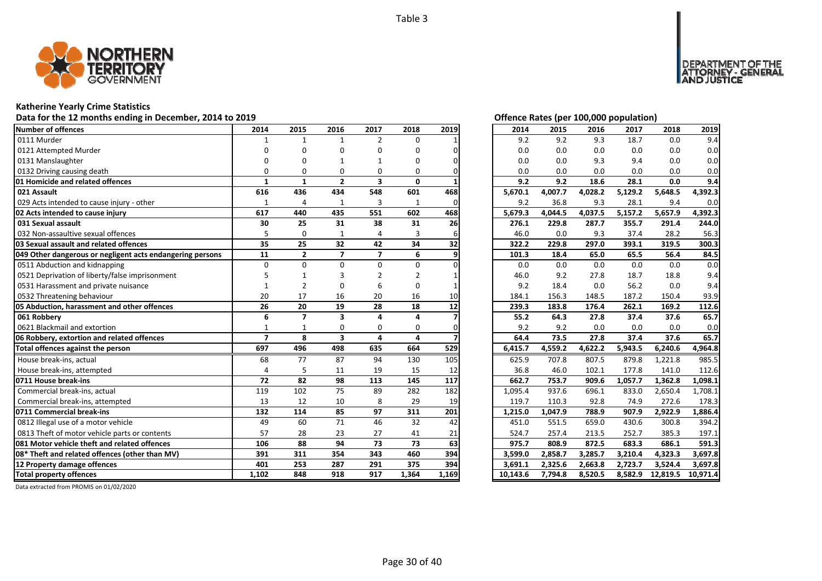

# **Katherine Yearly Crime Statistics**

# Data for the 12 months ending in December, 2014 to 2019 *Data for the 12 months ending in December, 2014 to 2019*

| Number of offences                                        | 2014           | 2015                    | 2016                    | 2017                    | 2018         | 2019  | 2014     | 2015    | 2016    | 2017    | 2018     | 2019     |
|-----------------------------------------------------------|----------------|-------------------------|-------------------------|-------------------------|--------------|-------|----------|---------|---------|---------|----------|----------|
| 0111 Murder                                               |                | 1                       | $\mathbf{1}$            | $\overline{2}$          | $\Omega$     |       | 9.2      | 9.2     | 9.3     | 18.7    | 0.0      | 9.4      |
| 0121 Attempted Murder                                     |                |                         | O                       | O                       | n            |       | 0.0      | 0.0     | 0.0     | 0.0     | 0.0      | 0.0      |
| 0131 Manslaughter                                         |                |                         |                         |                         | n            |       | 0.0      | 0.0     | 9.3     | 9.4     | 0.0      | 0.0      |
| 0132 Driving causing death                                | O              | O                       | O                       | 0                       | 0            |       | 0.0      | 0.0     | 0.0     | 0.0     | 0.0      | 0.0      |
| 01 Homicide and related offences                          | 1              | $\mathbf{1}$            | $\overline{2}$          | $\overline{\mathbf{3}}$ | $\mathbf{0}$ |       | 9.2      | 9.2     | 18.6    | 28.1    | 0.0      | 9.4      |
| 021 Assault                                               | 616            | 436                     | 434                     | 548                     | 601          | 468   | 5,670.1  | 4,007.7 | 4,028.2 | 5,129.2 | 5,648.5  | 4,392.3  |
| 029 Acts intended to cause injury - other                 | $\mathbf{1}$   | $\overline{4}$          | 1                       | 3                       | $\mathbf{1}$ | 0     | 9.2      | 36.8    | 9.3     | 28.1    | 9.4      | 0.0      |
| 02 Acts intended to cause injury                          | 617            | 440                     | 435                     | 551                     | 602          | 468   | 5.679.3  | 4,044.5 | 4,037.5 | 5,157.2 | 5,657.9  | 4,392.3  |
| 031 Sexual assault                                        | 30             | 25                      | 31                      | 38                      | 31           | 26    | 276.1    | 229.8   | 287.7   | 355.7   | 291.4    | 244.0    |
| 032 Non-assaultive sexual offences                        |                | $\Omega$                | 1                       | 4                       | 3            |       | 46.0     | 0.0     | 9.3     | 37.4    | 28.2     | 56.3     |
| 03 Sexual assault and related offences                    | 35             | 25                      | 32                      | 42                      | 34           | 32    | 322.2    | 229.8   | 297.0   | 393.1   | 319.5    | 300.3    |
| 049 Other dangerous or negligent acts endangering persons | 11             | $\overline{2}$          | $\overline{7}$          | $\overline{7}$          | 6            |       | 101.3    | 18.4    | 65.0    | 65.5    | 56.4     | 84.5     |
| 0511 Abduction and kidnapping                             | $\Omega$       | $\Omega$                | $\Omega$                | $\Omega$                | 0            |       | 0.0      | 0.0     | 0.0     | 0.0     | 0.0      | 0.0      |
| 0521 Deprivation of liberty/false imprisonment            |                |                         |                         |                         |              |       | 46.0     | 9.2     | 27.8    | 18.7    | 18.8     | 9.4      |
| 0531 Harassment and private nuisance                      |                | $\overline{2}$          |                         | 6                       | O            |       | 9.2      | 18.4    | 0.0     | 56.2    | 0.0      | 9.4      |
| 0532 Threatening behaviour                                | 20             | 17                      | 16                      | 20                      | 16           | 10    | 184.1    | 156.3   | 148.5   | 187.2   | 150.4    | 93.9     |
| 05 Abduction, harassment and other offences               | 26             | 20                      | 19                      | 28                      | 18           | 12    | 239.3    | 183.8   | 176.4   | 262.1   | 169.2    | 112.6    |
| 061 Robbery                                               | 6              | $\overline{\mathbf{z}}$ | $\overline{\mathbf{3}}$ | 4                       | 4            |       | 55.2     | 64.3    | 27.8    | 37.4    | 37.6     | 65.7     |
| 0621 Blackmail and extortion                              | -1             | -1                      | $\Omega$                | $\Omega$                | $\Omega$     |       | 9.2      | 9.2     | 0.0     | 0.0     | 0.0      | 0.0      |
| 06 Robbery, extortion and related offences                | $\overline{7}$ | 8                       | $\overline{\mathbf{3}}$ | 4                       | 4            |       | 64.4     | 73.5    | 27.8    | 37.4    | 37.6     | 65.7     |
| Total offences against the person                         | 697            | 496                     | 498                     | 635                     | 664          | 529   | 6,415.7  | 4,559.2 | 4,622.2 | 5,943.5 | 6,240.6  | 4,964.8  |
| House break-ins, actual                                   | 68             | 77                      | 87                      | 94                      | 130          | 105   | 625.9    | 707.8   | 807.5   | 879.8   | 1,221.8  | 985.5    |
| House break-ins, attempted                                | $\Delta$       | 5                       | 11                      | 19                      | 15           | 12    | 36.8     | 46.0    | 102.1   | 177.8   | 141.0    | 112.6    |
| 0711 House break-ins                                      | 72             | 82                      | 98                      | 113                     | 145          | 117   | 662.7    | 753.7   | 909.6   | 1,057.7 | 1,362.8  | 1,098.1  |
| Commercial break-ins, actual                              | 119            | 102                     | 75                      | 89                      | 282          | 182   | 1,095.4  | 937.6   | 696.1   | 833.0   | 2,650.4  | 1,708.1  |
| Commercial break-ins, attempted                           | 13             | 12                      | 10                      | 8                       | 29           | 19    | 119.7    | 110.3   | 92.8    | 74.9    | 272.6    | 178.3    |
| 0711 Commercial break-ins                                 | 132            | 114                     | 85                      | 97                      | 311          | 201   | 1,215.0  | 1.047.9 | 788.9   | 907.9   | 2,922.9  | 1,886.4  |
| 0812 Illegal use of a motor vehicle                       | 49             | 60                      | 71                      | 46                      | 32           | 42    | 451.0    | 551.5   | 659.0   | 430.6   | 300.8    | 394.2    |
| 0813 Theft of motor vehicle parts or contents             | 57             | 28                      | 23                      | 27                      | 41           | 21    | 524.7    | 257.4   | 213.5   | 252.7   | 385.3    | 197.1    |
| 081 Motor vehicle theft and related offences              | 106            | 88                      | 94                      | 73                      | 73           | 63    | 975.7    | 808.9   | 872.5   | 683.3   | 686.1    | 591.3    |
| 08* Theft and related offences (other than MV)            | 391            | 311                     | 354                     | 343                     | 460          | 394   | 3,599.0  | 2,858.7 | 3,285.7 | 3,210.4 | 4,323.3  | 3,697.8  |
| 12 Property damage offences                               | 401            | 253                     | 287                     | 291                     | 375          | 394   | 3,691.1  | 2,325.6 | 2,663.8 | 2,723.7 | 3,524.4  | 3,697.8  |
| <b>Total property offences</b>                            | 1,102          | 848                     | 918                     | 917                     | 1,364        | 1,169 | 10,143.6 | 7,794.8 | 8,520.5 | 8,582.9 | 12,819.5 | 10,971.4 |

NT OF THE<br>' - GENERAL

**DEPART** 

USTICE

| 2014     | 2015    | 2016    | 2017    | 2018     | 2019     |
|----------|---------|---------|---------|----------|----------|
| 9.2      | 9.2     | 9.3     | 18.7    | 0.0      | 9.4      |
| 0.0      | 0.0     | 0.0     | 0.0     | 0.0      | 0.0      |
| 0.0      | 0.0     | 9.3     | 9.4     | 0.0      | 0.0      |
| 0.0      | 0.0     | 0.0     | 0.0     | 0.0      | 0.0      |
| 9.2      | 9.2     | 18.6    | 28.1    | 0.0      | 9.4      |
| 5,670.1  | 4,007.7 | 4,028.2 | 5,129.2 | 5,648.5  | 4,392.3  |
| 9.2      | 36.8    | 9.3     | 28.1    | 9.4      | 0.0      |
| 5,679.3  | 4,044.5 | 4,037.5 | 5,157.2 | 5,657.9  | 4,392.3  |
| 276.1    | 229.8   | 287.7   | 355.7   | 291.4    | 244.0    |
| 46.0     | 0.0     | 9.3     | 37.4    | 28.2     | 56.3     |
| 322.2    | 229.8   | 297.0   | 393.1   | 319.5    | 300.3    |
| 101.3    | 18.4    | 65.0    | 65.5    | 56.4     | 84.5     |
| 0.0      | 0.0     | 0.0     | 0.0     | 0.0      | 0.0      |
| 46.0     | 9.2     | 27.8    | 18.7    | 18.8     | 9.4      |
| 9.2      | 18.4    | 0.0     | 56.2    | 0.0      | 9.4      |
| 184.1    | 156.3   | 148.5   | 187.2   | 150.4    | 93.9     |
| 239.3    | 183.8   | 176.4   | 262.1   | 169.2    | 112.6    |
| 55.2     | 64.3    | 27.8    | 37.4    | 37.6     | 65.7     |
| 9.2      | 9.2     | 0.0     | 0.0     | 0.0      | 0.0      |
| 64.4     | 73.5    | 27.8    | 37.4    | 37.6     | 65.7     |
| 6,415.7  | 4,559.2 | 4,622.2 | 5,943.5 | 6,240.6  | 4,964.8  |
| 625.9    | 707.8   | 807.5   | 879.8   | 1,221.8  | 985.5    |
| 36.8     | 46.0    | 102.1   | 177.8   | 141.0    | 112.6    |
| 662.7    | 753.7   | 909.6   | 1,057.7 | 1,362.8  | 1,098.1  |
| 1,095.4  | 937.6   | 696.1   | 833.0   | 2,650.4  | 1,708.1  |
| 119.7    | 110.3   | 92.8    | 74.9    | 272.6    | 178.3    |
| 1,215.0  | 1,047.9 | 788.9   | 907.9   | 2,922.9  | 1,886.4  |
| 451.0    | 551.5   | 659.0   | 430.6   | 300.8    | 394.2    |
| 524.7    | 257.4   | 213.5   | 252.7   | 385.3    | 197.1    |
| 975.7    | 808.9   | 872.5   | 683.3   | 686.1    | 591.3    |
| 3,599.0  | 2,858.7 | 3,285.7 | 3,210.4 | 4,323.3  | 3,697.8  |
| 3,691.1  | 2,325.6 | 2,663.8 | 2,723.7 | 3,524.4  | 3,697.8  |
| 10,143.6 | 7,794.8 | 8,520.5 | 8,582.9 | 12,819.5 | 10,971.4 |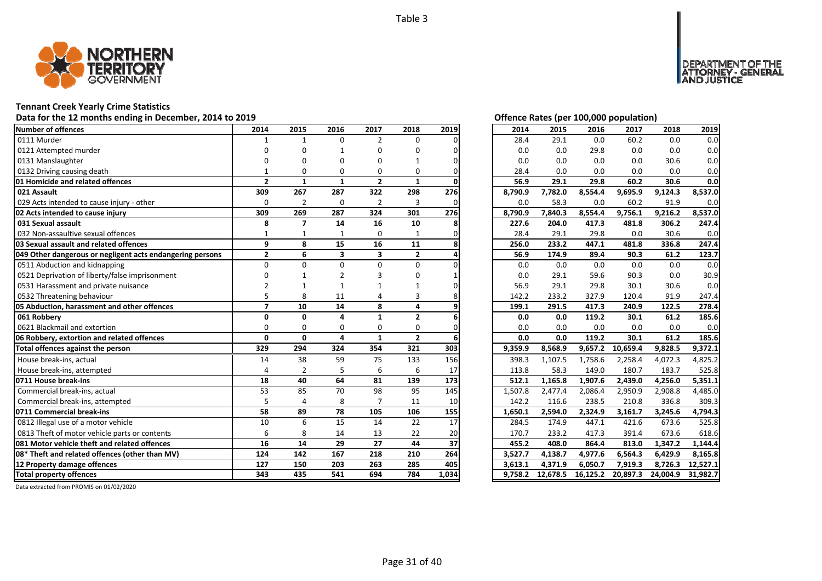

# **Tennant Creek Yearly Crime Statistics**

# Data for the 12 months ending in December, 2014 to 2019<br> **Data for the 12 months ending in December, 2014 to 2019**

| <b>Number of offences</b>                                 | 2014                     | 2015           | 2016                    | 2017                    | 2018           | 2019  | 2014    | 2015     | 2016     | 2017     | 2018     | 2019     |
|-----------------------------------------------------------|--------------------------|----------------|-------------------------|-------------------------|----------------|-------|---------|----------|----------|----------|----------|----------|
| 0111 Murder                                               |                          | $\mathbf{1}$   | $\Omega$                | 2                       | $\Omega$       |       | 28.4    | 29.1     | 0.0      | 60.2     | 0.0      | 0.0      |
| 0121 Attempted murder                                     | n                        | ŋ              |                         | U                       | O              |       | 0.0     | 0.0      | 29.8     | 0.0      | 0.0      | 0.0      |
| 0131 Manslaughter                                         |                          | ŋ              | O                       | n                       |                |       | 0.0     | 0.0      | 0.0      | 0.0      | 30.6     | 0.0      |
| 0132 Driving causing death                                |                          | $\Omega$       | $\Omega$                | $\Omega$                | 0              |       | 28.4    | 0.0      | 0.0      | 0.0      | 0.0      | 0.0      |
| 01 Homicide and related offences                          | $\overline{2}$           | $\mathbf{1}$   | $\mathbf{1}$            | $\overline{2}$          | $\mathbf{1}$   |       | 56.9    | 29.1     | 29.8     | 60.2     | 30.6     | 0.0      |
| 021 Assault                                               | 309                      | 267            | 287                     | 322                     | 298            | 276   | 8,790.9 | 7,782.0  | 8,554.4  | 9,695.9  | 9,124.3  | 8,537.0  |
| 029 Acts intended to cause injury - other                 | $\Omega$                 | $\overline{2}$ | $\mathbf 0$             | $\overline{2}$          | 3              |       | 0.0     | 58.3     | 0.0      | 60.2     | 91.9     | 0.0      |
| 02 Acts intended to cause injury                          | 309                      | 269            | 287                     | 324                     | 301            | 276   | 8,790.9 | 7,840.3  | 8,554.4  | 9,756.1  | 9,216.2  | 8,537.0  |
| 031 Sexual assault                                        | 8                        | 7              | 14                      | 16                      | 10             |       | 227.6   | 204.0    | 417.3    | 481.8    | 306.2    | 247.4    |
| 032 Non-assaultive sexual offences                        |                          |                | 1                       | 0                       |                |       | 28.4    | 29.1     | 29.8     | 0.0      | 30.6     | 0.0      |
| 03 Sexual assault and related offences                    | 9                        | 8              | 15                      | 16                      | 11             |       | 256.0   | 233.2    | 447.1    | 481.8    | 336.8    | 247.4    |
| 049 Other dangerous or negligent acts endangering persons | $\mathbf{2}$             | 6              | $\overline{\mathbf{3}}$ | $\overline{\mathbf{3}}$ | $\overline{2}$ |       | 56.9    | 174.9    | 89.4     | 90.3     | 61.2     | 123.7    |
| 0511 Abduction and kidnapping                             | $\Omega$                 | O              | $\Omega$                | $\Omega$                | 0              |       | 0.0     | 0.0      | 0.0      | 0.0      | 0.0      | 0.0      |
| 0521 Deprivation of liberty/false imprisonment            |                          |                |                         |                         | n              |       | 0.0     | 29.1     | 59.6     | 90.3     | 0.0      | 30.9     |
| 0531 Harassment and private nuisance                      |                          |                |                         |                         |                |       | 56.9    | 29.1     | 29.8     | 30.1     | 30.6     | 0.0      |
| 0532 Threatening behaviour                                |                          | 8              | 11                      |                         | 3              |       | 142.2   | 233.2    | 327.9    | 120.4    | 91.9     | 247.4    |
| 05 Abduction, harassment and other offences               | $\overline{\phantom{a}}$ | 10             | 14                      | 8                       | 4              |       | 199.1   | 291.5    | 417.3    | 240.9    | 122.5    | 278.4    |
| 061 Robberv                                               | $\Omega$                 | $\Omega$       | $\mathbf{a}$            | 1                       | $\overline{2}$ |       | 0.0     | 0.0      | 119.2    | 30.1     | 61.2     | 185.6    |
| 0621 Blackmail and extortion                              | $\Omega$                 | $\Omega$       | $\Omega$                | 0                       | $\Omega$       |       | 0.0     | 0.0      | 0.0      | 0.0      | 0.0      | 0.0      |
| 06 Robbery, extortion and related offences                | $\mathbf{0}$             | $\mathbf{0}$   | 4                       | $\mathbf{1}$            | $\overline{2}$ |       | 0.0     | 0.0      | 119.2    | 30.1     | 61.2     | 185.6    |
| Total offences against the person                         | 329                      | 294            | 324                     | 354                     | 321            | 303   | 9,359.9 | 8,568.9  | 9,657.2  | 10,659.4 | 9,828.5  | 9,372.1  |
| House break-ins, actual                                   | 14                       | 38             | 59                      | 75                      | 133            | 156   | 398.3   | 1,107.5  | 1,758.6  | 2,258.4  | 4,072.3  | 4,825.2  |
| House break-ins, attempted                                | $\Delta$                 | $\mathcal{P}$  | 5                       | 6                       | 6              | 17    | 113.8   | 58.3     | 149.0    | 180.7    | 183.7    | 525.8    |
| 0711 House break-ins                                      | 18                       | 40             | 64                      | 81                      | 139            | 173   | 512.1   | 1,165.8  | 1,907.6  | 2,439.0  | 4,256.0  | 5,351.1  |
| Commercial break-ins, actual                              | 53                       | 85             | 70                      | 98                      | 95             | 145   | 1,507.8 | 2,477.4  | 2,086.4  | 2,950.9  | 2,908.8  | 4,485.0  |
| Commercial break-ins, attempted                           | 5                        | $\overline{4}$ | 8                       |                         | 11             | 10    | 142.2   | 116.6    | 238.5    | 210.8    | 336.8    | 309.3    |
| 0711 Commercial break-ins                                 | 58                       | 89             | 78                      | 105                     | 106            | 155   | 1,650.1 | 2.594.0  | 2,324.9  | 3,161.7  | 3,245.6  | 4.794.3  |
| 0812 Illegal use of a motor vehicle                       | 10                       | 6              | 15                      | 14                      | 22             | 17    | 284.5   | 174.9    | 447.1    | 421.6    | 673.6    | 525.8    |
| 0813 Theft of motor vehicle parts or contents             | 6                        | 8              | 14                      | 13                      | 22             | 20    | 170.7   | 233.2    | 417.3    | 391.4    | 673.6    | 618.6    |
| 081 Motor vehicle theft and related offences              | 16                       | 14             | 29                      | 27                      | 44             | 37    | 455.2   | 408.0    | 864.4    | 813.0    | 1,347.2  | 1,144.4  |
| 08* Theft and related offences (other than MV)            | 124                      | 142            | 167                     | 218                     | 210            | 264   | 3,527.7 | 4,138.7  | 4,977.6  | 6,564.3  | 6,429.9  | 8,165.8  |
| 12 Property damage offences                               | 127                      | 150            | 203                     | 263                     | 285            | 405   | 3,613.1 | 4,371.9  | 6,050.7  | 7,919.3  | 8,726.3  | 12,527.1 |
| <b>Total property offences</b>                            | 343                      | 435            | 541                     | 694                     | 784            | 1,034 | 9.758.2 | 12,678.5 | 16,125.2 | 20,897.3 | 24,004.9 | 31,982.7 |

DEPARTMENT OF THE<br>ATTORNEY - GENERAL ÜŠTICE

| 2014    | 2015     | 2016     | 2017     | 2018     | 2019     |
|---------|----------|----------|----------|----------|----------|
| 28.4    | 29.1     | 0.0      | 60.2     | 0.0      | 0.0      |
| 0.0     | 0.0      | 29.8     | 0.0      | 0.0      | 0.0      |
| 0.0     | 0.0      | 0.0      | 0.0      | 30.6     | 0.0      |
| 28.4    | 0.0      | 0.0      | 0.0      | 0.0      | 0.0      |
| 56.9    | 29.1     | 29.8     | 60.2     | 30.6     | 0.0      |
| 8,790.9 | 7,782.0  | 8,554.4  | 9,695.9  | 9,124.3  | 8,537.0  |
| 0.0     | 58.3     | 0.0      | 60.2     | 91.9     | 0.0      |
| 8,790.9 | 7,840.3  | 8,554.4  | 9,756.1  | 9,216.2  | 8,537.0  |
| 227.6   | 204.0    | 417.3    | 481.8    | 306.2    | 247.4    |
| 28.4    | 29.1     | 29.8     | 0.0      | 30.6     | 0.0      |
| 256.0   | 233.2    | 447.1    | 481.8    | 336.8    | 247.4    |
| 56.9    | 174.9    | 89.4     | 90.3     | 61.2     | 123.7    |
| 0.0     | 0.0      | 0.0      | 0.0      | 0.0      | 0.0      |
| 0.0     | 29.1     | 59.6     | 90.3     | 0.0      | 30.9     |
| 56.9    | 29.1     | 29.8     | 30.1     | 30.6     | 0.0      |
| 142.2   | 233.2    | 327.9    | 120.4    | 91.9     | 247.4    |
| 199.1   | 291.5    | 417.3    | 240.9    | 122.5    | 278.4    |
| 0.0     | 0.0      | 119.2    | 30.1     | 61.2     | 185.6    |
| 0.0     | 0.0      | 0.0      | 0.0      | 0.0      | 0.0      |
| 0.0     | 0.0      | 119.2    | 30.1     | 61.2     | 185.6    |
| 9,359.9 | 8,568.9  | 9,657.2  | 10,659.4 | 9,828.5  | 9,372.1  |
| 398.3   | 1,107.5  | 1,758.6  | 2,258.4  | 4,072.3  | 4,825.2  |
| 113.8   | 58.3     | 149.0    | 180.7    | 183.7    | 525.8    |
| 512.1   | 1,165.8  | 1,907.6  | 2,439.0  | 4,256.0  | 5,351.1  |
| 1,507.8 | 2,477.4  | 2,086.4  | 2,950.9  | 2,908.8  | 4,485.0  |
| 142.2   | 116.6    | 238.5    | 210.8    | 336.8    | 309.3    |
| 1,650.1 | 2,594.0  | 2,324.9  | 3,161.7  | 3,245.6  | 4,794.3  |
| 284.5   | 174.9    | 447.1    | 421.6    | 673.6    | 525.8    |
| 170.7   | 233.2    | 417.3    | 391.4    | 673.6    | 618.6    |
| 455.2   | 408.0    | 864.4    | 813.0    | 1,347.2  | 1,144.4  |
| 3,527.7 | 4,138.7  | 4,977.6  | 6,564.3  | 6,429.9  | 8,165.8  |
| 3,613.1 | 4,371.9  | 6,050.7  | 7,919.3  | 8,726.3  | 12,527.1 |
| 9,758.2 | 12,678.5 | 16,125.2 | 20,897.3 | 24,004.9 | 31,982.7 |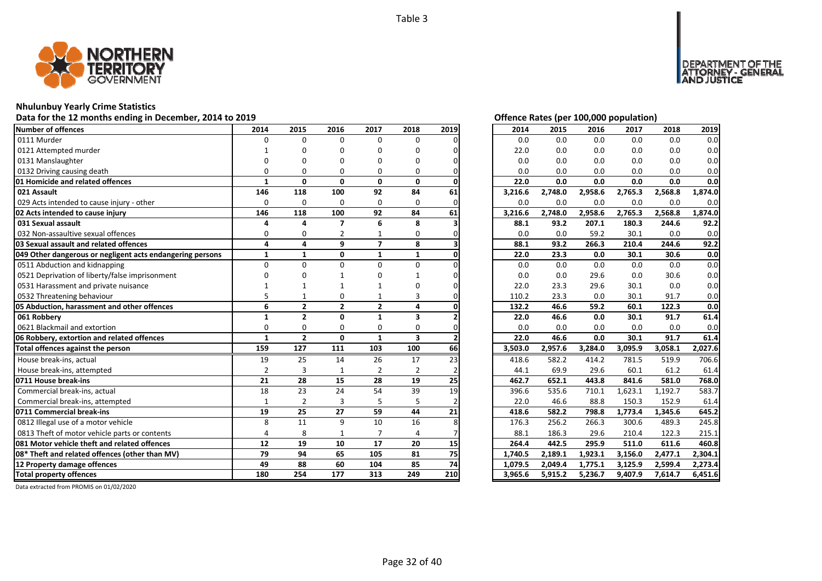

# **Nhulunbuy Yearly Crime Statistics**

# Data for the 12 months ending in December, 2014 to 2019 *Data for the 12 months ending in December, 2014 to 2019*

| Number of offences                                        | 2014           | 2015           | 2016           | 2017           | 2018                    | 2019 | 2014    | 2015    | 2016    | 2017    | 2018    | 2019    |
|-----------------------------------------------------------|----------------|----------------|----------------|----------------|-------------------------|------|---------|---------|---------|---------|---------|---------|
| 0111 Murder                                               | $\Omega$       | $\Omega$       | $\Omega$       | 0              | 0                       |      | 0.0     | 0.0     | 0.0     | 0.0     | 0.0     | 0.0     |
| 0121 Attempted murder                                     |                | O              | n              | U              | O                       |      | 22.0    | 0.0     | 0.0     | 0.0     | 0.0     | 0.0     |
| 0131 Manslaughter                                         | n              | n              | n              | ŋ              | O                       |      | 0.0     | 0.0     | 0.0     | 0.0     | 0.0     | 0.0     |
| 0132 Driving causing death                                | $\Omega$       | $\Omega$       | 0              | 0              | 0                       |      | 0.0     | 0.0     | 0.0     | 0.0     | 0.0     | 0.0     |
| 01 Homicide and related offences                          | $\mathbf{1}$   | $\mathbf{0}$   | $\mathbf{0}$   | 0              | $\mathbf{0}$            |      | 22.0    | 0.0     | 0.0     | 0.0     | 0.0     | 0.0     |
| 021 Assault                                               | 146            | 118            | 100            | 92             | 84                      | 61   | 3,216.6 | 2,748.0 | 2,958.6 | 2,765.3 | 2,568.8 | 1,874.0 |
| 029 Acts intended to cause injury - other                 | 0              | 0              | $\Omega$       | 0              | 0                       |      | 0.0     | 0.0     | 0.0     | 0.0     | 0.0     | 0.0     |
| 02 Acts intended to cause injury                          | 146            | 118            | 100            | 92             | 84                      | 61   | 3,216.6 | 2,748.0 | 2,958.6 | 2,765.3 | 2,568.8 | 1,874.0 |
| 031 Sexual assault                                        | 4              | 4              | $\overline{7}$ | 6              | 8                       |      | 88.1    | 93.2    | 207.1   | 180.3   | 244.6   | 92.2    |
| 032 Non-assaultive sexual offences                        | 0              | 0              | 2              |                | 0                       |      | 0.0     | 0.0     | 59.2    | 30.1    | 0.0     | 0.0     |
| 03 Sexual assault and related offences                    | 4              | 4              | 9              | $\overline{7}$ | 8                       |      | 88.1    | 93.2    | 266.3   | 210.4   | 244.6   | 92.2    |
| 049 Other dangerous or negligent acts endangering persons | $\mathbf{1}$   | $\mathbf{1}$   | 0              | $\mathbf{1}$   | $\mathbf{1}$            |      | 22.0    | 23.3    | 0.0     | 30.1    | 30.6    | 0.0     |
| 0511 Abduction and kidnapping                             | $\Omega$       | $\Omega$       | $\Omega$       | 0              | 0                       |      | 0.0     | 0.0     | 0.0     | 0.0     | 0.0     | 0.0     |
| 0521 Deprivation of liberty/false imprisonment            | n              |                |                |                |                         |      | 0.0     | 0.0     | 29.6    | 0.0     | 30.6    | 0.0     |
| 0531 Harassment and private nuisance                      |                |                |                |                |                         |      | 22.0    | 23.3    | 29.6    | 30.1    | 0.0     | 0.0     |
| 0532 Threatening behaviour                                |                |                | 0              |                | 3                       |      | 110.2   | 23.3    | 0.0     | 30.1    | 91.7    | 0.0     |
| 05 Abduction, harassment and other offences               | 6              | $\overline{2}$ | $\overline{2}$ | $\overline{2}$ | 4                       |      | 132.2   | 46.6    | 59.2    | 60.1    | 122.3   | 0.0     |
| 061 Robbery                                               | 1              | $\overline{2}$ | $\mathbf{0}$   | $\mathbf{1}$   | 3                       |      | 22.0    | 46.6    | 0.0     | 30.1    | 91.7    | 61.4    |
| 0621 Blackmail and extortion                              | $\Omega$       | $\Omega$       | $\Omega$       | 0              | 0                       |      | 0.0     | 0.0     | 0.0     | 0.0     | 0.0     | 0.0     |
| 06 Robbery, extortion and related offences                | $\mathbf{1}$   | $\overline{2}$ | $\mathbf{0}$   | $\mathbf{1}$   | $\overline{\mathbf{3}}$ |      | 22.0    | 46.6    | 0.0     | 30.1    | 91.7    | 61.4    |
| Total offences against the person                         | 159            | 127            | 111            | 103            | 100                     | 66   | 3,503.0 | 2,957.6 | 3,284.0 | 3,095.9 | 3,058.1 | 2,027.6 |
| House break-ins, actual                                   | 19             | 25             | 14             | 26             | 17                      | 23   | 418.6   | 582.2   | 414.2   | 781.5   | 519.9   | 706.6   |
| House break-ins, attempted                                | $\overline{2}$ | 3              | $\mathbf{1}$   | $\overline{2}$ | 2                       |      | 44.1    | 69.9    | 29.6    | 60.1    | 61.2    | 61.4    |
| 0711 House break-ins                                      | 21             | 28             | 15             | 28             | 19                      | 25   | 462.7   | 652.1   | 443.8   | 841.6   | 581.0   | 768.0   |
| Commercial break-ins, actual                              | 18             | 23             | 24             | 54             | 39                      | 19   | 396.6   | 535.6   | 710.1   | 1,623.1 | 1,192.7 | 583.7   |
| Commercial break-ins, attempted                           | $\mathbf{1}$   | $\overline{2}$ | 3              | 5              | 5                       |      | 22.0    | 46.6    | 88.8    | 150.3   | 152.9   | 61.4    |
| 0711 Commercial break-ins                                 | 19             | 25             | 27             | 59             | 44                      | 21   | 418.6   | 582.2   | 798.8   | 1,773.4 | 1,345.6 | 645.2   |
| 0812 Illegal use of a motor vehicle                       | 8              | 11             | 9              | 10             | 16                      |      | 176.3   | 256.2   | 266.3   | 300.6   | 489.3   | 245.8   |
| 0813 Theft of motor vehicle parts or contents             | 4              | 8              | $\mathbf{1}$   | $\overline{7}$ | 4                       |      | 88.1    | 186.3   | 29.6    | 210.4   | 122.3   | 215.1   |
| <b>1081 Motor vehicle theft and related offences</b>      | 12             | 19             | 10             | 17             | 20                      | 15   | 264.4   | 442.5   | 295.9   | 511.0   | 611.6   | 460.8   |
| 08* Theft and related offences (other than MV)            | 79             | 94             | 65             | 105            | 81                      | 75   | 1,740.5 | 2,189.1 | 1,923.1 | 3,156.0 | 2,477.1 | 2,304.1 |
| 12 Property damage offences                               | 49             | 88             | 60             | 104            | 85                      | 74   | 1,079.5 | 2,049.4 | 1,775.1 | 3,125.9 | 2,599.4 | 2,273.4 |
| <b>Total property offences</b>                            | 180            | 254            | 177            | 313            | 249                     | 210  | 3,965.6 | 5,915.2 | 5,236.7 | 9,407.9 | 7,614.7 | 6,451.6 |
|                                                           |                |                |                |                |                         |      |         |         |         |         |         |         |

MENT OF THE<br>NEY - GENERAL

USTICE

**DEPART** 

| 2014    | 2015    | 2016    | 2017    | 2018    | 2019    |
|---------|---------|---------|---------|---------|---------|
| 0.0     | 0.0     | 0.0     | 0.0     | 0.0     | 0.0     |
| 22.0    | 0.0     | 0.0     | 0.0     | 0.0     | 0.0     |
| 0.0     | 0.0     | 0.0     | 0.0     | 0.0     | 0.0     |
| 0.0     | 0.0     | 0.0     | 0.0     | 0.0     | 0.0     |
| 22.0    | 0.0     | 0.0     | 0.0     | 0.0     | 0.0     |
| 3,216.6 | 2,748.0 | 2,958.6 | 2,765.3 | 2,568.8 | 1,874.0 |
| 0.0     | 0.0     | 0.0     | 0.0     | 0.0     | 0.0     |
| 3,216.6 | 2,748.0 | 2,958.6 | 2,765.3 | 2,568.8 | 1,874.0 |
| 88.1    | 93.2    | 207.1   | 180.3   | 244.6   | 92.2    |
| 0.0     | 0.0     | 59.2    | 30.1    | 0.0     | 0.0     |
| 88.1    | 93.2    | 266.3   | 210.4   | 244.6   | 92.2    |
| 22.0    | 23.3    | 0.0     | 30.1    | 30.6    | 0.0     |
| 0.0     | 0.0     | 0.0     | 0.0     | 0.0     | 0.0     |
| 0.0     | 0.0     | 29.6    | 0.0     | 30.6    | 0.0     |
| 22.0    | 23.3    | 29.6    | 30.1    | 0.0     | 0.0     |
| 110.2   | 23.3    | 0.0     | 30.1    | 91.7    | 0.0     |
|         |         |         |         | 122.3   |         |
| 132.2   | 46.6    | 59.2    | 60.1    |         | 0.0     |
| 22.0    | 46.6    | 0.0     | 30.1    | 91.7    | 61.4    |
| 0.0     | 0.0     | 0.0     | 0.0     | 0.0     | 0.0     |
| 22.0    | 46.6    | 0.0     | 30.1    | 91.7    | 61.4    |
| 3,503.0 | 2,957.6 | 3,284.0 | 3,095.9 | 3,058.1 | 2,027.6 |
| 418.6   | 582.2   | 414.2   | 781.5   | 519.9   | 706.6   |
| 44.1    | 69.9    | 29.6    | 60.1    | 61.2    | 61.4    |
| 462.7   | 652.1   | 443.8   | 841.6   | 581.0   | 768.0   |
| 396.6   | 535.6   | 710.1   | 1,623.1 | 1,192.7 | 583.7   |
| 22.0    | 46.6    | 88.8    | 150.3   | 152.9   | 61.4    |
| 418.6   | 582.2   | 798.8   | 1,773.4 | 1,345.6 | 645.2   |
| 176.3   | 256.2   | 266.3   | 300.6   | 489.3   | 245.8   |
| 88.1    | 186.3   | 29.6    | 210.4   | 122.3   | 215.1   |
| 264.4   | 442.5   | 295.9   | 511.0   | 611.6   | 460.8   |
| 1,740.5 | 2,189.1 | 1,923.1 | 3,156.0 | 2,477.1 | 2,304.1 |
| 1,079.5 | 2,049.4 | 1,775.1 | 3,125.9 | 2,599.4 | 2,273.4 |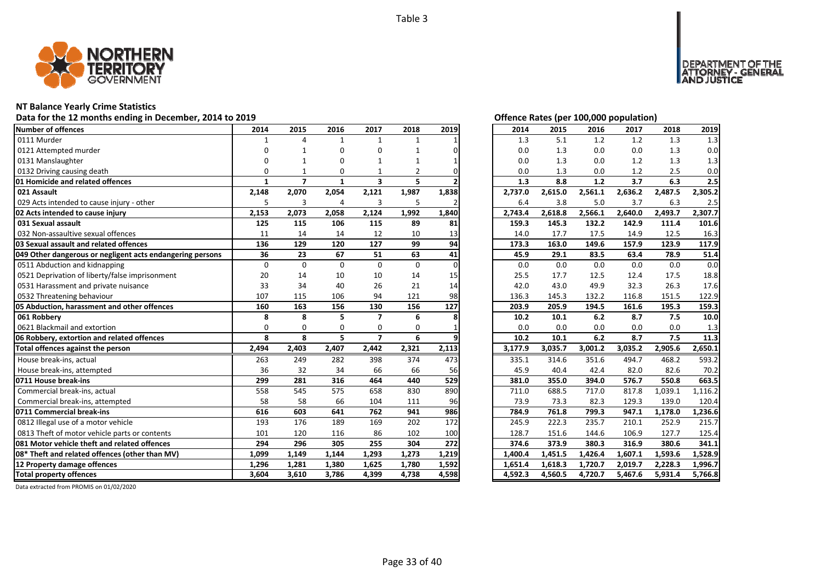

# **NT Balance Yearly Crime Statistics**

# Data for the 12 months ending in December, 2014 to 2019 *Data for the 12 months ending in December, 2014 to 2019*

| Number of offences                                        | 2014         | 2015                    | 2016         | 2017                    | 2018           | 2019     | 2014    | 2015    | 2016    | 2017    | 2018    | 2019    |
|-----------------------------------------------------------|--------------|-------------------------|--------------|-------------------------|----------------|----------|---------|---------|---------|---------|---------|---------|
| 0111 Murder                                               |              | Δ                       | $\mathbf{1}$ | $\mathbf{1}$            | 1              |          | 1.3     | 5.1     | 1.2     | 1.2     | 1.3     | 1.3     |
| 0121 Attempted murder                                     |              |                         | $\Omega$     | O                       |                |          | 0.0     | 1.3     | 0.0     | 0.0     | 1.3     | 0.0     |
| 0131 Manslaughter                                         |              |                         | ŋ            | 1                       |                |          | 0.0     | 1.3     | 0.0     | 1.2     | 1.3     | 1.3     |
| 0132 Driving causing death                                | $\Omega$     |                         | O            |                         | $\overline{2}$ |          | 0.0     | 1.3     | 0.0     | 1.2     | 2.5     | 0.0     |
| 01 Homicide and related offences                          | $\mathbf{1}$ | $\overline{\mathbf{z}}$ | $\mathbf{1}$ | $\overline{\mathbf{3}}$ | 5              |          | 1.3     | 8.8     | 1.2     | 3.7     | 6.3     | 2.5     |
| 021 Assault                                               | 2,148        | 2,070                   | 2,054        | 2,121                   | 1,987          | 1,838    | 2,737.0 | 2,615.0 | 2,561.1 | 2,636.2 | 2,487.5 | 2,305.2 |
| 029 Acts intended to cause injury - other                 | 5            | 3                       | 4            | 3                       | 5              |          | 6.4     | 3.8     | 5.0     | 3.7     | 6.3     | 2.5     |
| 02 Acts intended to cause injury                          | 2,153        | 2,073                   | 2,058        | 2,124                   | 1,992          | 1,840    | 2,743.4 | 2,618.8 | 2,566.1 | 2,640.0 | 2,493.7 | 2,307.7 |
| 031 Sexual assault                                        | 125          | 115                     | 106          | 115                     | 89             | 81       | 159.3   | 145.3   | 132.2   | 142.9   | 111.4   | 101.6   |
| 032 Non-assaultive sexual offences                        | 11           | 14                      | 14           | 12                      | 10             | 13       | 14.0    | 17.7    | 17.5    | 14.9    | 12.5    | 16.3    |
| 03 Sexual assault and related offences                    | 136          | 129                     | 120          | 127                     | 99             | 94       | 173.3   | 163.0   | 149.6   | 157.9   | 123.9   | 117.9   |
| 049 Other dangerous or negligent acts endangering persons | 36           | 23                      | 67           | 51                      | 63             | 41       | 45.9    | 29.1    | 83.5    | 63.4    | 78.9    | 51.4    |
| 0511 Abduction and kidnapping                             | $\Omega$     | $\Omega$                | $\Omega$     | $\Omega$                | $\Omega$       | $\Omega$ | 0.0     | 0.0     | 0.0     | 0.0     | 0.0     | 0.0     |
| 0521 Deprivation of liberty/false imprisonment            | 20           | 14                      | 10           | 10                      | 14             | 15       | 25.5    | 17.7    | 12.5    | 12.4    | 17.5    | 18.8    |
| 0531 Harassment and private nuisance                      | 33           | 34                      | 40           | 26                      | 21             | 14       | 42.0    | 43.0    | 49.9    | 32.3    | 26.3    | 17.6    |
| 0532 Threatening behaviour                                | 107          | 115                     | 106          | 94                      | 121            | 98       | 136.3   | 145.3   | 132.2   | 116.8   | 151.5   | 122.9   |
| 05 Abduction, harassment and other offences               | 160          | 163                     | 156          | 130                     | 156            | 127      | 203.9   | 205.9   | 194.5   | 161.6   | 195.3   | 159.3   |
| 061 Robbery                                               | 8            | 8                       | 5            | $\overline{\mathbf{z}}$ | 6              |          | 10.2    | 10.1    | 6.2     | 8.7     | 7.5     | 10.0    |
| 0621 Blackmail and extortion                              | $\Omega$     | $\Omega$                | $\Omega$     | $\Omega$                | $\Omega$       |          | 0.0     | 0.0     | 0.0     | 0.0     | 0.0     | 1.3     |
| 06 Robbery, extortion and related offences                | 8            | 8                       | 5            | $\overline{7}$          | 6              |          | 10.2    | 10.1    | 6.2     | 8.7     | 7.5     | 11.3    |
| Total offences against the person                         | 2,494        | 2,403                   | 2,407        | 2,442                   | 2,321          | 2,113    | 3,177.9 | 3,035.7 | 3,001.2 | 3,035.2 | 2,905.6 | 2,650.1 |
| House break-ins, actual                                   | 263          | 249                     | 282          | 398                     | 374            | 473      | 335.1   | 314.6   | 351.6   | 494.7   | 468.2   | 593.2   |
| House break-ins, attempted                                | 36           | 32                      | 34           | 66                      | 66             | 56       | 45.9    | 40.4    | 42.4    | 82.0    | 82.6    | 70.2    |
| 0711 House break-ins                                      | 299          | 281                     | 316          | 464                     | 440            | 529      | 381.0   | 355.0   | 394.0   | 576.7   | 550.8   | 663.5   |
| Commercial break-ins, actual                              | 558          | 545                     | 575          | 658                     | 830            | 890      | 711.0   | 688.5   | 717.0   | 817.8   | 1,039.1 | 1,116.2 |
| Commercial break-ins, attempted                           | 58           | 58                      | 66           | 104                     | 111            | 96       | 73.9    | 73.3    | 82.3    | 129.3   | 139.0   | 120.4   |
| 0711 Commercial break-ins                                 | 616          | 603                     | 641          | 762                     | 941            | 986      | 784.9   | 761.8   | 799.3   | 947.1   | 1,178.0 | 1,236.6 |
| 0812 Illegal use of a motor vehicle                       | 193          | 176                     | 189          | 169                     | 202            | 172      | 245.9   | 222.3   | 235.7   | 210.1   | 252.9   | 215.7   |
| 0813 Theft of motor vehicle parts or contents             | 101          | 120                     | 116          | 86                      | 102            | 100      | 128.7   | 151.6   | 144.6   | 106.9   | 127.7   | 125.4   |
| 081 Motor vehicle theft and related offences              | 294          | 296                     | 305          | 255                     | 304            | 272      | 374.6   | 373.9   | 380.3   | 316.9   | 380.6   | 341.1   |
| 08* Theft and related offences (other than MV)            | 1.099        | 1,149                   | 1,144        | 1,293                   | 1,273          | 1,219    | 1,400.4 | 1,451.5 | 1,426.4 | 1,607.1 | 1,593.6 | 1,528.9 |
| 12 Property damage offences                               | 1,296        | 1,281                   | 1,380        | 1,625                   | 1,780          | 1,592    | 1,651.4 | 1,618.3 | 1,720.7 | 2,019.7 | 2,228.3 | 1,996.7 |
| <b>Total property offences</b>                            | 3.604        | 3,610                   | 3,786        | 4,399                   | 4,738          | 4,598    | 4,592.3 | 4,560.5 | 4,720.7 | 5,467.6 | 5,931.4 | 5,766.8 |

DEPARTMENT OF THE<br>ATTORNEY - GENERAL<br>AND JUSTICE

| 2014    | 2015    | 2016    | 2017    | 2018    | 2019    |
|---------|---------|---------|---------|---------|---------|
| 1.3     | 5.1     | 1.2     | 1.2     | 1.3     | 1.3     |
| 0.0     | 1.3     | 0.0     | 0.0     | 1.3     | 0.0     |
| 0.0     | 1.3     | 0.0     | 1.2     | 1.3     | 1.3     |
| 0.0     | 1.3     | 0.0     | 1.2     | 2.5     | 0.0     |
| 1.3     | 8.8     | 1.2     | 3.7     | 6.3     | 2.5     |
| 2,737.0 | 2,615.0 | 2,561.1 | 2,636.2 | 2,487.5 | 2,305.2 |
| 6.4     | 3.8     | 5.0     | 3.7     | 6.3     | 2.5     |
| 2,743.4 | 2,618.8 | 2,566.1 | 2,640.0 | 2,493.7 | 2,307.7 |
| 159.3   | 145.3   | 132.2   | 142.9   | 111.4   | 101.6   |
| 14.0    | 17.7    | 17.5    | 14.9    | 12.5    | 16.3    |
| 173.3   | 163.0   | 149.6   | 157.9   | 123.9   | 117.9   |
| 45.9    | 29.1    | 83.5    | 63.4    | 78.9    | 51.4    |
| 0.0     | 0.0     | 0.0     | 0.0     | 0.0     | 0.0     |
| 25.5    | 17.7    | 12.5    | 12.4    | 17.5    | 18.8    |
| 42.0    | 43.0    | 49.9    | 32.3    | 26.3    | 17.6    |
| 136.3   | 145.3   | 132.2   | 116.8   | 151.5   | 122.9   |
| 203.9   | 205.9   | 194.5   | 161.6   | 195.3   | 159.3   |
| 10.2    | 10.1    | 6.2     | 8.7     | 7.5     | 10.0    |
| 0.0     | 0.0     | 0.0     | 0.0     | 0.0     | 1.3     |
| 10.2    | 10.1    | 6.2     | 8.7     | 7.5     | 11.3    |
| 3,177.9 | 3,035.7 | 3,001.2 | 3,035.2 | 2,905.6 | 2,650.1 |
| 335.1   | 314.6   | 351.6   | 494.7   | 468.2   | 593.2   |
| 45.9    | 40.4    | 42.4    | 82.0    | 82.6    | 70.2    |
| 381.0   | 355.0   | 394.0   | 576.7   | 550.8   | 663.5   |
| 711.0   | 688.5   | 717.0   | 817.8   | 1,039.1 | 1,116.2 |
| 73.9    | 73.3    | 82.3    | 129.3   | 139.0   | 120.4   |
| 784.9   | 761.8   | 799.3   | 947.1   | 1,178.0 | 1,236.6 |
| 245.9   | 222.3   | 235.7   | 210.1   | 252.9   | 215.7   |
| 128.7   | 151.6   | 144.6   | 106.9   | 127.7   | 125.4   |
| 374.6   | 373.9   | 380.3   | 316.9   | 380.6   | 341.1   |
| 1,400.4 | 1,451.5 | 1,426.4 | 1,607.1 | 1,593.6 | 1,528.9 |
| 1,651.4 | 1,618.3 | 1,720.7 | 2,019.7 | 2,228.3 | 1,996.7 |
| 4,592.3 | 4,560.5 | 4,720.7 | 5,467.6 | 5,931.4 | 5,766.8 |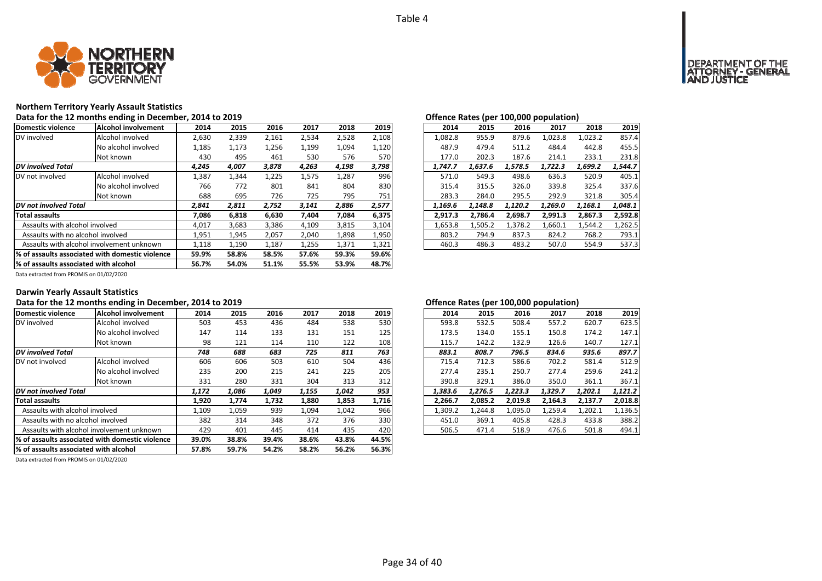

# **Northern Territory Yearly Assault Statistics**

Data for the 12 months ending in December, 2014 to 2019<br>**Data for the 12 months ending in December, 2014 to 2019** 

| Domestic violence                     | Alcohol involvement                             | 2014  | 2015  | 2016  | 2017  | 2018  | 2019  | 2014    | 2015                                                     | 2016    | 2017    | 2018    | 2019    |
|---------------------------------------|-------------------------------------------------|-------|-------|-------|-------|-------|-------|---------|----------------------------------------------------------|---------|---------|---------|---------|
| DV involved                           | Alcohol involved                                | 2,630 | 2,339 | 2,161 | 2,534 | 2,528 | 2,108 | 1.082.8 | 955.9                                                    | 879.6   | 1,023.8 | 1,023.2 | 857.4   |
|                                       | No alcohol involved                             | 1,185 | 1,173 | 1,256 | 1,199 | 1,094 | 1,120 | 487.9   | 479.4                                                    | 511.2   | 484.4   | 442.8   | 455.5   |
|                                       | Not known                                       | 430   | 495   | 461   | 530   | 576   | 570   | 177.0   | 202.3                                                    | 187.6   | 214.1   | 233.1   | 231.8   |
| <b>DV</b> involved Total              |                                                 | 4,245 | 4,007 | 3,878 | 4,263 | 4,198 | 3,798 | 1,747.7 | 1,637.6                                                  | 1,578.5 | 1,722.3 | 1,699.2 | 1,544.7 |
| DV not involved                       | Alcohol involved                                | 1.387 | 1,344 | 1,225 | 1,575 | 1,287 | 996   | 571.0   | 549.3                                                    | 498.6   | 636.3   | 520.9   | 405.1   |
|                                       | No alcohol involved                             | 766   | 772   | 801   | 841   | 804   | 830   | 315.4   | 315.5                                                    | 326.0   | 339.8   | 325.4   | 337.6   |
|                                       | Not known                                       | 688   | 695   | 726   | 725   | 795   | 751   | 283.3   | 284.0<br>1,148.8<br>2,786.4<br>1.505.2<br>794.9<br>486.3 | 295.5   | 292.9   | 321.8   | 305.4   |
| DV not involved Total                 |                                                 | 2,841 | 2,811 | 2,752 | 3,141 | 2,886 | 2,577 | 1.169.6 |                                                          | 1.120.2 | 1,269.0 | 1,168.1 | 1,048.1 |
| <b>Total assaults</b>                 |                                                 | 7,086 | 6,818 | 6,630 | 7,404 | 7,084 | 6,375 | 2,917.3 |                                                          | 2,698.7 | 2,991.3 | 2,867.3 | 2,592.8 |
| Assaults with alcohol involved        |                                                 | 4,017 | 3,683 | 3,386 | 4,109 | 3,815 | 3,104 | 1,653.8 |                                                          | 1.378.2 | 1,660.1 | 1.544.2 | 1,262.5 |
| Assaults with no alcohol involved     |                                                 | 1,951 | 1,945 | 2,057 | 2,040 | 1,898 | 1,950 | 803.2   |                                                          | 837.3   | 824.2   | 768.2   | 793.1   |
|                                       | Assaults with alcohol involvement unknown       | 1,118 | 1,190 | 1,187 | 1,255 | 1,371 | 1,321 | 460.3   |                                                          | 483.2   | 507.0   | 554.9   | 537.3   |
|                                       | % of assaults associated with domestic violence | 59.9% | 58.8% | 58.5% | 57.6% | 59.3% | 59.6% |         |                                                          |         |         |         |         |
| % of assaults associated with alcohol |                                                 | 56.7% | 54.0% | 51.1% | 55.5% | 53.9% | 48.7% |         |                                                          |         |         |         |         |

| ישוועוועל ווענכט נפלי |         |         | $100,000$ population, |         |         |
|-----------------------|---------|---------|-----------------------|---------|---------|
| 2014                  | 2015    | 2016    | 2017                  | 2018    | 2019    |
| 1,082.8               | 955.9   | 879.6   | 1,023.8               | 1,023.2 | 857.4   |
| 487.9                 | 479.4   | 511.2   | 484.4                 | 442.8   | 455.5   |
| 177.0                 | 202.3   | 187.6   | 214.1                 | 233.1   | 231.8   |
| 1.747.7               | 1.637.6 | 1.578.5 | 1.722.3               | 1.699.2 | 1,544.7 |
| 571.0                 | 549.3   | 498.6   | 636.3                 | 520.9   | 405.1   |
| 315.4                 | 315.5   | 326.0   | 339.8                 | 325.4   | 337.6   |
| 283.3                 | 284.0   | 295.5   | 292.9                 | 321.8   | 305.4   |
| 1.169.6               | 1.148.8 | 1.120.2 | 1.269.0               | 1.168.1 | 1.048.1 |
| 2.917.3               | 2,786.4 | 2,698.7 | 2,991.3               | 2,867.3 | 2,592.8 |
| 1,653.8               | 1.505.2 | 1,378.2 | 1,660.1               | 1,544.2 | 1,262.5 |
| 803.2                 | 794.9   | 837.3   | 824.2                 | 768.2   | 793.1   |
| 460.3                 | 486.3   | 483.2   | 507.0                 | 554.9   | 537.3   |

Data extracted from PROMIS on 01/02/2020

# **Darwin Yearly Assault Statistics**

# **Data for the 12 months ending in December, 2014 to 2019 Offence Rates (per 100,000 population)**

| Domestic violence                      | Alcohol involvement                              | 2014  | 2015  | 2016  | 2017  | 2018  | 2019  | 2014    | 2015    | 2016    | 2017    | 2018    | 2019    |
|----------------------------------------|--------------------------------------------------|-------|-------|-------|-------|-------|-------|---------|---------|---------|---------|---------|---------|
| DV involved                            | Alcohol involved                                 | 503   | 453   | 436   | 484   | 538   | 530   | 593.8   | 532.5   | 508.4   | 557.2   | 620.7   | 623.5   |
|                                        | No alcohol involved                              | 147   | 114   | 133   | 131   | 151   | 125   | 173.5   | 134.0   | 155.1   | 150.8   | 174.2   | 147.1   |
|                                        | Not known                                        | 98    | 121   | 114   | 110   | 122   | 108   | 115.7   | 142.2   | 132.9   | 126.6   | 140.7   | 127.1   |
| <b>DV</b> involved Total               |                                                  | 748   | 688   | 683   | 725   | 811   | 763   | 883.1   | 808.7   | 796.5   | 834.6   | 935.6   | 897.7   |
| DV not involved                        | Alcohol involved                                 | 606   | 606   | 503   | 610   | 504   | 436   | 715.4   | 712.3   | 586.6   | 702.2   | 581.4   | 512.9   |
|                                        | No alcohol involved                              | 235   | 200   | 215   | 241   | 225   | 205   | 277.4   | 235.1   | 250.7   | 277.4   | 259.6   | 241.2   |
|                                        | Not known                                        | 331   | 280   | 331   | 304   | 313   | 312   | 390.8   | 329.1   | 386.0   | 350.0   | 361.1   | 367.1   |
| <b>DV</b> not involved Total           |                                                  | 1,172 | 1,086 | 1,049 | 1,155 | 1,042 | 953   | 1,383.6 | 1.276.5 | 1,223.3 | 1,329.7 | 1,202.1 | 1,121.2 |
| Total assaults                         |                                                  | 1,920 | 1,774 | 1,732 | 1,880 | 1,853 | 1,716 | 2.266.7 | 2,085.2 | 2,019.8 | 2,164.3 | 2,137.7 | 2,018.8 |
| Assaults with alcohol involved         |                                                  | 1,109 | 1,059 | 939   | 1,094 | 1,042 | 966   | 1,309.2 | 1,244.8 | 1,095.0 | 1,259.4 | 1,202.1 | 1,136.5 |
| Assaults with no alcohol involved      |                                                  | 382   | 314   | 348   | 372   | 376   | 330   | 451.0   | 369.1   | 405.8   | 428.3   | 433.8   | 388.2   |
|                                        | Assaults with alcohol involvement unknown        | 429   | 401   | 445   | 414   | 435   | 420   | 506.5   | 471.4   | 518.9   | 476.6   | 501.8   | 494.1   |
|                                        | 1% of assaults associated with domestic violence | 39.0% | 38.8% | 39.4% | 38.6% | 43.8% | 44.5% |         |         |         |         |         |         |
| 1% of assaults associated with alcohol |                                                  | 57.8% | 59.7% | 54.2% | 58.2% | 56.2% | 56.3% |         |         |         |         |         |         |

| 4               | 2015  | 2016  | 2017  | 2018  | 2019  | 2014    | 2015    | 2016    | 2017    | 2018    | 2019    |
|-----------------|-------|-------|-------|-------|-------|---------|---------|---------|---------|---------|---------|
| )З              | 453   | 436   | 484   | 538   | 530   | 593.8   | 532.5   | 508.4   | 557.2   | 620.7   | 623.5   |
| -7              | 114   | 133   | 131   | 151   | 125   | 173.5   | 134.0   | 155.1   | 150.8   | 174.2   | 147.1   |
| 18              | 121   | 114   | 110   | 122   | 108   | 115.7   | 142.2   | 132.9   | 126.6   | 140.7   | 127.1   |
| 8               | 688   | 683   | 725   | 811   | 763   | 883.1   | 808.7   | 796.5   | 834.6   | 935.6   | 897.7   |
| 16              | 606   | 503   | 610   | 504   | 436   | 715.4   | 712.3   | 586.6   | 702.2   | 581.4   | 512.9   |
| 15              | 200   | 215   | 241   | 225   | 205   | 277.4   | 235.1   | 250.7   | 277.4   | 259.6   | 241.2   |
| $1\overline{1}$ | 280   | 331   | 304   | 313   | 312   | 390.8   | 329.1   | 386.0   | 350.0   | 361.1   | 367.1   |
| 2               | 1,086 | 1,049 | 1.155 | 1.042 | 953   | 1.383.6 | 1.276.5 | 1.223.3 | 1,329.7 | 1.202.1 | 1,121.2 |
| 0               | 1.774 | 1.732 | 1,880 | 1,853 | 1,716 | 2.266.7 | 2.085.2 | 2.019.8 | 2.164.3 | 2.137.7 | 2,018.8 |
| 19              | 1,059 | 939   | 1.094 | 1,042 | 966   | 1.309.2 | 1.244.8 | 1,095.0 | 1.259.4 | 1.202.1 | 1,136.5 |
| 32              | 314   | 348   | 372   | 376   | 330   | 451.0   | 369.1   | 405.8   | 428.3   | 433.8   | 388.2   |
| ٥.              | 401   | 445   | 414   | 435   | 420   | 506.5   | 471.4   | 518.9   | 476.6   | 501.8   | 494.1   |
|                 |       |       |       |       |       |         |         |         |         |         |         |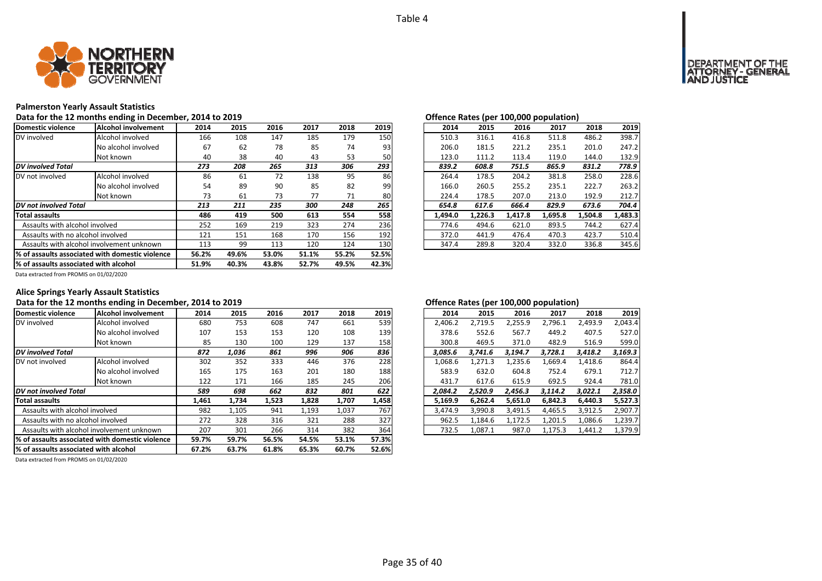

# **Palmerston Yearly Assault Statistics**

Data for the 12 months ending in December, 2014 to 2019<br>**Data for the 12 months ending in December, 2014 to 2019** 

| Domestic violence                     | Alcohol involvement                              | 2014  | 2015  | 2016  | 2017  | 2018  | 2019  | 2014    | 2015    | 2016    | 2017    | 2018    | 2019    |
|---------------------------------------|--------------------------------------------------|-------|-------|-------|-------|-------|-------|---------|---------|---------|---------|---------|---------|
| DV involved                           | Alcohol involved                                 | 166   | 108   | 147   | 185   | 179   | 150   | 510.3   | 316.1   | 416.8   | 511.8   | 486.2   | 398.7   |
|                                       | No alcohol involved                              | 67    | 62    | 78    | 85    | 74    | 93    | 206.0   | 181.5   | 221.2   | 235.1   | 201.0   | 247.2   |
|                                       | Not known                                        | 40    | 38    | 40    | 43    | 53    | 50    | 123.0   | 111.2   | 113.4   | 119.0   | 144.0   | 132.9   |
| <b>DV</b> involved Total              |                                                  | 273   | 208   | 265   | 313   | 306   | 293   | 839.2   | 608.8   | 751.5   | 865.9   | 831.2   | 778.9   |
| DV not involved                       | Alcohol involved                                 | 86    | 61    | 72    | 138   | 95    | 86    | 264.4   | 178.5   | 204.2   | 381.8   | 258.0   | 228.6   |
|                                       | No alcohol involved                              | 54    | 89    | 90    | 85    | 82    | 99    | 166.0   | 260.5   | 255.2   | 235.1   | 222.7   | 263.2   |
|                                       | Not known                                        | 73    | 61    | 73    | 77    | 71    | 80    | 224.4   | 178.5   | 207.0   | 213.0   | 192.9   | 212.7   |
| DV not involved Total                 |                                                  | 213   | 211   | 235   | 300   | 248   | 265   | 654.8   | 617.6   | 666.4   | 829.9   | 673.6   | 704.4   |
| <b>Total assaults</b>                 |                                                  | 486   | 419   | 500   | 613   | 554   | 558   | 1,494.0 | 1,226.3 | 1,417.8 | 1,695.8 | 1,504.8 | 1,483.3 |
| Assaults with alcohol involved        |                                                  | 252   | 169   | 219   | 323   | 274   | 236   | 774.6   | 494.6   | 621.0   | 893.5   | 744.2   | 627.4   |
| Assaults with no alcohol involved     |                                                  | 121   | 151   | 168   | 170   | 156   | 192   | 372.0   | 441.9   | 476.4   | 470.3   | 423.7   | 510.4   |
|                                       | Assaults with alcohol involvement unknown        | 113   | 99    | 113   | 120   | 124   | 130   | 347.4   | 289.8   | 320.4   | 332.0   | 336.8   | 345.6   |
|                                       | 1% of assaults associated with domestic violence | 56.2% | 49.6% | 53.0% | 51.1% | 55.2% | 52.5% |         |         |         |         |         |         |
| % of assaults associated with alcohol |                                                  | 51.9% | 40.3% | 43.8% | 52.7% | 49.5% | 42.3% |         |         |         |         |         |         |

| 2015    | 2016    | 2017    | 2018    | 2019                                   |
|---------|---------|---------|---------|----------------------------------------|
| 316.1   | 416.8   | 511.8   | 486.2   | 398.7                                  |
| 181.5   | 221.2   | 235.1   | 201.0   | 247.2                                  |
| 111.2   | 113.4   | 119.0   | 144.0   | 132.9                                  |
| 608.8   | 751.5   | 865.9   | 831.2   | 778.9                                  |
| 178.5   | 204.2   | 381.8   | 258.0   | 228.6                                  |
| 260.5   | 255.2   | 235.1   | 222.7   | 263.2                                  |
| 178.5   | 207.0   | 213.0   | 192.9   | 212.7                                  |
| 617.6   | 666.4   | 829.9   | 673.6   | 704.4                                  |
| 1.226.3 | 1.417.8 | 1,695.8 | 1,504.8 | 1,483.3                                |
| 494.6   | 621.0   | 893.5   | 744.2   | 627.4                                  |
| 441.9   | 476.4   | 470.3   | 423.7   | 510.4                                  |
| 289.8   | 320.4   | 332.0   | 336.8   | 345.6                                  |
|         |         |         |         | Offence nates (per 100,000 population) |

Data extracted from PROMIS on 01/02/2020

# **Alice Springs Yearly Assault Statistics**

# Data for the 12 months ending in December, 2014 to 2019 *Data for the 12 months ending in December, 2014 to 2019*

| Domestic violence                      | Alcohol involvement                              | 2014  | 2015  | 2016  | 2017  | 2018  | 2019  | 2014    | 2015    | 2016    | 2017    | 2018    | 2019    |
|----------------------------------------|--------------------------------------------------|-------|-------|-------|-------|-------|-------|---------|---------|---------|---------|---------|---------|
| DV involved                            | Alcohol involved                                 | 680   | 753   | 608   | 747   | 661   | 539   | 2,406.2 | 2,719.5 | 2,255.9 | 2,796.1 | 2,493.9 | 2.043.4 |
|                                        | No alcohol involved                              | 107   | 153   | 153   | 120   | 108   | 139   | 378.6   | 552.6   | 567.7   | 449.2   | 407.5   | 527.0   |
|                                        | Not known                                        | 85    | 130   | 100   | 129   | 137   | 158   | 300.8   | 469.5   | 371.0   | 482.9   | 516.9   | 599.0   |
| <b>DV</b> involved Total               |                                                  | 872   | 1,036 | 861   | 996   | 906   | 836   | 3.085.6 | 3.741.6 | 3,194.7 | 3.728.1 | 3,418.2 | 3,169.3 |
| DV not involved                        | Alcohol involved                                 | 302   | 352   | 333   | 446   | 376   | 228   | 1,068.6 | 1,271.3 | 1,235.6 | 1,669.4 | 1,418.6 | 864.4   |
|                                        | No alcohol involved                              | 165   | 175   | 163   | 201   | 180   | 188   | 583.9   | 632.0   | 604.8   | 752.4   | 679.1   | 712.7   |
|                                        | Not known                                        | 122   | 171   | 166   | 185   | 245   | 206   | 431.7   | 617.6   | 615.9   | 692.5   | 924.4   | 781.0   |
| <b>DV</b> not involved Total           |                                                  | 589   | 698   | 662   | 832   | 801   | 622   | 2,084.2 | 2.520.9 | 2.456.3 | 3,114.2 | 3,022.1 | 2,358.0 |
| <b>Total assaults</b>                  |                                                  | 1,461 | 1,734 | 1,523 | 1,828 | 1,707 | 1,458 | 5,169.9 | 6.262.4 | 5,651.0 | 6,842.3 | 6.440.3 | 5,527.3 |
| Assaults with alcohol involved         |                                                  | 982   | 1,105 | 941   | 1,193 | 1,037 | 767   | 3,474.9 | 3,990.8 | 3,491.5 | 4,465.5 | 3,912.5 | 2,907.7 |
| Assaults with no alcohol involved      |                                                  | 272   | 328   | 316   | 321   | 288   | 327   | 962.5   | 1,184.6 | 1,172.5 | 1,201.5 | 1.086.6 | 1,239.7 |
|                                        | Assaults with alcohol involvement unknown        | 207   | 301   | 266   | 314   | 382   | 364   | 732.5   | 1,087.1 | 987.0   | 1,175.3 | 1,441.2 | 1,379.9 |
|                                        | 1% of assaults associated with domestic violence | 59.7% | 59.7% | 56.5% | 54.5% | 53.1% | 57.3% |         |         |         |         |         |         |
| 1% of assaults associated with alcohol |                                                  | 67.2% | 63.7% | 61.8% | 65.3% | 60.7% | 52.6% |         |         |         |         |         |         |

Data extracted from PROMIS on 01/02/2020

| 2014    | 2015    | 2016    | 2017    | 2018    | 2019    |
|---------|---------|---------|---------|---------|---------|
| 2,406.2 | 2,719.5 | 2,255.9 | 2,796.1 | 2,493.9 | 2.043.4 |
| 378.6   | 552.6   | 567.7   | 449.2   | 407.5   | 527.0   |
| 300.8   | 469.5   | 371.0   | 482.9   | 516.9   | 599.0   |
| 3.085.6 | 3,741.6 | 3.194.7 | 3.728.1 | 3.418.2 | 3,169.3 |
| 1,068.6 | 1,271.3 | 1,235.6 | 1,669.4 | 1,418.6 | 864.4   |
| 583.9   | 632.0   | 604.8   | 752.4   | 679.1   | 712.7   |
| 431.7   | 617.6   | 615.9   | 692.5   | 924.4   | 781.0   |
| 2,084.2 | 2,520.9 | 2,456.3 | 3,114.2 | 3,022.1 | 2,358.0 |
| 5.169.9 | 6.262.4 | 5,651.0 | 6.842.3 | 6.440.3 | 5,527.3 |
| 3,474.9 | 3,990.8 | 3,491.5 | 4,465.5 | 3,912.5 | 2,907.7 |
| 962.5   | 1.184.6 | 1,172.5 | 1,201.5 | 1.086.6 | 1,239.7 |
| 732.5   | 1.087.1 | 987.0   | 1,175.3 | 1,441.2 | 1,379.9 |
|         |         |         |         |         |         |

# **OF THE**<br>GENERAL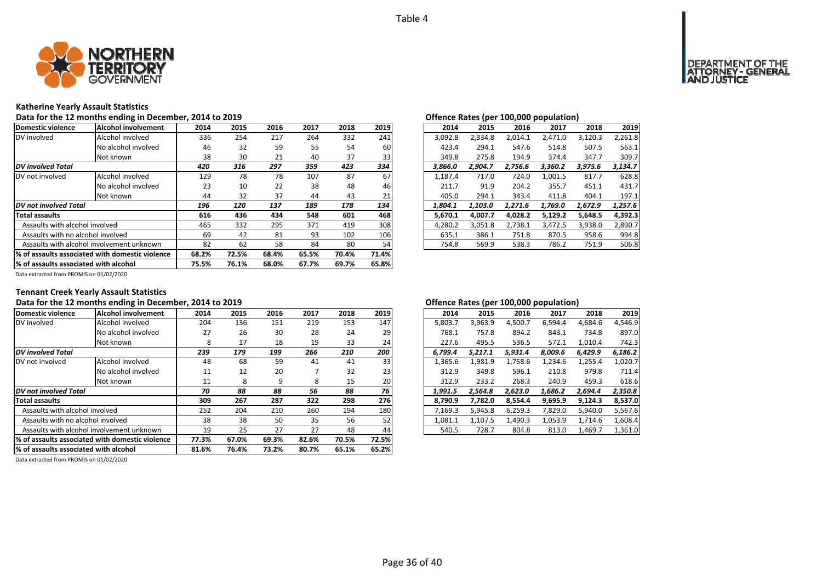

# **Katherine Yearly Assault Statistics**

Data for the 12 months ending in December, 2014 to 2019<br>**Data for the 12 months ending in December, 2014 to 2019** 

| Domestic violence                     | Alcohol involvement                              | 2014  | 2015  | 2016  | 2017  | 2018  | 2019  | 2014    | 2015    | 2016    | 2017    | 2018    | 2019    |
|---------------------------------------|--------------------------------------------------|-------|-------|-------|-------|-------|-------|---------|---------|---------|---------|---------|---------|
| DV involved                           | Alcohol involved                                 | 336   | 254   | 217   | 264   | 332   | 241   | 3,092.8 | 2,334.8 | 2.014.1 | 2.471.0 | 3,120.3 | 2,261.8 |
|                                       | No alcohol involved                              | 46    | 32    | 59    | 55    | 54    | 60    | 423.4   | 294.1   | 547.6   | 514.8   | 507.5   | 563.1   |
|                                       | Not known                                        | 38    | 30    | 21    | 40    | 37    | 33    | 349.8   | 275.8   | 194.9   | 374.4   | 347.7   | 309.7   |
| <b>DV</b> involved Total              |                                                  | 420   | 316   | 297   | 359   | 423   | 334   | 3,866.0 | 2,904.7 | 2,756.6 | 3,360.2 | 3,975.6 | 3,134.7 |
| DV not involved                       | Alcohol involved                                 | 129   | 78    | 78    | 107   | 87    | 67    | 1.187.4 | 717.0   | 724.0   | 1,001.5 | 817.7   | 628.8   |
|                                       | No alcohol involved                              | 23    | 10    | 22    | 38    | 48    | 46    | 211.7   | 91.9    | 204.2   | 355.7   | 451.1   | 431.7   |
|                                       | Not known                                        | 44    | 32    | 37    | 44    | 43    | 21    | 405.0   | 294.1   | 343.4   | 411.8   | 404.1   | 197.1   |
| DV not involved Total                 |                                                  | 196   | 120   | 137   | 189   | 178   | 134   | 1.804.1 | 1,103.0 | 1.271.6 | 1.769.0 | 1,672.9 | 1,257.6 |
| <b>Total assaults</b>                 |                                                  | 616   | 436   | 434   | 548   | 601   | 468   | 5,670.1 | 4,007.7 | 4,028.2 | 5,129.2 | 5,648.5 | 4,392.3 |
| Assaults with alcohol involved        |                                                  | 465   | 332   | 295   | 371   | 419   | 308   | 4.280.2 | 3,051.8 | 2.738.1 | 3,472.5 | 3,938.0 | 2,890.7 |
| Assaults with no alcohol involved     |                                                  | 69    | 42    | 81    | 93    | 102   | 106   | 635.1   | 386.1   | 751.8   | 870.5   | 958.6   | 994.8   |
|                                       | Assaults with alcohol involvement unknown        | 82    | 62    | 58    | 84    | 80    | 54    | 754.8   | 569.9   | 538.3   | 786.2   | 751.9   | 506.8   |
|                                       | 1% of assaults associated with domestic violence | 68.2% | 72.5% | 68.4% | 65.5% | 70.4% | 71.4% |         |         |         |         |         |         |
| % of assaults associated with alcohol |                                                  | 75.5% | 76.1% | 68.0% | 67.7% | 69.7% | 65.8% |         |         |         |         |         |         |

|    |      |      |      |      |      |         |  | $\mathbf{r}$ |         |         |         |         |
|----|------|------|------|------|------|---------|--|--------------|---------|---------|---------|---------|
| 4  | 2015 | 2016 | 2017 | 2018 | 2019 | 2014    |  | 2015         | 2016    | 2017    | 2018    | 2019    |
| 86 | 254  | 217  | 264  | 332  | 241  | 3.092.8 |  | 2.334.8      | 2.014.1 | 2.471.0 | 3.120.3 | 2.261.8 |
| ŀ6 | 32   | 59   | 55   | 54   | 60   | 423.4   |  | 294.1        | 547.6   | 514.8   | 507.5   | 563.1   |
| 8  | 30   | 21   | 40   | 37   | 33   | 349.8   |  | 275.8        | 194.9   | 374.4   | 347.7   | 309.7   |
| 0  | 316  | 297  | 359  | 423  | 334  | 3.866.0 |  | 2.904.7      | 2.756.6 | 3.360.2 | 3.975.6 | 3,134.7 |
| ٥. | 78   | 78   | 107  | 87   | 67   | 1,187.4 |  | 717.0        | 724.0   | 1,001.5 | 817.7   | 628.8   |
| :3 | 10   | 22   | 38   | 48   | 46   | 211.7   |  | 91.9         | 204.2   | 355.7   | 451.1   | 431.7   |
| 14 | 32   | 37   | 44   | 43   | 21   | 405.0   |  | 294.1        | 343.4   | 411.8   | 404.1   | 197.1   |
| 6  | 120  | 137  | 189  | 178  | 134  | 1.804.1 |  | 1.103.0      | 1.271.6 | 1.769.0 | 1.672.9 | 1.257.6 |
| 6  | 436  | 434  | 548  | 601  | 468  | 5.670.1 |  | 4.007.7      | 4.028.2 | 5.129.2 | 5.648.5 | 4.392.3 |
| 55 | 332  | 295  | 371  | 419  | 308  | 4.280.2 |  | 3.051.8      | 2.738.1 | 3.472.5 | 3.938.0 | 2,890.7 |
| 59 | 42   | 81   | 93   | 102  | 106  | 635.1   |  | 386.1        | 751.8   | 870.5   | 958.6   | 994.8   |
| 32 | 62   | 58   | 84   | 80   | 54   | 754.8   |  | 569.9        | 538.3   | 786.2   | 751.9   | 506.8   |
|    |      |      |      |      |      |         |  |              |         |         |         |         |

Data extracted from PROMIS on 01/02/2020

# **Tennant Creek Yearly Assault Statistics**

# **Data for the 12 months ending in December, 2014 to 2019 Offence Rates (per 100,000 population)**

| Domestic violence                     | <b>Alcohol involvement</b>                       | 2014  | 2015  | 2016  | 2017  | 2018  | 2019  | 2014    | 2015    | 2016    | 2017    | 2018    | 2019    |
|---------------------------------------|--------------------------------------------------|-------|-------|-------|-------|-------|-------|---------|---------|---------|---------|---------|---------|
| DV involved                           | Alcohol involved                                 | 204   | 136   | 151   | 219   | 153   | 147   | 5,803.7 | 3,963.9 | 4,500.7 | 6,594.4 | 4,684.6 | 4,546.9 |
|                                       | No alcohol involved                              | 27    | 26    | 30    | 28    | 24    | 29    | 768.1   | 757.8   | 894.2   | 843.1   | 734.8   | 897.0   |
|                                       | Not known                                        |       | 17    | 18    | 19    | 33    | 24    | 227.6   | 495.5   | 536.5   | 572.1   | 1,010.4 | 742.3   |
| <b>DV</b> involved Total              |                                                  | 239   | 179   | 199   | 266   | 210   | 200   | 6.799.4 | 5.217.1 | 5,931.4 | 8.009.6 | 6,429.9 | 6,186.2 |
| DV not involved                       | Alcohol involved                                 | 48    | 68    | 59    | 41    | 41    | 33    | 1,365.6 | 1,981.9 | 1,758.6 | 1,234.6 | 1,255.4 | 1,020.7 |
|                                       | No alcohol involved                              | 11    | 12    | 20    |       | 32    | 23    | 312.9   | 349.8   | 596.1   | 210.8   | 979.8   | 711.4   |
|                                       | Not known                                        | 11    | 8     | 9     | 8     | 15    | 20    | 312.9   | 233.2   | 268.3   | 240.9   | 459.3   | 618.6   |
| <b>DV</b> not involved Total          |                                                  | 70    | 88    | 88    | 56    | 88    | 76    | 1.991.5 | 2.564.8 | 2.623.0 | 1.686.2 | 2,694.4 | 2,350.8 |
| <b>Total assaults</b>                 |                                                  | 309   | 267   | 287   | 322   | 298   | 276   | 8.790.9 | 7.782.0 | 8.554.4 | 9,695.9 | 9,124.3 | 8,537.0 |
| Assaults with alcohol involved        |                                                  | 252   | 204   | 210   | 260   | 194   | 180   | 7,169.3 | 5,945.8 | 6,259.3 | 7,829.0 | 5,940.0 | 5,567.6 |
| Assaults with no alcohol involved     |                                                  | 38    | 38    | 50    | 35    | 56    | 52    | 1,081.1 | 1,107.5 | 1,490.3 | 1,053.9 | 1,714.6 | 1,608.4 |
|                                       | Assaults with alcohol involvement unknown        | 19    | 25    | 27    | 27    | 48    | 44    | 540.5   | 728.7   | 804.8   | 813.0   | 1,469.7 | 1,361.0 |
|                                       | 1% of assaults associated with domestic violence | 77.3% | 67.0% | 69.3% | 82.6% | 70.5% | 72.5% |         |         |         |         |         |         |
| % of assaults associated with alcohol |                                                  | 81.6% | 76.4% | 73.2% | 80.7% | 65.1% | 65.2% |         |         |         |         |         |         |

| 4           | 2015 | 2016 | 2017 | 2018 | 2019            | 2014    | 2015    | 2016    | 2017    | 2018    | 2019    |
|-------------|------|------|------|------|-----------------|---------|---------|---------|---------|---------|---------|
| 14          | 136  | 151  | 219  | 153  | 147             | 5.803.7 | 3.963.9 | 4,500.7 | 6.594.4 | 4.684.6 | 4,546.9 |
|             | 26   | 30   | 28   | 24   | 29              | 768.1   | 757.8   | 894.2   | 843.1   | 734.8   | 897.0   |
| 8           | 17   | 18   | 19   | 33   | 24              | 227.6   | 495.5   | 536.5   | 572.1   | 1.010.4 | 742.3   |
| 9           | 179  | 199  | 266  | 210  | 200             | 6.799.4 | 5.217.1 | 5.931.4 | 8.009.6 | 6.429.9 | 6,186.2 |
| ١8          | 68   | 59   | 41   | 41   | 33              | 1.365.6 | 1.981.9 | 1.758.6 | 1.234.6 | 1,255.4 | 1,020.7 |
| .1          | 12   | 20   |      | 32   | 23 <sub>l</sub> | 312.9   | 349.8   | 596.1   | 210.8   | 979.8   | 711.4   |
| .1          | 8    | 9    | 8    | 15   | 20              | 312.9   | 233.2   | 268.3   | 240.9   | 459.3   | 618.6   |
| 0           | 88   | 88   | 56   | 88   | 76              | 1.991.5 | 2.564.8 | 2.623.0 | 1.686.2 | 2.694.4 | 2,350.8 |
| 19          | 267  | 287  | 322  | 298  | 276             | 8.790.9 | 7.782.0 | 8.554.4 | 9,695.9 | 9.124.3 | 8,537.0 |
| $2^{\circ}$ | 204  | 210  | 260  | 194  | 180             | 7.169.3 | 5.945.8 | 6.259.3 | 7.829.0 | 5.940.0 | 5,567.6 |
| 18          | 38   | 50   | 35   | 56   | 52              | 1.081.1 | 1.107.5 | 1.490.3 | 1.053.9 | 1.714.6 | 1,608.4 |
| 9.          | 25   | 27   | 27   | 48   | 44              | 540.5   | 728.7   | 804.8   | 813.0   | 1.469.7 | 1,361.0 |
|             |      |      |      |      |                 |         |         |         |         |         |         |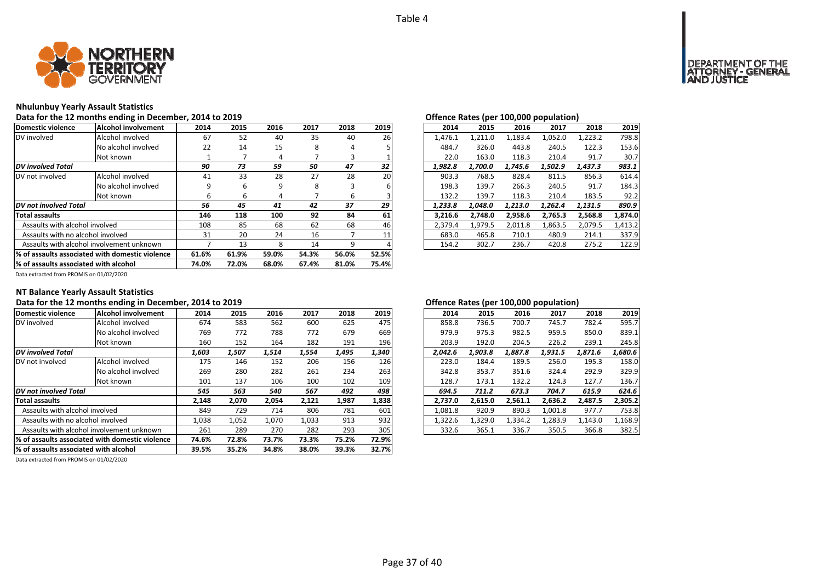

# **Nhulunbuy Yearly Assault Statistics**

Data for the 12 months ending in December, 2014 to 2019<br>**Data for the 12 months ending in December, 2014 to 2019** 

| Domestic violence                               | Alcohol involvement | 2014  | 2015  | 2016  | 2017  | 2018  | 2019  | 2014    | 2015    | 2016    | 2017    | 2018    | 2019    |
|-------------------------------------------------|---------------------|-------|-------|-------|-------|-------|-------|---------|---------|---------|---------|---------|---------|
| DV involved                                     | Alcohol involved    | 67    | 52    | 40    | 35    | 40    | 26    | 1.476.1 | 1,211.0 | 1,183.4 | 1,052.0 | 1,223.2 | 798.8   |
|                                                 | No alcohol involved | 22    | 14    | 15    | 8     | 4     |       | 484.7   | 326.0   | 443.8   | 240.5   | 122.3   | 153.6   |
|                                                 | Not known           |       |       | 4     |       | 3     |       | 22.0    | 163.0   | 118.3   | 210.4   | 91.7    | 30.7    |
| DV involved Total                               |                     | 90    | 73    | 59    | 50    | 47    | 32    | 1.982.8 | 1,700.0 | 1.745.6 | 1.502.9 | 1,437.3 | 983.1   |
| DV not involved                                 | Alcohol involved    | 41    | 33    | 28    | 27    | 28    | 20    | 903.3   | 768.5   | 828.4   | 811.5   | 856.3   | 614.4   |
|                                                 | No alcohol involved | 9     | 6     | 9     | 8     | 3     |       | 198.3   | 139.7   | 266.3   | 240.5   | 91.7    | 184.3   |
|                                                 | Not known           | ь     | b     | 4     |       | 6     |       | 132.2   | 139.7   | 118.3   | 210.4   | 183.5   | 92.2    |
| DV not involved Total                           |                     | 56    | 45    | 41    | 42    | 37    | 29    | 1.233.8 | 1.048.0 | 1.213.0 | 1,262.4 | 1,131.5 | 890.9   |
| <b>Total assaults</b>                           |                     | 146   | 118   | 100   | 92    | 84    | 61    | 3.216.6 | 2.748.0 | 2,958.6 | 2,765.3 | 2.568.8 | 1,874.0 |
| Assaults with alcohol involved                  |                     | 108   | 85    | 68    | 62    | 68    | 46    | 2,379.4 | 1,979.5 | 2,011.8 | 1,863.5 | 2,079.5 | 1,413.2 |
| Assaults with no alcohol involved               |                     | 31    | 20    | 24    | 16    |       |       | 683.0   | 465.8   | 710.1   | 480.9   | 214.1   | 337.9   |
| Assaults with alcohol involvement unknown       |                     |       | 13    | 8     | 14    | 9     |       | 154.2   | 302.7   | 236.7   | 420.8   | 275.2   | 122.9   |
| % of assaults associated with domestic violence |                     | 61.6% | 61.9% | 59.0% | 54.3% | 56.0% | 52.5% |         |         |         |         |         |         |
| % of assaults associated with alcohol           |                     | 74.0% | 72.0% | 68.0% | 67.4% | 81.0% | 75.4% |         |         |         |         |         |         |

|                 | .    |      |      |      |           | enchec nates (per zeejeee population) |  |         |         |         |         |         |  |
|-----------------|------|------|------|------|-----------|---------------------------------------|--|---------|---------|---------|---------|---------|--|
| 4               | 2015 | 2016 | 2017 | 2018 | 2019      | 2014                                  |  | 2015    | 2016    | 2017    | 2018    | 2019    |  |
| 57              | 52   | 40   | 35   | 40   | <b>26</b> | 1.476.1                               |  | 1,211.0 | 1,183.4 | 1,052.0 | 1,223.2 | 798.8   |  |
| :2              | 14   | 15   | 8    | 4    |           | 484.7                                 |  | 326.0   | 443.8   | 240.5   | 122.3   | 153.6   |  |
| 1               |      | 4    |      | 3    |           | 22.0                                  |  | 163.0   | 118.3   | 210.4   | 91.7    | 30.7    |  |
| 0               | 73   | 59   | 50   | 47   | 32        | 1,982.8                               |  | 1,700.0 | 1,745.6 | 1,502.9 | 1,437.3 | 983.1   |  |
| $\mathbf{1}$    | 33   | 28   | 27   | 28   | <b>20</b> | 903.3                                 |  | 768.5   | 828.4   | 811.5   | 856.3   | 614.4   |  |
| 9               | 6    | 9    | 8    | 3    | 6         | 198.3                                 |  | 139.7   | 266.3   | 240.5   | 91.7    | 184.3   |  |
| 6               | 6    | 4    |      | 6    |           | 132.2                                 |  | 139.7   | 118.3   | 210.4   | 183.5   | 92.2    |  |
| 6               | 45   | 41   | 42   | 37   | 29        | 1.233.8                               |  | 1.048.0 | 1.213.0 | 1.262.4 | 1.131.5 | 890.9   |  |
| 16              | 118  | 100  | 92   | 84   | 61        | 3.216.6                               |  | 2.748.0 | 2,958.6 | 2,765.3 | 2,568.8 | 1,874.0 |  |
| 18              | 85   | 68   | 62   | 68   | 46        | 2.379.4                               |  | 1.979.5 | 2.011.8 | 1.863.5 | 2.079.5 | 1.413.2 |  |
| $1\overline{1}$ | 20   | 24   | 16   |      | 11        | 683.0                                 |  | 465.8   | 710.1   | 480.9   | 214.1   | 337.9   |  |
| 7               | 13   | 8    | 14   | 9    |           | 154.2                                 |  | 302.7   | 236.7   | 420.8   | 275.2   | 122.9   |  |
|                 |      |      |      |      |           |                                       |  |         |         |         |         |         |  |

Data extracted from PROMIS on 01/02/2020

# **NT Balance Yearly Assault Statistics**

# **Data for the 12 months ending in December, 2014 to 2019 Offence Rates (per 100,000 population)**

| Domestic violence                                | <b>Alcohol involvement</b> | 2014  | 2015  | 2016  | 2017  | 2018  | 2019  | 2014    | 2015    | 2016    | 2017    | 2018    | 2019    |
|--------------------------------------------------|----------------------------|-------|-------|-------|-------|-------|-------|---------|---------|---------|---------|---------|---------|
| DV involved                                      | Alcohol involved           | 674   | 583   | 562   | 600   | 625   | 475   | 858.8   | 736.5   | 700.7   | 745.7   | 782.4   | 595.7   |
|                                                  | No alcohol involved        | 769   | 772   | 788   | 772   | 679   | 669   | 979.9   | 975.3   | 982.5   | 959.5   | 850.0   | 839.1   |
|                                                  | Not known                  | 160   | 152   | 164   | 182   | 191   | 196   | 203.9   | 192.0   | 204.5   | 226.2   | 239.1   | 245.8   |
| <b>DV</b> involved Total                         |                            | 1,603 | 1,507 | 1,514 | 1,554 | 1,495 | 1,340 | 2,042.6 | 1.903.8 | 1,887.8 | 1,931.5 | 1,871.6 | 1,680.6 |
| DV not involved                                  | Alcohol involved           | 175   | 146   | 152   | 206   | 156   | 126   | 223.0   | 184.4   | 189.5   | 256.0   | 195.3   | 158.0   |
|                                                  | No alcohol involved        | 269   | 280   | 282   | 261   | 234   | 263   | 342.8   | 353.7   | 351.6   | 324.4   | 292.9   | 329.9   |
|                                                  | Not known                  | 101   | 137   | 106   | 100   | 102   | 109   | 128.7   | 173.1   | 132.2   | 124.3   | 127.7   | 136.7   |
| <b>DV</b> not involved Total                     |                            | 545   | 563   | 540   | 567   | 492   | 498   | 694.5   | 711.2   | 673.3   | 704.7   | 615.9   | 624.6   |
| <b>Total assaults</b>                            |                            | 2,148 | 2,070 | 2,054 | 2,121 | 1,987 | 1,838 | 2.737.0 | 2,615.0 | 2,561.1 | 2,636.2 | 2,487.5 | 2,305.2 |
| Assaults with alcohol involved                   |                            | 849   | 729   | 714   | 806   | 781   | 601   | 1,081.8 | 920.9   | 890.3   | 1,001.8 | 977.7   | 753.8   |
| Assaults with no alcohol involved                |                            | 1,038 | 1,052 | 1,070 | 1,033 | 913   | 932   | 1,322.6 | 1,329.0 | 1,334.2 | 1,283.9 | 1,143.0 | 1,168.9 |
| Assaults with alcohol involvement unknown        |                            | 261   | 289   | 270   | 282   | 293   | 305   | 332.6   | 365.1   | 336.7   | 350.5   | 366.8   | 382.5   |
| 1% of assaults associated with domestic violence |                            | 74.6% | 72.8% | 73.7% | 73.3% | 75.2% | 72.9% |         |         |         |         |         |         |
| % of assaults associated with alcohol            |                            | 39.5% | 35.2% | 34.8% | 38.0% | 39.3% | 32.7% |         |         |         |         |         |         |

| 2018<br>782.4 | 2019<br>595.7 |
|---------------|---------------|
|               |               |
|               |               |
|               | 839.1         |
| 239.1         | 245.8         |
| 1,871.6       | 1,680.6       |
| 195.3         | 158.0         |
| 292.9         | 329.9         |
| 127.7         | 136.7         |
| 615.9         | 624.6         |
| 2,487.5       | 2,305.2       |
| 977.7         | 753.8         |
| 1,143.0       | 1,168.9       |
| 366.8         | 382.5         |
|               | 850.0         |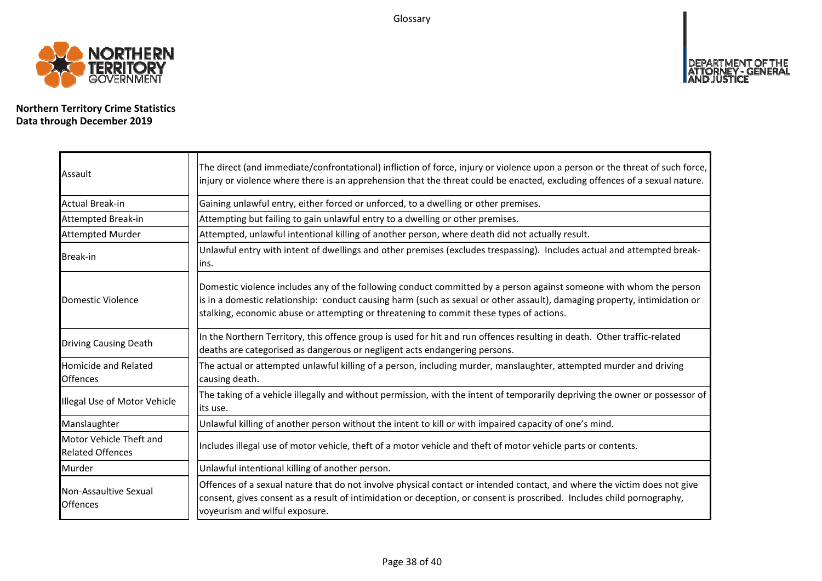Glossary



**Northern Territory Crime Statistics Data through December 2019**

| Assault                                            | The direct (and immediate/confrontational) infliction of force, injury or violence upon a person or the threat of such force,<br>injury or violence where there is an apprehension that the threat could be enacted, excluding offences of a sexual nature.                                                                                |
|----------------------------------------------------|--------------------------------------------------------------------------------------------------------------------------------------------------------------------------------------------------------------------------------------------------------------------------------------------------------------------------------------------|
| <b>Actual Break-in</b>                             | Gaining unlawful entry, either forced or unforced, to a dwelling or other premises.                                                                                                                                                                                                                                                        |
| Attempted Break-in                                 | Attempting but failing to gain unlawful entry to a dwelling or other premises.                                                                                                                                                                                                                                                             |
| <b>Attempted Murder</b>                            | Attempted, unlawful intentional killing of another person, where death did not actually result.                                                                                                                                                                                                                                            |
| Break-in                                           | Unlawful entry with intent of dwellings and other premises (excludes trespassing). Includes actual and attempted break-<br>lins.                                                                                                                                                                                                           |
| <b>Domestic Violence</b>                           | Domestic violence includes any of the following conduct committed by a person against someone with whom the person<br>is in a domestic relationship: conduct causing harm (such as sexual or other assault), damaging property, intimidation or<br>stalking, economic abuse or attempting or threatening to commit these types of actions. |
| <b>Driving Causing Death</b>                       | In the Northern Territory, this offence group is used for hit and run offences resulting in death. Other traffic-related<br>deaths are categorised as dangerous or negligent acts endangering persons.                                                                                                                                     |
| <b>Homicide and Related</b><br><b>Offences</b>     | The actual or attempted unlawful killing of a person, including murder, manslaughter, attempted murder and driving<br>causing death.                                                                                                                                                                                                       |
| Illegal Use of Motor Vehicle                       | The taking of a vehicle illegally and without permission, with the intent of temporarily depriving the owner or possessor of<br>lits use.                                                                                                                                                                                                  |
| Manslaughter                                       | Unlawful killing of another person without the intent to kill or with impaired capacity of one's mind.                                                                                                                                                                                                                                     |
| Motor Vehicle Theft and<br><b>Related Offences</b> | Includes illegal use of motor vehicle, theft of a motor vehicle and theft of motor vehicle parts or contents.                                                                                                                                                                                                                              |
| Murder                                             | Unlawful intentional killing of another person.                                                                                                                                                                                                                                                                                            |
| Non-Assaultive Sexual<br><b>Offences</b>           | Offences of a sexual nature that do not involve physical contact or intended contact, and where the victim does not give<br>consent, gives consent as a result of intimidation or deception, or consent is proscribed. Includes child pornography,<br>voyeurism and wilful exposure.                                                       |

DEPARTMENT OF THE<br>ATTORNEY - GENERAL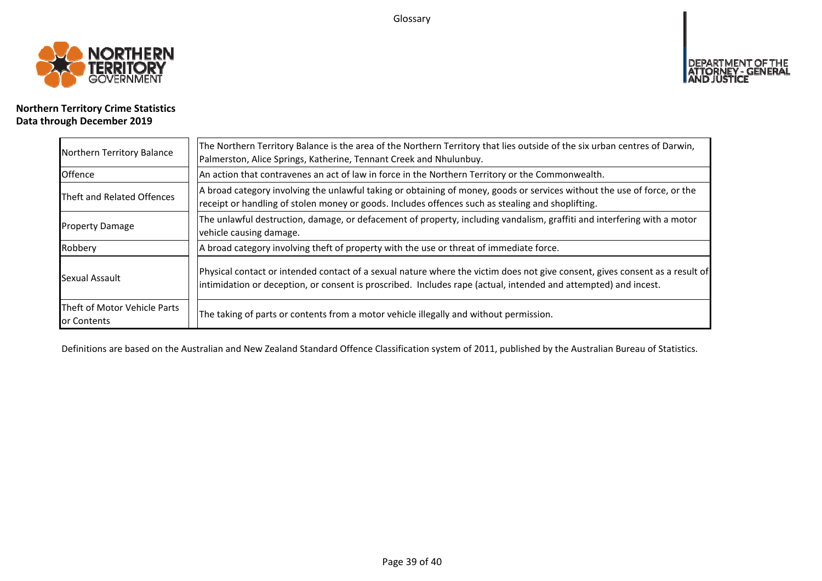Glossary



# **OF THE**

# **Northern Territory Crime Statistics Data through December 2019**

| Northern Territory Balance                  | The Northern Territory Balance is the area of the Northern Territory that lies outside of the six urban centres of Darwin,<br>Palmerston, Alice Springs, Katherine, Tennant Creek and Nhulunbuy.                                                |
|---------------------------------------------|-------------------------------------------------------------------------------------------------------------------------------------------------------------------------------------------------------------------------------------------------|
| Offence                                     | An action that contravenes an act of law in force in the Northern Territory or the Commonwealth.                                                                                                                                                |
| Theft and Related Offences                  | A broad category involving the unlawful taking or obtaining of money, goods or services without the use of force, or the<br>receipt or handling of stolen money or goods. Includes offences such as stealing and shoplifting.                   |
| <b>Property Damage</b>                      | The unlawful destruction, damage, or defacement of property, including vandalism, graffiti and interfering with a motor<br>vehicle causing damage.                                                                                              |
| Robbery                                     | A broad category involving theft of property with the use or threat of immediate force.                                                                                                                                                         |
| Sexual Assault                              | Physical contact or intended contact of a sexual nature where the victim does not give consent, gives consent as a result of<br>intimidation or deception, or consent is proscribed. Includes rape (actual, intended and attempted) and incest. |
| Theft of Motor Vehicle Parts<br>or Contents | The taking of parts or contents from a motor vehicle illegally and without permission.                                                                                                                                                          |

Definitions are based on the Australian and New Zealand Standard Offence Classification system of 2011, published by the Australian Bureau of Statistics.